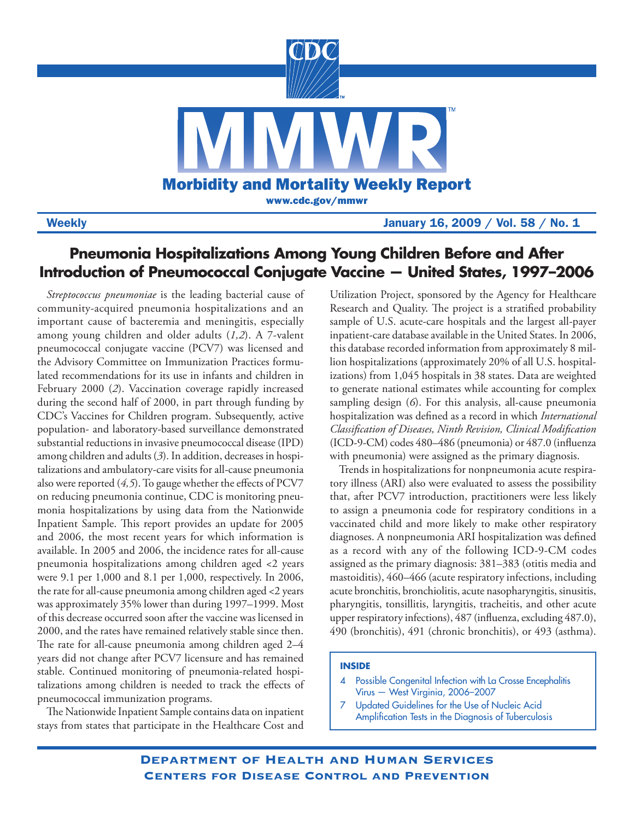

Weekly January 16, 2009 / Vol. 58 / No. 1

# **Pneumonia Hospitalizations Among Young Children Before and After Introduction of Pneumococcal Conjugate Vaccine — United States, 1997–2006**

*Streptococcus pneumoniae* is the leading bacterial cause of community-acquired pneumonia hospitalizations and an important cause of bacteremia and meningitis, especially among young children and older adults (*1,2*). A 7-valent pneumococcal conjugate vaccine (PCV7) was licensed and the Advisory Committee on Immunization Practices formulated recommendations for its use in infants and children in February 2000 (*2*). Vaccination coverage rapidly increased during the second half of 2000, in part through funding by CDC's Vaccines for Children program. Subsequently, active population- and laboratory-based surveillance demonstrated substantial reductions in invasive pneumococcal disease (IPD) among children and adults (*3*). In addition, decreases in hospitalizations and ambulatory-care visits for all-cause pneumonia also were reported (*4,5*). To gauge whether the effects of PCV7 on reducing pneumonia continue, CDC is monitoring pneumonia hospitalizations by using data from the Nationwide Inpatient Sample. This report provides an update for 2005 and 2006, the most recent years for which information is available. In 2005 and 2006, the incidence rates for all-cause pneumonia hospitalizations among children aged <2 years were 9.1 per 1,000 and 8.1 per 1,000, respectively. In 2006, the rate for all-cause pneumonia among children aged <2 years was approximately 35% lower than during 1997–1999. Most of this decrease occurred soon after the vaccine was licensed in 2000, and the rates have remained relatively stable since then. The rate for all-cause pneumonia among children aged 2–4 years did not change after PCV7 licensure and has remained stable. Continued monitoring of pneumonia-related hospitalizations among children is needed to track the effects of pneumococcal immunization programs.

The Nationwide Inpatient Sample contains data on inpatient stays from states that participate in the Healthcare Cost and Utilization Project, sponsored by the Agency for Healthcare Research and Quality. The project is a stratified probability sample of U.S. acute-care hospitals and the largest all-payer inpatient-care database available in the United States. In 2006, this database recorded information from approximately 8 million hospitalizations (approximately 20% of all U.S. hospitalizations) from 1,045 hospitals in 38 states. Data are weighted to generate national estimates while accounting for complex sampling design (*6*). For this analysis, all-cause pneumonia hospitalization was defined as a record in which *International Classification of Diseases, Ninth Revision, Clinical Modification* (ICD-9-CM) codes 480–486 (pneumonia) or 487.0 (influenza with pneumonia) were assigned as the primary diagnosis.

Trends in hospitalizations for nonpneumonia acute respiratory illness (ARI) also were evaluated to assess the possibility that, after PCV7 introduction, practitioners were less likely to assign a pneumonia code for respiratory conditions in a vaccinated child and more likely to make other respiratory diagnoses. A nonpneumonia ARI hospitalization was defined as a record with any of the following ICD-9-CM codes assigned as the primary diagnosis: 381–383 (otitis media and mastoiditis), 460–466 (acute respiratory infections, including acute bronchitis, bronchiolitis, acute nasopharyngitis, sinusitis, pharyngitis, tonsillitis, laryngitis, tracheitis, and other acute upper respiratory infections), 487 (influenza, excluding 487.0), 490 (bronchitis), 491 (chronic bronchitis), or 493 (asthma).

## **INSIDE**

- [4 Possible Congenital Infection with La Crosse Encephalitis](#page-3-0)  [Virus — West Virginia, 2006–2007](#page-3-0)
- [7 Updated Guidelines for the Use of Nucleic Acid](#page-6-0)  [Amplification Tests in the Diagnosis of Tuberculosis](#page-6-0)

DEPARTMENT OF HEALTH AND HUMAN SERVICES Centers for Disease Control and Prevention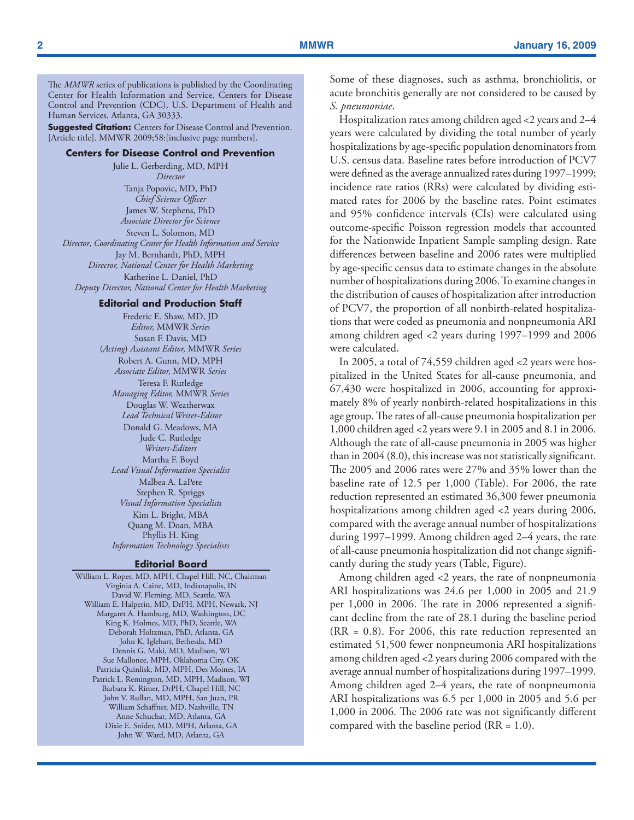The *MMWR* series of publications is published by the Coordinating Center for Health Information and Service, Centers for Disease Control and Prevention (CDC), U.S. Department of Health and Human Services, Atlanta, GA 30333.

**Suggested Citation:** Centers for Disease Control and Prevention. [Article title]. MMWR 2009;58:[inclusive page numbers].

## **Centers for Disease Control and Prevention**

Julie L. Gerberding, MD, MPH *Director* Tanja Popovic, MD, PhD *Chief Science Officer* James W. Stephens, PhD *Associate Director for Science* Steven L. Solomon, MD *Director, Coordinating Center for Health Information and Service* Jay M. Bernhardt, PhD, MPH *Director, National Center for Health Marketing* Katherine L. Daniel, PhD *Deputy Director, National Center for Health Marketing*

### **Editorial and Production Staff**

Frederic E. Shaw, MD, JD *Editor,* MMWR *Series* Susan F. Davis, MD (*Acting*) *Assistant Editor,* MMWR *Series* Robert A. Gunn, MD, MPH *Associate Editor,* MMWR *Series* Teresa F. Rutledge *Managing Editor,* MMWR *Series* Douglas W. Weatherwax  *Lead Technical Writer-Editor* Donald G. Meadows, MA Jude C. Rutledge *Writers-Editors* Martha F. Boyd *Lead Visual Information Specialist* Malbea A. LaPete Stephen R. Spriggs *Visual Information Specialists* Kim L. Bright, MBA Quang M. Doan, MBA Phyllis H. King *Information Technology Specialists*

## **Editorial Board**

William L. Roper, MD, MPH, Chapel Hill, NC, Chairman Virginia A. Caine, MD, Indianapolis, IN David W. Fleming, MD, Seattle, WA William E. Halperin, MD, DrPH, MPH, Newark, NJ Margaret A. Hamburg, MD, Washington, DC King K. Holmes, MD, PhD, Seattle, WA Deborah Holtzman, PhD, Atlanta, GA John K. Iglehart, Bethesda, MD Dennis G. Maki, MD, Madison, WI Sue Mallonee, MPH, Oklahoma City, OK Patricia Quinlisk, MD, MPH, Des Moines, IA Patrick L. Remington, MD, MPH, Madison, WI Barbara K. Rimer, DrPH, Chapel Hill, NC John V. Rullan, MD, MPH, San Juan, PR William Schaffner, MD, Nashville, TN Anne Schuchat, MD, Atlanta, GA Dixie E. Snider, MD, MPH, Atlanta, GA John W. Ward, MD, Atlanta, GA

Some of these diagnoses, such as asthma, bronchiolitis, or acute bronchitis generally are not considered to be caused by *S. pneumoniae*.

Hospitalization rates among children aged <2 years and 2–4 years were calculated by dividing the total number of yearly hospitalizations by age-specific population denominators from U.S. census data. Baseline rates before introduction of PCV7 were defined as the average annualized rates during 1997–1999; incidence rate ratios (RRs) were calculated by dividing estimated rates for 2006 by the baseline rates. Point estimates and 95% confidence intervals (CIs) were calculated using outcome-specific Poisson regression models that accounted for the Nationwide Inpatient Sample sampling design. Rate differences between baseline and 2006 rates were multiplied by age-specific census data to estimate changes in the absolute number of hospitalizations during 2006. To examine changes in the distribution of causes of hospitalization after introduction of PCV7, the proportion of all nonbirth-related hospitalizations that were coded as pneumonia and nonpneumonia ARI among children aged <2 years during 1997–1999 and 2006 were calculated.

In 2005, a total of 74,559 children aged <2 years were hospitalized in the United States for all-cause pneumonia, and 67,430 were hospitalized in 2006, accounting for approximately 8% of yearly nonbirth-related hospitalizations in this age group. The rates of all-cause pneumonia hospitalization per 1,000 children aged <2 years were 9.1 in 2005 and 8.1 in 2006. Although the rate of all-cause pneumonia in 2005 was higher than in 2004 (8.0), this increase was not statistically significant. The 2005 and 2006 rates were 27% and 35% lower than the baseline rate of 12.5 per 1,000 (Table). For 2006, the rate reduction represented an estimated 36,300 fewer pneumonia hospitalizations among children aged <2 years during 2006, compared with the average annual number of hospitalizations during 1997–1999. Among children aged 2–4 years, the rate of all-cause pneumonia hospitalization did not change significantly during the study years (Table, Figure).

Among children aged <2 years, the rate of nonpneumonia ARI hospitalizations was 24.6 per 1,000 in 2005 and 21.9 per 1,000 in 2006. The rate in 2006 represented a significant decline from the rate of 28.1 during the baseline period (RR = 0.8). For 2006, this rate reduction represented an estimated 51,500 fewer nonpneumonia ARI hospitalizations among children aged <2 years during 2006 compared with the average annual number of hospitalizations during 1997–1999. Among children aged 2–4 years, the rate of nonpneumonia ARI hospitalizations was 6.5 per 1,000 in 2005 and 5.6 per 1,000 in 2006. The 2006 rate was not significantly different compared with the baseline period (RR = 1.0).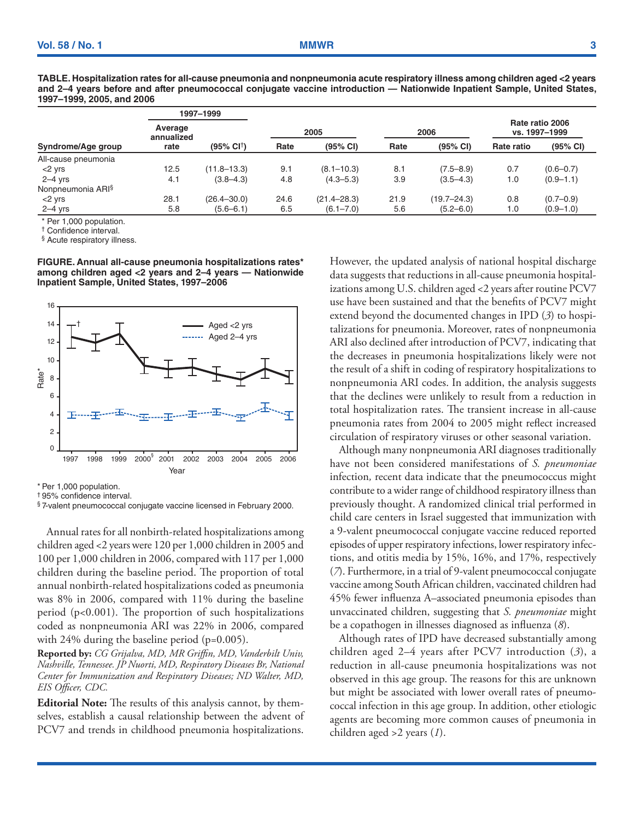| TABLE. Hospitalization rates for all-cause pneumonia and nonpneumonia acute respiratory illness among children aged <2 years |
|------------------------------------------------------------------------------------------------------------------------------|
| and 2–4 years before and after pneumococcal conjugate vaccine introduction — Nationwide Inpatient Sample, United States,     |
| 1997–1999, 2005, and 2006                                                                                                    |

|                                |                       | 1997-1999             |      |                 |      |                 |            |                                  |
|--------------------------------|-----------------------|-----------------------|------|-----------------|------|-----------------|------------|----------------------------------|
|                                | Average<br>annualized |                       |      | 2005            |      | 2006            |            | Rate ratio 2006<br>vs. 1997-1999 |
| Syndrome/Age group             | rate                  | $(95\% \text{ Cl}^+)$ | Rate | (95% CI)        | Rate | (95% CI)        | Rate ratio | (95% CI)                         |
| All-cause pneumonia            |                       |                       |      |                 |      |                 |            |                                  |
| $<$ 2 yrs                      | 12.5                  | $(11.8 - 13.3)$       | 9.1  | $(8.1 - 10.3)$  | 8.1  | $(7.5 - 8.9)$   | 0.7        | $(0.6 - 0.7)$                    |
| $2-4$ yrs                      | 4.1                   | $(3.8 - 4.3)$         | 4.8  | $(4.3 - 5.3)$   | 3.9  | $(3.5 - 4.3)$   | 1.0        | $(0.9 - 1.1)$                    |
| Nonpneumonia ARI <sup>§</sup>  |                       |                       |      |                 |      |                 |            |                                  |
| $<$ 2 yrs                      | 28.1                  | (26.4–30.0)           | 24.6 | $(21.4 - 28.3)$ | 21.9 | $(19.7 - 24.3)$ | 0.8        | $(0.7 - 0.9)$                    |
| $2-4$ yrs                      | 5.8                   | $(5.6 - 6.1)$         | 6.5  | $(6.1 - 7.0)$   | 5.6  | $(5.2 - 6.0)$   | 1.0        | $(0.9 - 1.0)$                    |
| $*$ Dec 4, 000 is a collection |                       |                       |      |                 |      |                 |            |                                  |

Per 1,000 population.

† Confidence interval.

§ Acute respiratory illness.

**FIGURE. Annual all-cause pneumonia hospitalizations rates\* among children aged <2 years and 2–4 years — Nationwide Inpatient Sample, United States, 1997–2006**



\* Per 1,000 population.

Annual rates for all nonbirth-related hospitalizations among children aged <2 years were 120 per 1,000 children in 2005 and 100 per 1,000 children in 2006, compared with 117 per 1,000 children during the baseline period. The proportion of total annual nonbirth-related hospitalizations coded as pneumonia was 8% in 2006, compared with 11% during the baseline period (p<0.001). The proportion of such hospitalizations coded as nonpneumonia ARI was 22% in 2006, compared with 24% during the baseline period (p=0.005).

**Reported by:** *CG Grijalva, MD, MR Griffin, MD, Vanderbilt Univ, Nashville, Tennessee. JP Nuorti, MD, Respiratory Diseases Br, National Center for Immunization and Respiratory Diseases; ND Walter, MD, EIS Officer, CDC.*

**Editorial Note:** The results of this analysis cannot, by themselves, establish a causal relationship between the advent of PCV7 and trends in childhood pneumonia hospitalizations.

However, the updated analysis of national hospital discharge data suggests that reductions in all-cause pneumonia hospitalizations among U.S. children aged <2 years after routine PCV7 use have been sustained and that the benefits of PCV7 might extend beyond the documented changes in IPD (*3*) to hospitalizations for pneumonia. Moreover, rates of nonpneumonia ARI also declined after introduction of PCV7, indicating that the decreases in pneumonia hospitalizations likely were not the result of a shift in coding of respiratory hospitalizations to nonpneumonia ARI codes. In addition, the analysis suggests that the declines were unlikely to result from a reduction in total hospitalization rates. The transient increase in all-cause pneumonia rates from 2004 to 2005 might reflect increased circulation of respiratory viruses or other seasonal variation.

Although many nonpneumonia ARI diagnoses traditionally have not been considered manifestations of *S. pneumoniae* infection*,* recent data indicate that the pneumococcus might contribute to a wider range of childhood respiratory illness than previously thought. A randomized clinical trial performed in child care centers in Israel suggested that immunization with a 9-valent pneumococcal conjugate vaccine reduced reported episodes of upper respiratory infections, lower respiratory infections, and otitis media by 15%, 16%, and 17%, respectively (*7*). Furthermore, in a trial of 9-valent pneumococcal conjugate vaccine among South African children, vaccinated children had 45% fewer influenza A–associated pneumonia episodes than unvaccinated children, suggesting that *S. pneumoniae* might be a copathogen in illnesses diagnosed as influenza (*8*).

Although rates of IPD have decreased substantially among children aged 2–4 years after PCV7 introduction (*3*), a reduction in all-cause pneumonia hospitalizations was not observed in this age group. The reasons for this are unknown but might be associated with lower overall rates of pneumococcal infection in this age group. In addition, other etiologic agents are becoming more common causes of pneumonia in children aged >2 years (*1*).

<sup>†</sup> 95% confidence interval.

<sup>§</sup> 7-valent pneumococcal conjugate vaccine licensed in February 2000.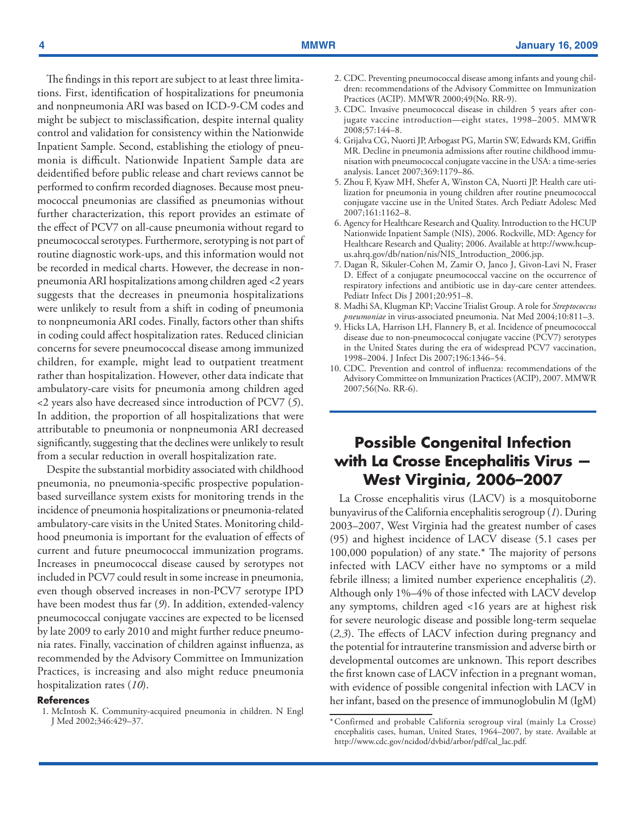<span id="page-3-0"></span>The findings in this report are subject to at least three limitations. First, identification of hospitalizations for pneumonia and nonpneumonia ARI was based on ICD-9-CM codes and might be subject to misclassification, despite internal quality control and validation for consistency within the Nationwide Inpatient Sample. Second, establishing the etiology of pneumonia is difficult. Nationwide Inpatient Sample data are deidentified before public release and chart reviews cannot be performed to confirm recorded diagnoses. Because most pneumococcal pneumonias are classified as pneumonias without further characterization, this report provides an estimate of the effect of PCV7 on all-cause pneumonia without regard to pneumococcal serotypes. Furthermore, serotyping is not part of routine diagnostic work-ups, and this information would not be recorded in medical charts. However, the decrease in nonpneumonia ARI hospitalizations among children aged <2 years suggests that the decreases in pneumonia hospitalizations were unlikely to result from a shift in coding of pneumonia to nonpneumonia ARI codes. Finally, factors other than shifts in coding could affect hospitalization rates. Reduced clinician concerns for severe pneumococcal disease among immunized children, for example, might lead to outpatient treatment rather than hospitalization. However, other data indicate that ambulatory-care visits for pneumonia among children aged <2 years also have decreased since introduction of PCV7 (*5*). In addition, the proportion of all hospitalizations that were attributable to pneumonia or nonpneumonia ARI decreased significantly, suggesting that the declines were unlikely to result from a secular reduction in overall hospitalization rate.

Despite the substantial morbidity associated with childhood pneumonia, no pneumonia-specific prospective populationbased surveillance system exists for monitoring trends in the incidence of pneumonia hospitalizations or pneumonia-related ambulatory-care visits in the United States. Monitoring childhood pneumonia is important for the evaluation of effects of current and future pneumococcal immunization programs. Increases in pneumococcal disease caused by serotypes not included in PCV7 could result in some increase in pneumonia, even though observed increases in non-PCV7 serotype IPD have been modest thus far (*9*). In addition, extended-valency pneumococcal conjugate vaccines are expected to be licensed by late 2009 to early 2010 and might further reduce pneumonia rates. Finally, vaccination of children against influenza, as recommended by the Advisory Committee on Immunization Practices, is increasing and also might reduce pneumonia hospitalization rates (*10*).

## **References**

1. McIntosh K. Community-acquired pneumonia in children. N Engl J Med 2002;346:429–37.

- 2. CDC. Preventing pneumococcal disease among infants and young children: recommendations of the Advisory Committee on Immunization Practices (ACIP). MMWR 2000;49(No. RR-9).
- 3. CDC. Invasive pneumococcal disease in children 5 years after conjugate vaccine introduction—eight states, 1998–2005. MMWR 2008;57:144–8.
- 4. Grijalva CG, Nuorti JP, Arbogast PG, Martin SW, Edwards KM, Griffin MR. Decline in pneumonia admissions after routine childhood immunisation with pneumococcal conjugate vaccine in the USA: a time-series analysis. Lancet 2007;369:1179–86.
- 5. Zhou F, Kyaw MH, Shefer A, Winston CA, Nuorti JP. Health care utilization for pneumonia in young children after routine pneumococcal conjugate vaccine use in the United States. Arch Pediatr Adolesc Med 2007;161:1162–8.
- 6. Agency for Healthcare Research and Quality. Introduction to the HCUP Nationwide Inpatient Sample (NIS), 2006. Rockville, MD: Agency for Healthcare Research and Quality; 2006. Available at [http://www.hcup](http://)[us.ahrq.gov/db/nation/nis/NIS\\_Introduction\\_2006.jsp](http://).
- 7. Dagan R, Sikuler-Cohen M, Zamir O, Janco J, Givon-Lavi N, Fraser D. Effect of a conjugate pneumococcal vaccine on the occurrence of respiratory infections and antibiotic use in day-care center attendees. Pediatr Infect Dis J 2001;20:951–8.
- 8. Madhi SA, Klugman KP; Vaccine Trialist Group. A role for *Streptococcus pneumoniae* in virus-associated pneumonia. Nat Med 2004;10:811–3.
- 9. Hicks LA, Harrison LH, Flannery B, et al. Incidence of pneumococcal disease due to non-pneumococcal conjugate vaccine (PCV7) serotypes in the United States during the era of widespread PCV7 vaccination, 1998–2004. J Infect Dis 2007;196:1346–54.
- 10. CDC. Prevention and control of influenza: recommendations of the Advisory Committee on Immunization Practices (ACIP), 2007. MMWR 2007;56(No. RR-6).

# **Possible Congenital Infection with La Crosse Encephalitis Virus — West Virginia, 2006–2007**

La Crosse encephalitis virus (LACV) is a mosquitoborne bunyavirus of the California encephalitis serogroup (*1*). During 2003–2007, West Virginia had the greatest number of cases (95) and highest incidence of LACV disease (5.1 cases per 100,000 population) of any state.\* The majority of persons infected with LACV either have no symptoms or a mild febrile illness; a limited number experience encephalitis (*2*). Although only 1%–4% of those infected with LACV develop any symptoms, children aged <16 years are at highest risk for severe neurologic disease and possible long-term sequelae (*2,3*). The effects of LACV infection during pregnancy and the potential for intrauterine transmission and adverse birth or developmental outcomes are unknown. This report describes the first known case of LACV infection in a pregnant woman, with evidence of possible congenital infection with LACV in her infant, based on the presence of immunoglobulin M (IgM)

<sup>\*</sup>Confirmed and probable California serogroup viral (mainly La Crosse) encephalitis cases, human, United States, 1964–2007, by state. Available at [http://www.cdc.gov/ncidod/dvbid/arbor/pdf/cal\\_lac.pdf.](http://www.cdc.gov/ncidod/dvbid/arbor/pdf/cal_lac.pdf)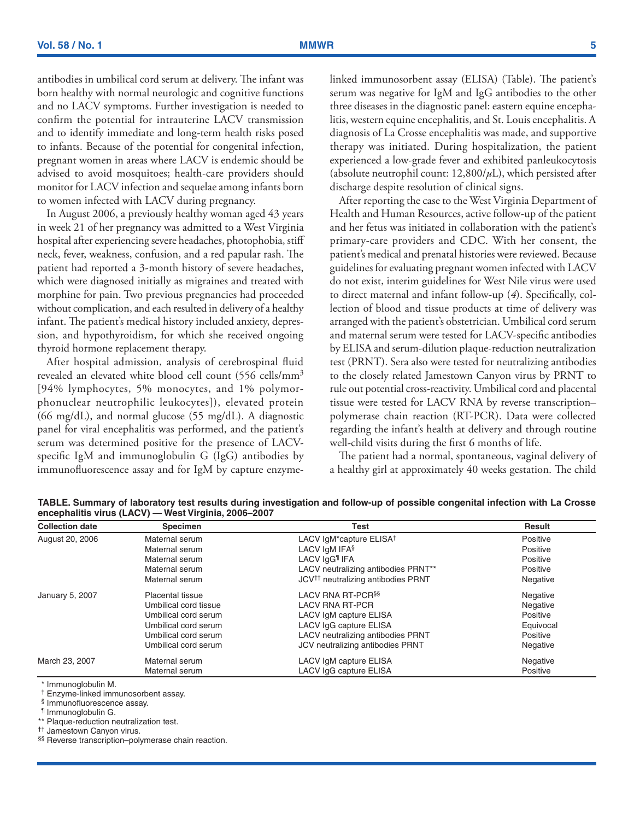antibodies in umbilical cord serum at delivery. The infant was born healthy with normal neurologic and cognitive functions and no LACV symptoms. Further investigation is needed to confirm the potential for intrauterine LACV transmission and to identify immediate and long-term health risks posed to infants. Because of the potential for congenital infection, pregnant women in areas where LACV is endemic should be advised to avoid mosquitoes; health-care providers should monitor for LACV infection and sequelae among infants born to women infected with LACV during pregnancy.

In August 2006, a previously healthy woman aged 43 years in week 21 of her pregnancy was admitted to a West Virginia hospital after experiencing severe headaches, photophobia, stiff neck, fever, weakness, confusion, and a red papular rash. The patient had reported a 3-month history of severe headaches, which were diagnosed initially as migraines and treated with morphine for pain. Two previous pregnancies had proceeded without complication, and each resulted in delivery of a healthy infant. The patient's medical history included anxiety, depression, and hypothyroidism, for which she received ongoing thyroid hormone replacement therapy.

After hospital admission, analysis of cerebrospinal fluid revealed an elevated white blood cell count (556 cells/mm3 [94% lymphocytes, 5% monocytes, and 1% polymorphonuclear neutrophilic leukocytes]), elevated protein (66 mg/dL), and normal glucose (55 mg/dL). A diagnostic panel for viral encephalitis was performed, and the patient's serum was determined positive for the presence of LACVspecific IgM and immunoglobulin G (IgG) antibodies by immunofluorescence assay and for IgM by capture enzymelinked immunosorbent assay (ELISA) (Table). The patient's serum was negative for IgM and IgG antibodies to the other three diseases in the diagnostic panel: eastern equine encephalitis, western equine encephalitis, and St. Louis encephalitis. A diagnosis of La Crosse encephalitis was made, and supportive therapy was initiated. During hospitalization, the patient experienced a low-grade fever and exhibited panleukocytosis (absolute neutrophil count: 12,800/*µ*L), which persisted after discharge despite resolution of clinical signs.

After reporting the case to the West Virginia Department of Health and Human Resources, active follow-up of the patient and her fetus was initiated in collaboration with the patient's primary-care providers and CDC. With her consent, the patient's medical and prenatal histories were reviewed. Because guidelines for evaluating pregnant women infected with LACV do not exist, interim guidelines for West Nile virus were used to direct maternal and infant follow-up (*4*). Specifically, collection of blood and tissue products at time of delivery was arranged with the patient's obstetrician. Umbilical cord serum and maternal serum were tested for LACV-specific antibodies by ELISA and serum-dilution plaque-reduction neutralization test (PRNT). Sera also were tested for neutralizing antibodies to the closely related Jamestown Canyon virus by PRNT to rule out potential cross-reactivity. Umbilical cord and placental tissue were tested for LACV RNA by reverse transcription– polymerase chain reaction (RT-PCR). Data were collected regarding the infant's health at delivery and through routine well-child visits during the first 6 months of life.

The patient had a normal, spontaneous, vaginal delivery of a healthy girl at approximately 40 weeks gestation. The child

| <b>Collection date</b> | <b>Specimen</b>       | Test                                            | <b>Result</b> |
|------------------------|-----------------------|-------------------------------------------------|---------------|
| August 20, 2006        | Maternal serum        | LACV IgM*capture ELISA <sup>†</sup>             | Positive      |
|                        | Maternal serum        | LACV IqM IFA <sup>§</sup>                       | Positive      |
|                        | Maternal serum        | LACV IgG1 IFA                                   | Positive      |
|                        | Maternal serum        | LACV neutralizing antibodies PRNT <sup>**</sup> | Positive      |
|                        | Maternal serum        | JCV <sup>++</sup> neutralizing antibodies PRNT  | Negative      |
| January 5, 2007        | Placental tissue      | LACV RNA RT-PCR <sup>§§</sup>                   | Negative      |
|                        | Umbilical cord tissue | <b>LACV RNA RT-PCR</b>                          | Negative      |
|                        | Umbilical cord serum  | <b>LACV IgM capture ELISA</b>                   | Positive      |
|                        | Umbilical cord serum  | LACV IgG capture ELISA                          | Equivocal     |
|                        | Umbilical cord serum  | <b>LACV</b> neutralizing antibodies PRNT        | Positive      |
|                        | Umbilical cord serum  | JCV neutralizing antibodies PRNT                | Negative      |
| March 23, 2007         | Maternal serum        | <b>LACV IgM capture ELISA</b>                   | Negative      |
|                        | Maternal serum        | LACV IgG capture ELISA                          | Positive      |

**TABLE. Summary of laboratory test results during investigation and follow-up of possible congenital infection with La Crosse encephalitis virus (LACV) — West Virginia, 2006–2007**

\* Immunoglobulin M. † Enzyme-linked immunosorbent assay.

§ Immunofluorescence assay.

¶ Immunoglobulin G.

\*\* Plaque-reduction neutralization test.

†† Jamestown Canyon virus.

§§ Reverse transcription-polymerase chain reaction.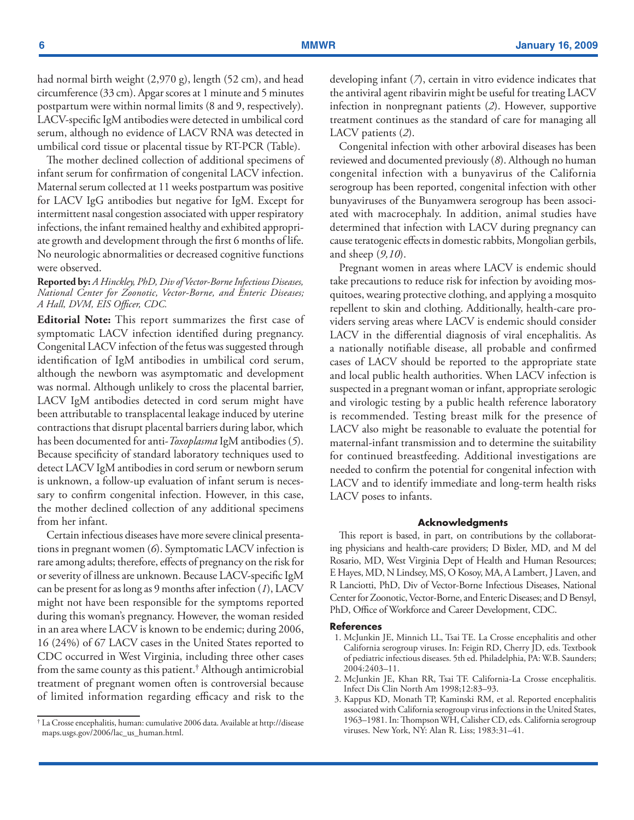had normal birth weight (2,970 g), length (52 cm), and head circumference (33 cm). Apgar scores at 1 minute and 5 minutes postpartum were within normal limits (8 and 9, respectively). LACV-specific IgM antibodies were detected in umbilical cord serum, although no evidence of LACV RNA was detected in umbilical cord tissue or placental tissue by RT-PCR (Table).

The mother declined collection of additional specimens of infant serum for confirmation of congenital LACV infection. Maternal serum collected at 11 weeks postpartum was positive for LACV IgG antibodies but negative for IgM. Except for intermittent nasal congestion associated with upper respiratory infections, the infant remained healthy and exhibited appropriate growth and development through the first 6 months of life. No neurologic abnormalities or decreased cognitive functions were observed.

## **Reported by:** *A Hinckley, PhD, Div of Vector-Borne Infectious Diseases, National Center for Zoonotic, Vector-Borne, and Enteric Diseases; A Hall, DVM, EIS Officer, CDC.*

**Editorial Note:** This report summarizes the first case of symptomatic LACV infection identified during pregnancy. Congenital LACV infection of the fetus was suggested through identification of IgM antibodies in umbilical cord serum, although the newborn was asymptomatic and development was normal. Although unlikely to cross the placental barrier, LACV IgM antibodies detected in cord serum might have been attributable to transplacental leakage induced by uterine contractions that disrupt placental barriers during labor, which has been documented for anti-*Toxoplasma* IgM antibodies (*5*). Because specificity of standard laboratory techniques used to detect LACV IgM antibodies in cord serum or newborn serum is unknown, a follow-up evaluation of infant serum is necessary to confirm congenital infection. However, in this case, the mother declined collection of any additional specimens from her infant.

Certain infectious diseases have more severe clinical presentations in pregnant women (*6*). Symptomatic LACV infection is rare among adults; therefore, effects of pregnancy on the risk for or severity of illness are unknown. Because LACV-specific IgM can be present for as long as 9 months after infection (*1*), LACV might not have been responsible for the symptoms reported during this woman's pregnancy. However, the woman resided in an area where LACV is known to be endemic; during 2006, 16 (24%) of 67 LACV cases in the United States reported to CDC occurred in West Virginia, including three other cases from the same county as this patient.† Although antimicrobial treatment of pregnant women often is controversial because of limited information regarding efficacy and risk to the developing infant (*7*), certain in vitro evidence indicates that the antiviral agent ribavirin might be useful for treating LACV infection in nonpregnant patients (*2*). However, supportive treatment continues as the standard of care for managing all LACV patients (*2*).

Congenital infection with other arboviral diseases has been reviewed and documented previously (*8*). Although no human congenital infection with a bunyavirus of the California serogroup has been reported, congenital infection with other bunyaviruses of the Bunyamwera serogroup has been associated with macrocephaly. In addition, animal studies have determined that infection with LACV during pregnancy can cause teratogenic effects in domestic rabbits, Mongolian gerbils, and sheep (*9,10*).

Pregnant women in areas where LACV is endemic should take precautions to reduce risk for infection by avoiding mosquitoes, wearing protective clothing, and applying a mosquito repellent to skin and clothing. Additionally, health-care providers serving areas where LACV is endemic should consider LACV in the differential diagnosis of viral encephalitis. As a nationally notifiable disease, all probable and confirmed cases of LACV should be reported to the appropriate state and local public health authorities. When LACV infection is suspected in a pregnant woman or infant, appropriate serologic and virologic testing by a public health reference laboratory is recommended. Testing breast milk for the presence of LACV also might be reasonable to evaluate the potential for maternal-infant transmission and to determine the suitability for continued breastfeeding. Additional investigations are needed to confirm the potential for congenital infection with LACV and to identify immediate and long-term health risks LACV poses to infants.

## **Acknowledgments**

This report is based, in part, on contributions by the collaborating physicians and health-care providers; D Bixler, MD, and M del Rosario, MD, West Virginia Dept of Health and Human Resources; E Hayes, MD, N Lindsey, MS, O Kosoy, MA, A Lambert, J Laven, and R Lanciotti, PhD, Div of Vector-Borne Infectious Diseases, National Center for Zoonotic, Vector-Borne, and Enteric Diseases; and D Bensyl, PhD, Office of Workforce and Career Development, CDC.

## **References**

- 1. McJunkin JE, Minnich LL, Tsai TE. La Crosse encephalitis and other California serogroup viruses. In: Feigin RD, Cherry JD, eds. Textbook of pediatric infectious diseases. 5th ed. Philadelphia, PA: W.B. Saunders; 2004:2403–11.
- 2. McJunkin JE, Khan RR, Tsai TF. California-La Crosse encephalitis. Infect Dis Clin North Am 1998;12:83–93.
- 3. Kappus KD, Monath TP, Kaminski RM, et al. Reported encephalitis associated with California serogroup virus infections in the United States, 1963–1981. In: Thompson WH, Calisher CD, eds. California serogroup viruses. New York, NY: Alan R. Liss; 1983:31–41.

<sup>†</sup> La Crosse encephalitis, human: cumulative 2006 data. Available at [http://disease](http://diseasemaps.usgs.gov/2006/lac_us_human.html) [maps.usgs.gov/2006/lac\\_us\\_human.html](http://diseasemaps.usgs.gov/2006/lac_us_human.html).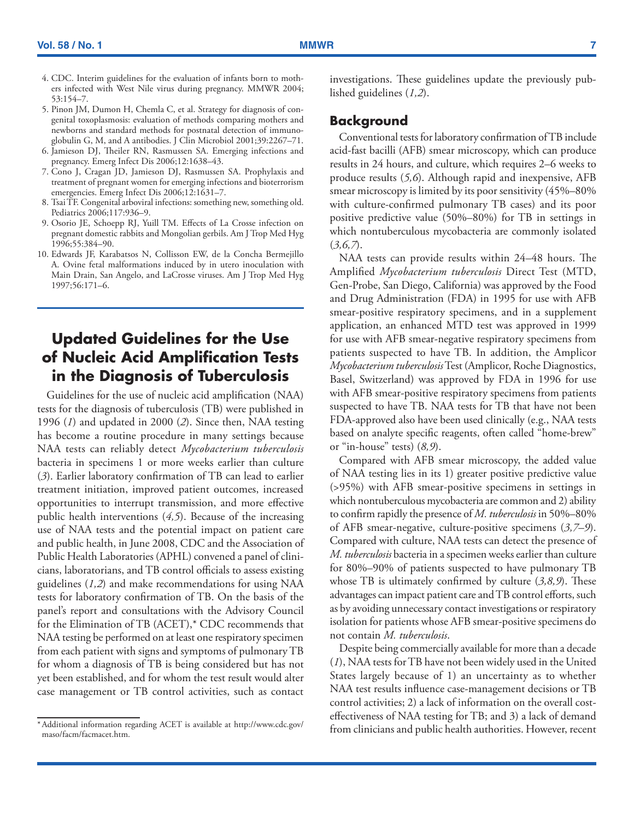- <span id="page-6-0"></span>4. CDC. Interim guidelines for the evaluation of infants born to mothers infected with West Nile virus during pregnancy. MMWR 2004; 53:154–7.
- 5. Pinon JM, Dumon H, Chemla C, et al. Strategy for diagnosis of congenital toxoplasmosis: evaluation of methods comparing mothers and newborns and standard methods for postnatal detection of immunoglobulin G, M, and A antibodies. J Clin Microbiol 2001;39:2267–71.
- 6. Jamieson DJ, Theiler RN, Rasmussen SA. Emerging infections and pregnancy. Emerg Infect Dis 2006;12:1638–43.
- 7. Cono J, Cragan JD, Jamieson DJ, Rasmussen SA. Prophylaxis and treatment of pregnant women for emerging infections and bioterrorism emergencies. Emerg Infect Dis 2006;12:1631–7.
- 8. Tsai TF. Congenital arboviral infections: something new, something old. Pediatrics 2006;117:936–9.
- 9. Osorio JE, Schoepp RJ, Yuill TM. Effects of La Crosse infection on pregnant domestic rabbits and Mongolian gerbils. Am J Trop Med Hyg 1996;55:384–90.
- 10. Edwards JF, Karabatsos N, Collisson EW, de la Concha Bermejillo A. Ovine fetal malformations induced by in utero inoculation with Main Drain, San Angelo, and LaCrosse viruses. Am J Trop Med Hyg 1997;56:171–6.

# **Updated Guidelines for the Use of Nucleic Acid Amplification Tests in the Diagnosis of Tuberculosis**

Guidelines for the use of nucleic acid amplification (NAA) tests for the diagnosis of tuberculosis (TB) were published in 1996 (*1*) and updated in 2000 (*2*). Since then, NAA testing has become a routine procedure in many settings because NAA tests can reliably detect *Mycobacterium tuberculosis* bacteria in specimens 1 or more weeks earlier than culture (*3*). Earlier laboratory confirmation of TB can lead to earlier treatment initiation, improved patient outcomes, increased opportunities to interrupt transmission, and more effective public health interventions (*4,5*). Because of the increasing use of NAA tests and the potential impact on patient care and public health, in June 2008, CDC and the Association of Public Health Laboratories (APHL) convened a panel of clinicians, laboratorians, and TB control officials to assess existing guidelines (*1,2*) and make recommendations for using NAA tests for laboratory confirmation of TB. On the basis of the panel's report and consultations with the Advisory Council for the Elimination of TB (ACET),\* CDC recommends that NAA testing be performed on at least one respiratory specimen from each patient with signs and symptoms of pulmonary TB for whom a diagnosis of TB is being considered but has not yet been established, and for whom the test result would alter case management or TB control activities, such as contact

investigations. These guidelines update the previously published guidelines (*1,2*).

## **Background**

Conventional tests for laboratory confirmation of TB include acid-fast bacilli (AFB) smear microscopy, which can produce results in 24 hours, and culture, which requires 2–6 weeks to produce results (*5,6*). Although rapid and inexpensive, AFB smear microscopy is limited by its poor sensitivity (45%–80% with culture-confirmed pulmonary TB cases) and its poor positive predictive value (50%–80%) for TB in settings in which nontuberculous mycobacteria are commonly isolated (*3,6,7*).

NAA tests can provide results within 24–48 hours. The Amplified *Mycobacterium tuberculosis* Direct Test (MTD, Gen-Probe, San Diego, California) was approved by the Food and Drug Administration (FDA) in 1995 for use with AFB smear-positive respiratory specimens, and in a supplement application, an enhanced MTD test was approved in 1999 for use with AFB smear-negative respiratory specimens from patients suspected to have TB. In addition, the Amplicor *Mycobacterium tuberculosis* Test (Amplicor, Roche Diagnostics, Basel, Switzerland) was approved by FDA in 1996 for use with AFB smear-positive respiratory specimens from patients suspected to have TB. NAA tests for TB that have not been FDA-approved also have been used clinically (e.g., NAA tests based on analyte specific reagents, often called "home-brew" or "in-house" tests) (*8,9*).

Compared with AFB smear microscopy, the added value of NAA testing lies in its 1) greater positive predictive value (>95%) with AFB smear-positive specimens in settings in which nontuberculous mycobacteria are common and 2) ability to confirm rapidly the presence of *M. tuberculosis* in 50%–80% of AFB smear-negative, culture-positive specimens (*3,7–9*). Compared with culture, NAA tests can detect the presence of *M. tuberculosis* bacteria in a specimen weeks earlier than culture for 80%–90% of patients suspected to have pulmonary TB whose TB is ultimately confirmed by culture (*3,8,9*). These advantages can impact patient care and TB control efforts, such as by avoiding unnecessary contact investigations or respiratory isolation for patients whose AFB smear-positive specimens do not contain *M. tuberculosis*.

Despite being commercially available for more than a decade (*1*), NAA tests for TB have not been widely used in the United States largely because of 1) an uncertainty as to whether NAA test results influence case-management decisions or TB control activities; 2) a lack of information on the overall costeffectiveness of NAA testing for TB; and 3) a lack of demand \*Additional information regarding ACET is available at [http://www.cdc.gov/](http://www.cdc.gov/maso/facm/facmacet.htm)<br>from clinicians and public health authorities. However, recent

[maso/facm/facmacet.htm.](http://www.cdc.gov/maso/facm/facmacet.htm)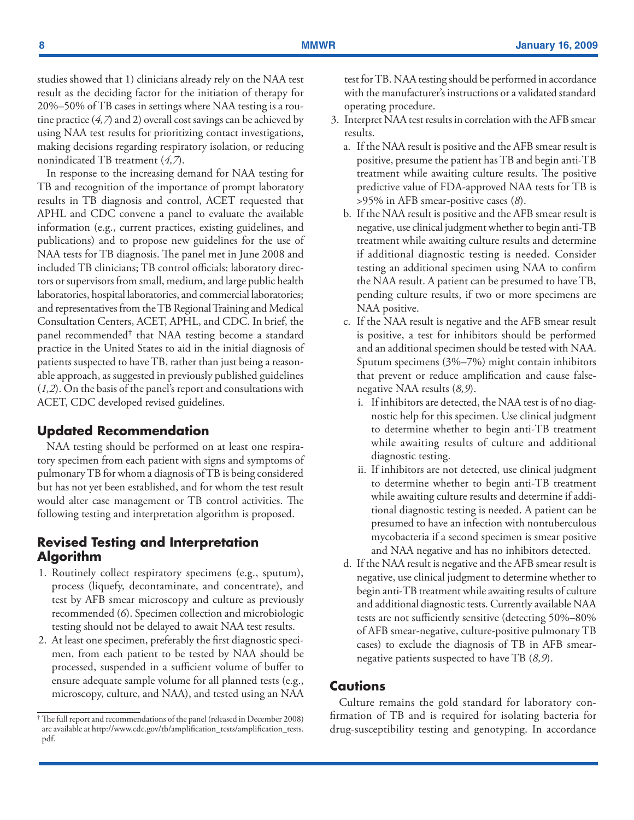studies showed that 1) clinicians already rely on the NAA test result as the deciding factor for the initiation of therapy for 20%–50% of TB cases in settings where NAA testing is a routine practice (*4,7*) and 2) overall cost savings can be achieved by using NAA test results for prioritizing contact investigations, making decisions regarding respiratory isolation, or reducing nonindicated TB treatment (*4,7*).

In response to the increasing demand for NAA testing for TB and recognition of the importance of prompt laboratory results in TB diagnosis and control, ACET requested that APHL and CDC convene a panel to evaluate the available information (e.g., current practices, existing guidelines, and publications) and to propose new guidelines for the use of NAA tests for TB diagnosis. The panel met in June 2008 and included TB clinicians; TB control officials; laboratory directors or supervisors from small, medium, and large public health laboratories, hospital laboratories, and commercial laboratories; and representatives from the TB Regional Training and Medical Consultation Centers, ACET, APHL, and CDC. In brief, the panel recommended† that NAA testing become a standard practice in the United States to aid in the initial diagnosis of patients suspected to have TB, rather than just being a reasonable approach, as suggested in previously published guidelines (*1,2*). On the basis of the panel's report and consultations with ACET, CDC developed revised guidelines.

## **Updated Recommendation**

NAA testing should be performed on at least one respiratory specimen from each patient with signs and symptoms of pulmonary TB for whom a diagnosis of TB is being considered but has not yet been established, and for whom the test result would alter case management or TB control activities. The following testing and interpretation algorithm is proposed.

## **Revised Testing and Interpretation Algorithm**

- 1. Routinely collect respiratory specimens (e.g., sputum), process (liquefy, decontaminate, and concentrate), and test by AFB smear microscopy and culture as previously recommended (*6*). Specimen collection and microbiologic testing should not be delayed to await NAA test results.
- 2. At least one specimen, preferably the first diagnostic specimen, from each patient to be tested by NAA should be processed, suspended in a sufficient volume of buffer to ensure adequate sample volume for all planned tests (e.g., microscopy, culture, and NAA), and tested using an NAA

test for TB. NAA testing should be performed in accordance with the manufacturer's instructions or a validated standard operating procedure.

- 3. Interpret NAA test results in correlation with the AFB smear results.
	- a. If the NAA result is positive and the AFB smear result is positive, presume the patient has TB and begin anti-TB treatment while awaiting culture results. The positive predictive value of FDA-approved NAA tests for TB is >95% in AFB smear-positive cases (*8*).
	- b. If the NAA result is positive and the AFB smear result is negative, use clinical judgment whether to begin anti-TB treatment while awaiting culture results and determine if additional diagnostic testing is needed. Consider testing an additional specimen using NAA to confirm the NAA result. A patient can be presumed to have TB, pending culture results, if two or more specimens are NAA positive.
	- c. If the NAA result is negative and the AFB smear result is positive, a test for inhibitors should be performed and an additional specimen should be tested with NAA. Sputum specimens (3%–7%) might contain inhibitors that prevent or reduce amplification and cause falsenegative NAA results (*8,9*).
		- i. If inhibitors are detected, the NAA test is of no diagnostic help for this specimen. Use clinical judgment to determine whether to begin anti-TB treatment while awaiting results of culture and additional diagnostic testing.
		- ii. If inhibitors are not detected, use clinical judgment to determine whether to begin anti-TB treatment while awaiting culture results and determine if additional diagnostic testing is needed. A patient can be presumed to have an infection with nontuberculous mycobacteria if a second specimen is smear positive and NAA negative and has no inhibitors detected.
	- d. If the NAA result is negative and the AFB smear result is negative, use clinical judgment to determine whether to begin anti-TB treatment while awaiting results of culture and additional diagnostic tests. Currently available NAA tests are not sufficiently sensitive (detecting 50%–80% of AFB smear-negative, culture-positive pulmonary TB cases) to exclude the diagnosis of TB in AFB smearnegative patients suspected to have TB (*8,9*).

## **Cautions**

Culture remains the gold standard for laboratory confirmation of TB and is required for isolating bacteria for drug-susceptibility testing and genotyping. In accordance

<sup>†</sup> The full report and recommendations of the panel (released in December 2008) are available at [http://www.cdc.gov/tb/amplification\\_tests/amplification\\_tests.](http://www.cdc.gov/tb/amplification_tests/amplification_tests.pdf) [pdf](http://www.cdc.gov/tb/amplification_tests/amplification_tests.pdf).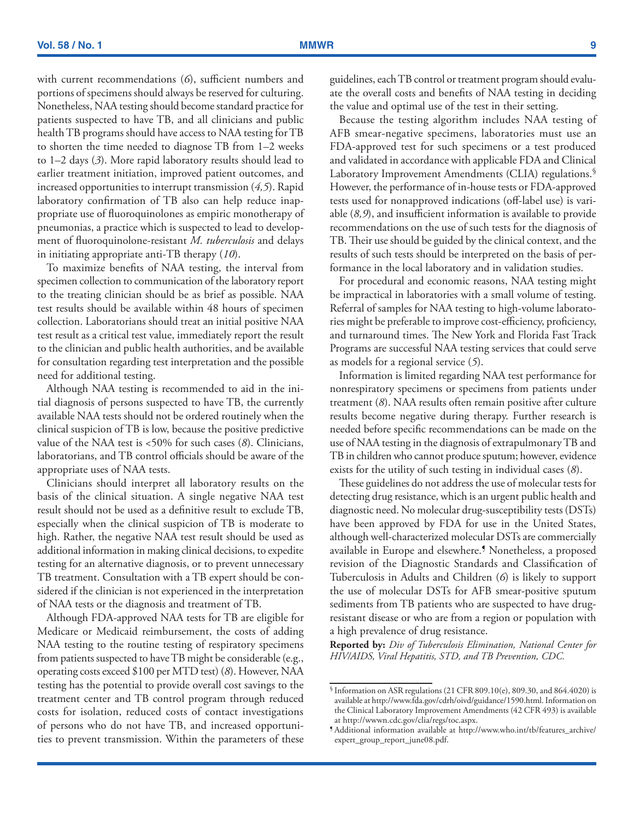with current recommendations (*6*), sufficient numbers and portions of specimens should always be reserved for culturing. Nonetheless, NAA testing should become standard practice for patients suspected to have TB, and all clinicians and public health TB programs should have access to NAA testing for TB to shorten the time needed to diagnose TB from 1–2 weeks to 1–2 days (*3*). More rapid laboratory results should lead to earlier treatment initiation, improved patient outcomes, and increased opportunities to interrupt transmission (*4,5*). Rapid laboratory confirmation of TB also can help reduce inappropriate use of fluoroquinolones as empiric monotherapy of pneumonias, a practice which is suspected to lead to development of fluoroquinolone-resistant *M. tuberculosis* and delays in initiating appropriate anti-TB therapy (*10*).

To maximize benefits of NAA testing, the interval from specimen collection to communication of the laboratory report to the treating clinician should be as brief as possible. NAA test results should be available within 48 hours of specimen collection. Laboratorians should treat an initial positive NAA test result as a critical test value, immediately report the result to the clinician and public health authorities, and be available for consultation regarding test interpretation and the possible need for additional testing.

Although NAA testing is recommended to aid in the initial diagnosis of persons suspected to have TB, the currently available NAA tests should not be ordered routinely when the clinical suspicion of TB is low, because the positive predictive value of the NAA test is <50% for such cases (*8*). Clinicians, laboratorians, and TB control officials should be aware of the appropriate uses of NAA tests.

Clinicians should interpret all laboratory results on the basis of the clinical situation. A single negative NAA test result should not be used as a definitive result to exclude TB, especially when the clinical suspicion of TB is moderate to high. Rather, the negative NAA test result should be used as additional information in making clinical decisions, to expedite testing for an alternative diagnosis, or to prevent unnecessary TB treatment. Consultation with a TB expert should be considered if the clinician is not experienced in the interpretation of NAA tests or the diagnosis and treatment of TB.

Although FDA-approved NAA tests for TB are eligible for Medicare or Medicaid reimbursement, the costs of adding NAA testing to the routine testing of respiratory specimens from patients suspected to have TB might be considerable (e.g., operating costs exceed \$100 per MTD test) (*8*). However, NAA testing has the potential to provide overall cost savings to the treatment center and TB control program through reduced costs for isolation, reduced costs of contact investigations of persons who do not have TB, and increased opportunities to prevent transmission. Within the parameters of these guidelines, each TB control or treatment program should evaluate the overall costs and benefits of NAA testing in deciding the value and optimal use of the test in their setting.

Because the testing algorithm includes NAA testing of AFB smear-negative specimens, laboratories must use an FDA-approved test for such specimens or a test produced and validated in accordance with applicable FDA and Clinical Laboratory Improvement Amendments (CLIA) regulations.§ However, the performance of in-house tests or FDA-approved tests used for nonapproved indications (off-label use) is variable (*8,9*), and insufficient information is available to provide recommendations on the use of such tests for the diagnosis of TB. Their use should be guided by the clinical context, and the results of such tests should be interpreted on the basis of performance in the local laboratory and in validation studies.

For procedural and economic reasons, NAA testing might be impractical in laboratories with a small volume of testing. Referral of samples for NAA testing to high-volume laboratories might be preferable to improve cost-efficiency, proficiency, and turnaround times. The New York and Florida Fast Track Programs are successful NAA testing services that could serve as models for a regional service (*5*).

Information is limited regarding NAA test performance for nonrespiratory specimens or specimens from patients under treatment (*8*). NAA results often remain positive after culture results become negative during therapy. Further research is needed before specific recommendations can be made on the use of NAA testing in the diagnosis of extrapulmonary TB and TB in children who cannot produce sputum; however, evidence exists for the utility of such testing in individual cases (*8*).

These guidelines do not address the use of molecular tests for detecting drug resistance, which is an urgent public health and diagnostic need. No molecular drug-susceptibility tests (DSTs) have been approved by FDA for use in the United States, although well-characterized molecular DSTs are commercially available in Europe and elsewhere.¶ Nonetheless, a proposed revision of the Diagnostic Standards and Classification of Tuberculosis in Adults and Children (*6*) is likely to support the use of molecular DSTs for AFB smear-positive sputum sediments from TB patients who are suspected to have drugresistant disease or who are from a region or population with a high prevalence of drug resistance.

**Reported by:** *Div of Tuberculosis Elimination, National Center for HIV/AIDS, Viral Hepatitis, STD, and TB Prevention, CDC.*

<sup>§</sup> Information on ASR regulations (21 CFR 809.10(e), 809.30, and 864.4020) is available at<http://www.fda.gov/cdrh/oivd/guidance/1590.html>. Information on the Clinical Laboratory Improvement Amendments (42 CFR 493) is available at [http://wwwn.cdc.gov/clia/regs/toc.aspx.](http://wwwn.cdc.gov/clia/regs/toc.aspx)

<sup>¶</sup> Additional information available at [http://www.who.int/tb/features\\_archive/](http://www.who.int/tb/features_archive/expert_group_report_june08.pdf) [expert\\_group\\_report\\_june08.pdf](http://www.who.int/tb/features_archive/expert_group_report_june08.pdf).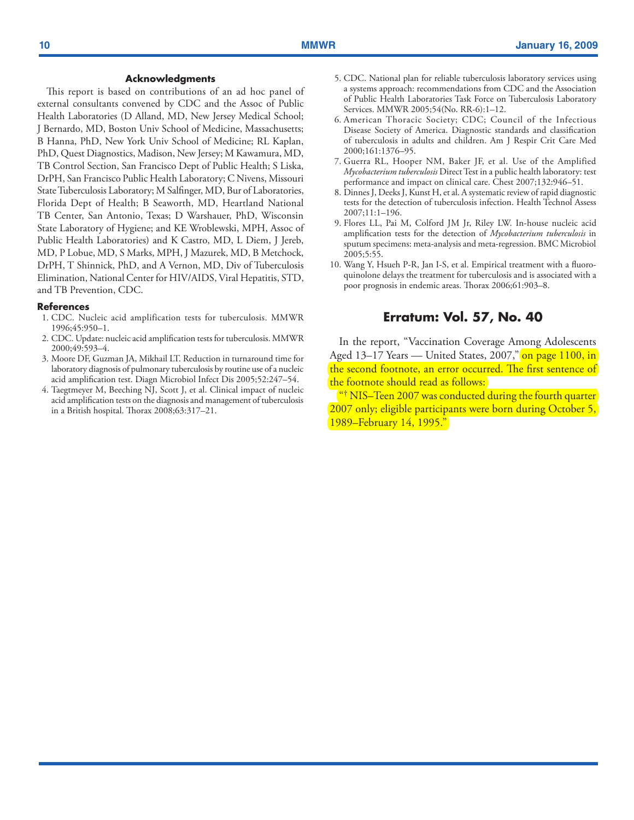## **Acknowledgments**

This report is based on contributions of an ad hoc panel of external consultants convened by CDC and the Assoc of Public Health Laboratories (D Alland, MD, New Jersey Medical School; J Bernardo, MD, Boston Univ School of Medicine, Massachusetts; B Hanna, PhD, New York Univ School of Medicine; RL Kaplan, PhD, Quest Diagnostics, Madison, New Jersey; M Kawamura, MD, TB Control Section, San Francisco Dept of Public Health; S Liska, DrPH, San Francisco Public Health Laboratory; C Nivens, Missouri State Tuberculosis Laboratory; M Salfinger, MD, Bur of Laboratories, Florida Dept of Health; B Seaworth, MD, Heartland National TB Center, San Antonio, Texas; D Warshauer, PhD, Wisconsin State Laboratory of Hygiene; and KE Wroblewski, MPH, Assoc of Public Health Laboratories) and K Castro, MD, L Diem, J Jereb, MD, P Lobue, MD, S Marks, MPH, J Mazurek, MD, B Metchock, DrPH, T Shinnick, PhD, and A Vernon, MD, Div of Tuberculosis Elimination, National Center for HIV/AIDS, Viral Hepatitis, STD, and TB Prevention, CDC.

## **References**

- 1. CDC. Nucleic acid amplification tests for tuberculosis. MMWR 1996;45:950–1.
- 2. CDC. Update: nucleic acid amplification tests for tuberculosis. MMWR 2000;49:593–4.
- 3. Moore DF, Guzman JA, Mikhail LT. Reduction in turnaround time for laboratory diagnosis of pulmonary tuberculosis by routine use of a nucleic acid amplification test. Diagn Microbiol Infect Dis 2005;52:247–54.
- 4. Taegtmeyer M, Beeching NJ, Scott J, et al. Clinical impact of nucleic acid amplification tests on the diagnosis and management of tuberculosis in a British hospital. Thorax 2008;63:317–21.
- 5. CDC. National plan for reliable tuberculosis laboratory services using a systems approach: recommendations from CDC and the Association of Public Health Laboratories Task Force on Tuberculosis Laboratory Services. MMWR 2005;54(No. RR-6):1–12.
- 6. American Thoracic Society; CDC; Council of the Infectious Disease Society of America. Diagnostic standards and classification of tuberculosis in adults and children. Am J Respir Crit Care Med 2000;161:1376–95.
- 7. Guerra RL, Hooper NM, Baker JF, et al. Use of the Amplified *Mycobacterium tuberculosis* Direct Test in a public health laboratory: test performance and impact on clinical care. Chest 2007;132:946–51.
- 8. Dinnes J, Deeks J, Kunst H, et al. A systematic review of rapid diagnostic tests for the detection of tuberculosis infection. Health Technol Assess 2007;11:1–196.
- 9. Flores LL, Pai M, Colford JM Jr, Riley LW. In-house nucleic acid amplification tests for the detection of *Mycobacterium tuberculosis* in sputum specimens: meta-analysis and meta-regression. BMC Microbiol 2005;5:55.
- 10. Wang Y, Hsueh P-R, Jan I-S, et al. Empirical treatment with a fluoroquinolone delays the treatment for tuberculosis and is associated with a poor prognosis in endemic areas. Thorax 2006;61:903–8.

## **Erratum: Vol. 57, No. 40**

In the report, "Vaccination Coverage Among Adolescents Aged 13–17 Years — United States, 2007," on page 1100, in the second footnote, an error occurred. The first sentence of the footnote should read as follows:

["† NIS–Teen 2007 was conducted during the fourth quarter](http://www.cdc.gov/mmwr/PDF/wk/mm5740.pdf)  2007 only; eligible participants were born during October 5, 1989–February 14, 1995."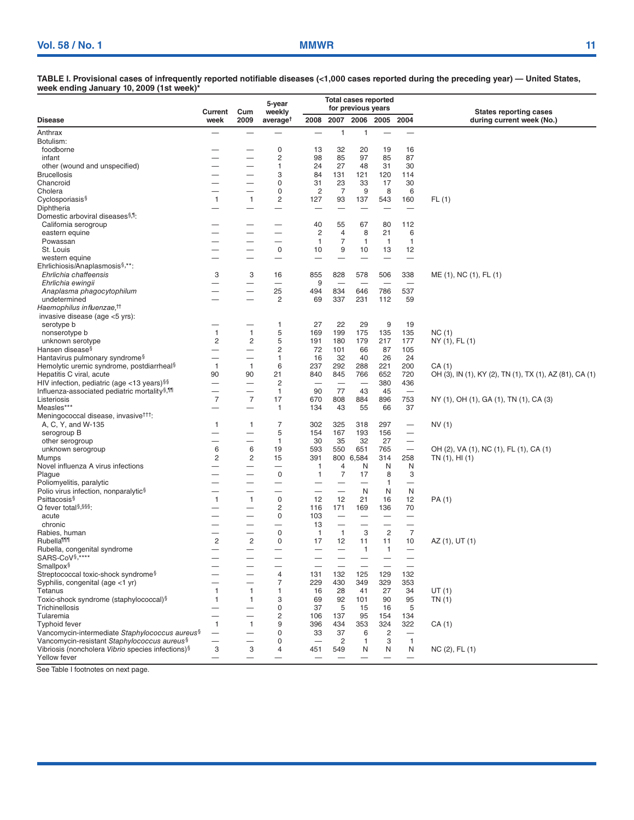**TABLE I. Provisional cases of infrequently reported notifiable diseases (<1,000 cases reported during the preceding year) — United States, week ending January 10, 2009 (1st week)\***

|                                                                                                     | Current                                              | Cum                           | 5-year<br>weekly         |                                  |                                 | <b>Total cases reported</b><br>for previous years |                          |                                               | <b>States reporting cases</b>                                     |
|-----------------------------------------------------------------------------------------------------|------------------------------------------------------|-------------------------------|--------------------------|----------------------------------|---------------------------------|---------------------------------------------------|--------------------------|-----------------------------------------------|-------------------------------------------------------------------|
| <b>Disease</b>                                                                                      | week                                                 | 2009                          | average <sup>t</sup>     | 2008                             | 2007                            |                                                   | 2006 2005 2004           |                                               | during current week (No.)                                         |
| Anthrax                                                                                             |                                                      |                               |                          |                                  | $\mathbf{1}$                    | 1                                                 |                          | $\qquad \qquad -$                             |                                                                   |
| Botulism:                                                                                           |                                                      |                               |                          |                                  |                                 |                                                   |                          |                                               |                                                                   |
| foodborne                                                                                           |                                                      |                               | 0                        | 13                               | 32                              | 20                                                | 19                       | 16                                            |                                                                   |
| infant                                                                                              |                                                      |                               | $\overline{\mathbf{c}}$  | 98                               | 85                              | 97                                                | 85                       | 87                                            |                                                                   |
| other (wound and unspecified)                                                                       | —                                                    | —                             | 1                        | 24                               | 27                              | 48                                                | 31                       | 30                                            |                                                                   |
| <b>Brucellosis</b>                                                                                  | $\overline{\phantom{0}}$                             | $\overline{\phantom{0}}$      | 3                        | 84                               | 131                             | 121                                               | 120                      | 114                                           |                                                                   |
| Chancroid<br>Cholera                                                                                | —                                                    | —                             | 0<br>0                   | 31<br>$\overline{c}$             | 23<br>$\overline{7}$            | 33<br>9                                           | 17<br>8                  | 30<br>6                                       |                                                                   |
| Cyclosporiasis <sup>§</sup>                                                                         | $\mathbf{1}$                                         | $\mathbf{1}$                  | $\overline{\mathbf{c}}$  | 127                              | 93                              | 137                                               | 543                      | 160                                           | FL(1)                                                             |
| Diphtheria                                                                                          |                                                      |                               |                          |                                  |                                 |                                                   |                          |                                               |                                                                   |
| Domestic arboviral diseases <sup>§,¶</sup> :                                                        |                                                      |                               |                          |                                  |                                 |                                                   |                          |                                               |                                                                   |
| California serogroup                                                                                |                                                      |                               |                          | 40                               | 55                              | 67                                                | 80                       | 112                                           |                                                                   |
| eastern equine                                                                                      |                                                      |                               |                          | 2                                | 4                               | 8                                                 | 21                       | 6                                             |                                                                   |
| Powassan                                                                                            |                                                      |                               | -                        | $\mathbf{1}$                     | 7                               | $\mathbf{1}$                                      | $\mathbf{1}$             | $\mathbf{1}$                                  |                                                                   |
| St. Louis                                                                                           |                                                      |                               | $\mathbf 0$              | 10                               | 9                               | 10                                                | 13                       | 12                                            |                                                                   |
| western equine                                                                                      | -                                                    |                               |                          |                                  | -                               |                                                   |                          | $\overline{\phantom{a}}$                      |                                                                   |
| Ehrlichiosis/Anaplasmosis <sup>§</sup> ,**:                                                         |                                                      |                               |                          |                                  |                                 |                                                   |                          |                                               |                                                                   |
| Ehrlichia chaffeensis<br>Ehrlichia ewingii                                                          | 3                                                    | 3                             | 16                       | 855<br>9                         | 828<br>$\overline{\phantom{0}}$ | 578<br>$\overline{\phantom{0}}$                   | 506                      | 338                                           | ME (1), NC (1), FL (1)                                            |
| Anaplasma phagocytophilum                                                                           | -                                                    | -                             | 25                       | 494                              | 834                             | 646                                               | 786                      | 537                                           |                                                                   |
| undetermined                                                                                        |                                                      | -                             | $\overline{2}$           | 69                               | 337                             | 231                                               | 112                      | 59                                            |                                                                   |
| Haemophilus influenzae, <sup>††</sup>                                                               |                                                      |                               |                          |                                  |                                 |                                                   |                          |                                               |                                                                   |
| invasive disease (age <5 yrs):                                                                      |                                                      |                               |                          |                                  |                                 |                                                   |                          |                                               |                                                                   |
| serotype b                                                                                          |                                                      |                               | 1                        | 27                               | 22                              | 29                                                | 9                        | 19                                            |                                                                   |
| nonserotype b                                                                                       | 1                                                    | $\mathbf{1}$                  | 5                        | 169                              | 199                             | 175                                               | 135                      | 135                                           | NC(1)                                                             |
| unknown serotype                                                                                    | $\overline{c}$                                       | $\overline{c}$                | 5                        | 191                              | 180                             | 179                                               | 217                      | 177                                           | NY (1), FL (1)                                                    |
| Hansen disease <sup>§</sup>                                                                         | $\overline{\phantom{0}}$                             | $\overline{\phantom{0}}$      | 2                        | 72                               | 101                             | 66                                                | 87                       | 105                                           |                                                                   |
| Hantavirus pulmonary syndrome <sup>§</sup><br>Hemolytic uremic syndrome, postdiarrheal <sup>§</sup> | $\overline{\phantom{0}}$<br>$\mathbf{1}$             | —<br>—<br>$\mathbf{1}$        | 1<br>6                   | 16<br>237                        | 32                              | 40                                                | 26<br>221                | 24<br>200                                     |                                                                   |
| Hepatitis C viral, acute                                                                            | 90                                                   | 90                            | 21                       | 840                              | 292<br>845                      | 288<br>766                                        | 652                      | 720                                           | CA (1)<br>OH (3), IN (1), KY (2), TN (1), TX (1), AZ (81), CA (1) |
| HIV infection, pediatric (age $<$ 13 years) <sup>§§</sup>                                           |                                                      |                               | $\overline{c}$           |                                  |                                 | $\overline{\phantom{0}}$                          | 380                      | 436                                           |                                                                   |
| Influenza-associated pediatric mortality§, 11                                                       | $\overline{\phantom{0}}$                             | -                             | $\mathbf{1}$             | 90                               | 77                              | 43                                                | 45                       |                                               |                                                                   |
| Listeriosis                                                                                         | $\overline{7}$                                       | $\overline{7}$                | 17                       | 670                              | 808                             | 884                                               | 896                      | 753                                           | NY (1), OH (1), GA (1), TN (1), CA (3)                            |
| Measles***                                                                                          | $\overline{\phantom{0}}$                             | —                             | $\mathbf{1}$             | 134                              | 43                              | 55                                                | 66                       | 37                                            |                                                                   |
| Meningococcal disease, invasive <sup>†††</sup> :                                                    |                                                      |                               |                          |                                  |                                 |                                                   |                          |                                               |                                                                   |
| A, C, Y, and W-135                                                                                  | 1                                                    | $\mathbf{1}$                  | 7                        | 302                              | 325                             | 318                                               | 297                      | $\qquad \qquad -$                             | NV(1)                                                             |
| serogroup B                                                                                         | $\overline{\phantom{0}}$                             | $\overline{\phantom{0}}$      | 5                        | 154                              | 167                             | 193                                               | 156                      |                                               |                                                                   |
| other serogroup<br>unknown serogroup                                                                | 6                                                    | $\overline{\phantom{0}}$<br>6 | $\mathbf{1}$<br>19       | 30<br>593                        | 35<br>550                       | 32<br>651                                         | 27<br>765                | $\qquad \qquad -$<br>$\overline{\phantom{0}}$ | OH (2), VA (1), NC (1), FL (1), CA (1)                            |
| Mumps                                                                                               | 2                                                    | $\overline{c}$                | 15                       | 391                              |                                 | 800 6,584                                         | 314                      | 258                                           | TN(1), H1(1)                                                      |
| Novel influenza A virus infections                                                                  | $\overline{\phantom{0}}$                             |                               |                          | $\mathbf{1}$                     | 4                               | N                                                 | N                        | N                                             |                                                                   |
| Plague                                                                                              |                                                      |                               | $\mathbf 0$              | $\mathbf{1}$                     | $\overline{7}$                  | 17                                                | 8                        | 3                                             |                                                                   |
| Poliomyelitis, paralytic                                                                            | -                                                    | —                             | $\overline{\phantom{0}}$ |                                  | —                               | $\overline{\phantom{0}}$                          | 1                        |                                               |                                                                   |
| Polio virus infection, nonparalytic <sup>§</sup>                                                    | $\overline{\phantom{0}}$                             | $\overline{\phantom{0}}$      | $\overline{\phantom{0}}$ |                                  |                                 | N                                                 | N                        | N                                             |                                                                   |
| Psittacosis <sup>§</sup>                                                                            | $\mathbf{1}$                                         | $\mathbf{1}$                  | 0                        | 12                               | 12                              | 21                                                | 16                       | 12                                            | PA (1)                                                            |
| $Q$ fever total <sup>§,§§§</sup> :                                                                  | -                                                    | —                             | $\overline{\mathbf{c}}$  | 116                              | 171                             | 169                                               | 136                      | 70                                            |                                                                   |
| acute                                                                                               | $\overline{\phantom{0}}$<br>$\overline{\phantom{a}}$ | —                             | 0<br>—                   | 103<br>13                        |                                 | -                                                 | $\overline{\phantom{0}}$ |                                               |                                                                   |
| chronic<br>Rabies, human                                                                            | -                                                    | -                             | 0                        | $\mathbf{1}$                     | 1                               | 3                                                 | $\overline{c}$           | $\overline{7}$                                |                                                                   |
| <b>Rubella<sup>111</sup>1</b>                                                                       | $\overline{2}$                                       | $\overline{c}$                | 0                        | 17                               | 12                              | 11                                                | 11                       | 10                                            | AZ (1), UT (1)                                                    |
| Rubella, congenital syndrome                                                                        |                                                      | $\overline{\phantom{0}}$      |                          |                                  | $\overline{\phantom{0}}$        | 1                                                 | 1                        |                                               |                                                                   |
| SARS-CoV\$,                                                                                         |                                                      |                               |                          |                                  |                                 |                                                   |                          |                                               |                                                                   |
| Smallpox <sup>§</sup>                                                                               |                                                      |                               |                          | $\overline{\phantom{0}}$         |                                 |                                                   |                          |                                               |                                                                   |
| Streptococcal toxic-shock syndrome <sup>§</sup>                                                     |                                                      |                               | 4                        | 131                              | 132                             | 125                                               | 129                      | 132                                           |                                                                   |
| Syphilis, congenital (age <1 yr)                                                                    | $\overline{\phantom{a}}$                             |                               | $\overline{7}$           | 229                              | 430                             | 349                                               | 329                      | 353                                           |                                                                   |
| Tetanus                                                                                             | $\mathbf{1}$                                         | $\mathbf{1}$                  | 1                        | 16                               | 28                              | 41                                                | 27                       | 34                                            | UT(1)                                                             |
| Toxic-shock syndrome (staphylococcal) §                                                             | 1                                                    | $\mathbf{1}$                  | 3                        | 69                               | 92                              | 101                                               | 90                       | 95                                            | TN(1)                                                             |
| Trichinellosis<br>Tularemia                                                                         | —<br>-                                               |                               | 0<br>2                   | 37<br>106                        | 5<br>137                        | 15<br>95                                          | 16<br>154                | 5<br>134                                      |                                                                   |
| <b>Typhoid fever</b>                                                                                | $\mathbf{1}$                                         | $\mathbf{1}$                  | 9                        | 396                              | 434                             | 353                                               | 324                      | 322                                           | CA(1)                                                             |
| Vancomycin-intermediate Staphylococcus aureus <sup>§</sup>                                          |                                                      |                               | 0                        | 33                               | 37                              | 6                                                 | $\overline{2}$           | $\qquad \qquad -$                             |                                                                   |
| Vancomycin-resistant Staphylococcus aureus <sup>§</sup>                                             |                                                      |                               | 0                        | $\overbrace{\phantom{12322111}}$ | 2                               | $\mathbf{1}$                                      | 3                        | $\mathbf{1}$                                  |                                                                   |
| Vibriosis (noncholera Vibrio species infections) §                                                  | 3                                                    | 3                             | 4                        | 451                              | 549                             | N                                                 | N                        | N                                             | NC (2), FL (1)                                                    |
| Yellow fever                                                                                        | $\overline{\phantom{0}}$                             |                               |                          |                                  |                                 |                                                   |                          |                                               |                                                                   |

See Table I footnotes on next page.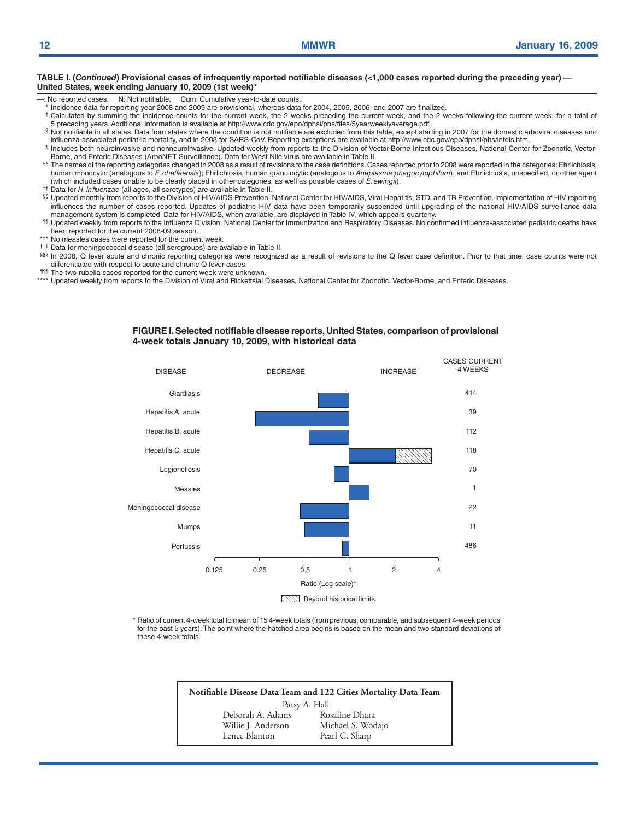#### **TABLE I. (***Continued***) Provisional cases of infrequently reported notifiable diseases (<1,000 cases reported during the preceding year) — United States, week ending January 10, 2009 (1st week)\***

- —: No reported cases. N: Not notifiable. Cum: Cumulative year-to-date counts.
- \* Incidence data for reporting year 2008 and 2009 are provisional, whereas data for 2004, 2005, 2006, and 2007 are finalized.
- † Calculated by summing the incidence counts for the current week, the 2 weeks preceding the current week, and the 2 weeks following the current week, for a total of 5 preceding years. Additional information is available at [http://www.cdc.gov/epo/dphsi/phs/files/5yearweeklyaverage.pdf.](http://www.cdc.gov/epo/dphsi/phs/files/5yearweeklyaverage.pdf)
- § Not notifiable in all states. Data from states where the condition is not notifiable are excluded from this table, except starting in 2007 for the domestic arboviral diseases and<br>influenza-associated pediatric mortality,
- ¶ Includes both neuroinvasive and nonneuroinvasive. Updated weekly from reports to the Division of Vector-Borne Infectious Diseases, National Center for Zoonotic, Vector-Borne, and Enteric Diseases (ArboNET Surveillance). Data for West Nile virus are available in Table II.
- \*\* The names of the reporting categories changed in 2008 as a result of revisions to the case definitions. Cases reported prior to 2008 were reported in the categories: Ehrlichiosis, human monocytic (analogous to *E. chaffeensis*); Ehrlichiosis, human granulocytic (analogous to *Anaplasma phagocytophilum*), and Ehrlichiosis, unspecified, or other agent (which included cases unable to be clearly placed in other categories, as well as possible cases of *E. ewingii*). †† Data for *H. influenzae* (all ages, all serotypes) are available in Table II.
- 
- §§ Updated monthly from reports to the Division of HIV/AIDS Prevention, National Center for HIV/AIDS, Viral Hepatitis, STD, and TB Prevention. Implementation of HIV reporting influences the number of cases reported. Updates of pediatric HIV data have been temporarily suspended until upgrading of the national HIV/AIDS surveillance data management system is completed. Data for HIV/AIDS, when available, are displayed in Table IV, which appears quarterly.
- ¶¶ Updated weekly from reports to the Influenza Division, National Center for Immunization and Respiratory Diseases. No confirmed influenza-associated pediatric deaths have been reported for the current 2008-09 season.
- \*\*\* No measles cases were reported for the current week.
- ††† Data for meningococcal disease (all serogroups) are available in Table II.
- §§§ In 2008, Q fever acute and chronic reporting categories were recognized as a result of revisions to the Q fever case definition. Prior to that time, case counts were not differentiated with respect to acute and chronic Q fever cases.
- $|\!|$  The two rubella cases reported for the current week were unknown.
- \*\*\*\* Updated weekly from reports to the Division of Viral and Rickettsial Diseases, National Center for Zoonotic, Vector-Borne, and Enteric Diseases.

## **Figure I. Selected notifiable disease reports, United States, comparison of provisional 4-week totals January 10, 2009, with historical data**



\* Ratio of current 4-week total to mean of 15 4-week totals (from previous, comparable, and subsequent 4-week periods for the past 5 years). The point where the hatched area begins is based on the mean and two standard deviations of these 4-week totals.

> **Notifiable Disease Data Team and 122 Cities Mortality Data Team** Patsy A. Hall Deborah A. Adams Rosaline Dhara Willie J. Anderson Michael S. Wodajo<br>
> Lenee Blanton Pearl C. Sharp Pearl C. Sharp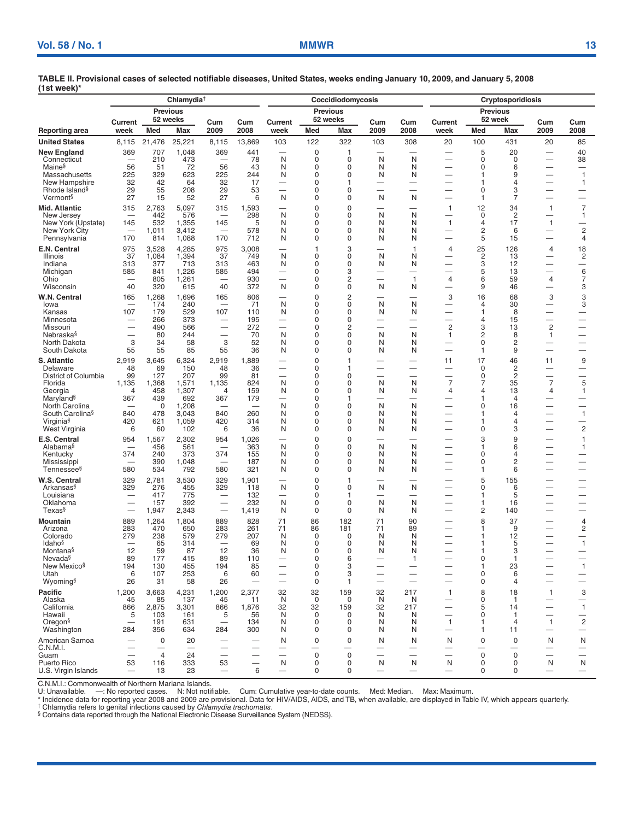|                                                                                                                                                                                                  | Chlamydia <sup>+</sup>                                                 |                                                                              |                                                                                |                                                                                    |                                                                                        |                                                                                    |                                                                 | Coccidiodomycosis                                                                   |                                                          |                                               |                                                   |                                                             | <b>Cryptosporidiosis</b>                                        |                                                                                                                   |                                                                                                                          |
|--------------------------------------------------------------------------------------------------------------------------------------------------------------------------------------------------|------------------------------------------------------------------------|------------------------------------------------------------------------------|--------------------------------------------------------------------------------|------------------------------------------------------------------------------------|----------------------------------------------------------------------------------------|------------------------------------------------------------------------------------|-----------------------------------------------------------------|-------------------------------------------------------------------------------------|----------------------------------------------------------|-----------------------------------------------|---------------------------------------------------|-------------------------------------------------------------|-----------------------------------------------------------------|-------------------------------------------------------------------------------------------------------------------|--------------------------------------------------------------------------------------------------------------------------|
|                                                                                                                                                                                                  | <b>Previous</b><br>52 weeks                                            |                                                                              |                                                                                |                                                                                    |                                                                                        |                                                                                    |                                                                 | <b>Previous</b>                                                                     |                                                          |                                               |                                                   |                                                             | <b>Previous</b>                                                 |                                                                                                                   |                                                                                                                          |
| Reporting area                                                                                                                                                                                   | Current<br>week                                                        | Med                                                                          | Max                                                                            | Cum<br>2009                                                                        | Cum<br>2008                                                                            | Current<br>week                                                                    | Med                                                             | 52 weeks<br>Max                                                                     | Cum<br>2009                                              | Cum<br>2008                                   | Current<br>week                                   | Med                                                         | 52 week<br>Max                                                  | Cum<br>2009                                                                                                       | Cum<br>2008                                                                                                              |
| <b>United States</b>                                                                                                                                                                             | 8,115                                                                  | 21,476                                                                       | 25,221                                                                         | 8,115                                                                              | 13,869                                                                                 | 103                                                                                | 122                                                             | 322                                                                                 | 103                                                      | 308                                           | 20                                                | 100                                                         | 431                                                             | 20                                                                                                                | 85                                                                                                                       |
| New England<br>Connecticut<br>Maine <sup>§</sup><br>Massachusetts<br>New Hampshire<br>Rhode Island <sup>§</sup><br>Vermont§                                                                      | 369<br>56<br>225<br>32<br>29<br>27                                     | 707<br>210<br>51<br>329<br>42<br>55<br>15                                    | 1,048<br>473<br>72<br>623<br>64<br>208<br>52                                   | 369<br>56<br>225<br>32<br>29<br>27                                                 | 441<br>78<br>43<br>244<br>17<br>53<br>6                                                | —<br>N<br>N<br>N<br>$\overline{\phantom{0}}$<br>N                                  | $\mathbf 0$<br>$\mathbf 0$<br>0<br>0<br>0<br>0<br>0             | $\mathbf{1}$<br>0<br>$\mathbf 0$<br>0<br>1<br>0<br>0                                | N<br>N<br>N<br>-<br>N                                    | N<br>Ν<br>N<br><u>—</u><br>N                  | $\overline{\phantom{0}}$                          | 5<br>0<br>0<br>1<br>1<br>0<br>1                             | 20<br>0<br>6<br>9<br>4<br>3<br>7                                | —<br>$\overline{\phantom{0}}$                                                                                     | 40<br>38<br>$\overline{1}$<br>1                                                                                          |
| Mid. Atlantic<br>New Jersey<br>New York (Upstate)<br>New York City<br>Pennsylvania                                                                                                               | 315<br>145<br>170                                                      | 2,763<br>442<br>532<br>1,011<br>814                                          | 5,097<br>576<br>1,355<br>3,412<br>1,088                                        | 315<br>145<br>$\overline{\phantom{0}}$<br>170                                      | 1,593<br>298<br>5<br>578<br>712                                                        | N<br>N<br>N<br>N                                                                   | 0<br>0<br>0<br>0<br>0                                           | $\mathbf 0$<br>$\mathbf 0$<br>$\mathbf 0$<br>0<br>0                                 | N<br>N<br>N<br>N                                         | N<br>N<br>N<br>N                              | 1<br>1<br>$\overline{\phantom{0}}$                | 12<br>0<br>4<br>2<br>5                                      | 34<br>$\overline{2}$<br>17<br>6<br>15                           | $\mathbf{1}$<br>$\mathbf{1}$<br>$\overline{\phantom{0}}$                                                          | $\overline{7}$<br>$\mathbf{1}$<br>$\overline{c}$<br>4                                                                    |
| E.N. Central<br><b>Illinois</b><br>Indiana<br>Michigan<br>Ohio<br>Wisconsin                                                                                                                      | 975<br>37<br>313<br>585<br>-<br>40                                     | 3,528<br>1,084<br>377<br>841<br>805<br>320                                   | 4,285<br>1,394<br>713<br>1,226<br>1,261<br>615                                 | 975<br>37<br>313<br>585<br>40                                                      | 3,008<br>749<br>463<br>494<br>930<br>372                                               | N<br>N<br>N                                                                        | 1<br>0<br>0<br>0<br>0<br>0                                      | 3<br>0<br>0<br>3<br>2<br>0                                                          | N<br>N<br>N                                              | $\mathbf{1}$<br>N<br>N<br>$\overline{1}$<br>N | 4<br>—<br>4<br>$\overline{\phantom{0}}$           | 25<br>$\overline{2}$<br>3<br>5<br>6<br>9                    | 126<br>13<br>12<br>13<br>59<br>46                               | 4<br>$\overline{\phantom{0}}$<br>$\overline{\phantom{0}}$<br>4<br>—                                               | 18<br>2<br>$\qquad \qquad -$<br>6<br>7<br>3                                                                              |
| W.N. Central<br>Iowa<br>Kansas<br>Minnesota<br>Missouri<br>Nebraska§<br>North Dakota<br>South Dakota                                                                                             | 165<br>$\overline{\phantom{0}}$<br>107<br>-<br>3<br>55                 | 1,268<br>174<br>179<br>266<br>490<br>80<br>34<br>55                          | 1,696<br>240<br>529<br>373<br>566<br>244<br>58<br>85                           | 165<br>$\overline{\phantom{a}}$<br>107<br>$\overbrace{\phantom{12333}}$<br>3<br>55 | 806<br>71<br>110<br>195<br>272<br>70<br>52<br>36                                       | N<br>N<br>$\overline{\phantom{0}}$<br>N<br>N<br>N                                  | 0<br>0<br>0<br>0<br>0<br>0<br>0<br>0                            | $\overline{c}$<br>0<br>0<br>0<br>2<br>0<br>0<br>0                                   | N<br>N<br>-<br>N<br>N<br>N                               | N<br>N<br>-<br>N<br>N<br>N                    | 3<br>—<br>—<br>2<br>1<br>$\overline{\phantom{0}}$ | 16<br>4<br>1<br>4<br>3<br>2<br>0<br>$\mathbf{1}$            | 68<br>30<br>8<br>15<br>13<br>8<br>2<br>9                        | 3<br>—<br>$\overline{\phantom{0}}$<br>$\overline{\phantom{0}}$<br>$\overline{c}$<br>1<br>$\overline{\phantom{0}}$ | 3<br>3<br>—<br>$\overline{\phantom{0}}$<br>$\overline{\phantom{0}}$                                                      |
| <b>S. Atlantic</b><br>Delaware<br>District of Columbia<br>Florida<br>Georgia<br>Maryland <sup>§</sup><br>North Carolina<br>South Carolina <sup>§</sup><br>Virginia <sup>§</sup><br>West Virginia | 2,919<br>48<br>99<br>1,135<br>$\overline{4}$<br>367<br>840<br>420<br>6 | 3,645<br>69<br>127<br>1,368<br>458<br>439<br>$\mathbf 0$<br>478<br>621<br>60 | 6,324<br>150<br>207<br>1,571<br>1,307<br>692<br>1,208<br>3,043<br>1,059<br>102 | 2,919<br>48<br>99<br>1,135<br>$\overline{4}$<br>367<br>-<br>840<br>420<br>6        | 1,889<br>36<br>81<br>824<br>159<br>179<br>$\overline{\phantom{0}}$<br>260<br>314<br>36 | $\overline{\phantom{0}}$<br>N<br>N<br>$\overline{\phantom{0}}$<br>N<br>N<br>N<br>N | 0<br>0<br>0<br>0<br>0<br>0<br>0<br>0<br>0<br>0                  | 1<br>1<br>$\mathbf 0$<br>0<br>$\mathbf 0$<br>1<br>$\mathbf 0$<br>0<br>$\Omega$<br>0 | —<br>N<br>N<br>-<br>N<br>N<br>N<br>N                     | -<br>N<br>N<br>-<br>N<br>N<br>N<br>N          | 11<br>-<br>7<br>4<br>—<br>—                       | 17<br>0<br>0<br>7<br>4<br>1<br>0<br>1<br>1<br>0             | 46<br>$\overline{2}$<br>2<br>35<br>13<br>4<br>16<br>4<br>4<br>3 | 11<br>—<br>—<br>$\overline{7}$<br>$\overline{4}$<br>$\overline{\phantom{0}}$<br>—<br>-                            | 9<br>$\qquad \qquad -$<br>5<br>1<br>$\mathbf{1}$<br>$\sqrt{2}$                                                           |
| E.S. Central<br>Alabama <sup>§</sup><br>Kentucky<br>Mississippi<br>Tennessee§                                                                                                                    | 954<br>374<br>580                                                      | 1,567<br>456<br>240<br>390<br>534                                            | 2,302<br>561<br>373<br>1,048<br>792                                            | 954<br>-<br>374<br>$\overline{\phantom{a}}$<br>580                                 | 1,026<br>363<br>155<br>187<br>321                                                      | N<br>N<br>N<br>N                                                                   | 0<br>0<br>0<br>0<br>0                                           | $\mathbf 0$<br>$\mathbf 0$<br>0<br>$\mathbf 0$<br>0                                 | N<br>N<br>N<br>N                                         | N<br>N<br>N<br>N                              | —                                                 | 3<br>1<br>0<br>0<br>1                                       | 9<br>6<br>4<br>2<br>6                                           | $\overline{\phantom{0}}$<br>$\overline{\phantom{0}}$                                                              | $\mathbf{1}$<br>1                                                                                                        |
| W.S. Central<br>Arkansas§<br>Louisiana<br>Oklahoma<br>Texas§                                                                                                                                     | 329<br>329<br>$\overline{\phantom{0}}$                                 | 2,781<br>276<br>417<br>157<br>1,947                                          | 3,530<br>455<br>775<br>392<br>2,343                                            | 329<br>329<br>$\overline{\phantom{0}}$                                             | 1,901<br>118<br>132<br>232<br>1,419                                                    | N<br>$\overline{\phantom{0}}$<br>N<br>N                                            | $\Omega$<br>0<br>0<br>0<br>$\mathbf 0$                          | 1<br>$\mathbf 0$<br>1<br>$\mathbf 0$<br>0                                           | N<br>N<br>N                                              | N<br>N<br>N                                   | $\overline{\phantom{0}}$                          | 5<br>0<br>1<br>$\mathbf{1}$<br>2                            | 155<br>6<br>5<br>16<br>140                                      | -<br>$\overline{\phantom{0}}$<br>$\overline{\phantom{0}}$                                                         |                                                                                                                          |
| Mountain<br>Arizona<br>Colorado<br>Idaho <sup>§</sup><br>Montana§<br>Nevada <sup>s</sup><br>New Mexico <sup>§</sup><br>Utah<br>Wyoming§                                                          | 889<br>283<br>279<br>12<br>89<br>194<br>6<br>26                        | 1,264<br>470<br>238<br>65<br>59<br>1/7<br>130<br>107<br>31                   | 1,804<br>650<br>579<br>314<br>87<br>415<br>455<br>253<br>58                    | 889<br>283<br>279<br>$\overline{\phantom{0}}$<br>12<br>89<br>194<br>6<br>26        | 828<br>261<br>207<br>69<br>36<br>110<br>85<br>60                                       | 71<br>71<br>N<br>N<br>N<br>-<br>$\overline{\phantom{0}}$                           | 86<br>86<br>$\mathbf 0$<br>$\mathbf 0$<br>0<br>O<br>0<br>0<br>0 | 182<br>181<br>$\mathbf 0$<br>0<br>0<br>6<br>3<br>3<br>1                             | 71<br>71<br>N<br>N<br>N<br>$\overline{\phantom{0}}$<br>— | 90<br>89<br>N<br>N<br>N<br>L.<br>-<br>-<br>—  | --<br>$\overline{\phantom{0}}$                    | 8<br>1<br>1<br>1<br>1<br>O<br>1<br>0<br>0                   | 37<br>9<br>12<br>5<br>3<br>23<br>6<br>4                         | $\overline{\phantom{0}}$<br>-<br>$\overline{\phantom{0}}$                                                         | $\overline{4}$<br>2<br>—<br>$\mathbf{1}$<br>--<br>$\overline{1}$<br>$\hspace{0.1mm}-\hspace{0.1mm}$<br>$\qquad \qquad -$ |
| Pacific<br>Alaska<br>California<br>Hawaii<br>Oregon <sup>§</sup><br>Washington                                                                                                                   | 1,200<br>45<br>866<br>5<br>284                                         | 3,663<br>85<br>2,875<br>103<br>191<br>356                                    | 4,231<br>137<br>3,301<br>161<br>631<br>634                                     | 1,200<br>45<br>866<br>5<br>284                                                     | 2,377<br>11<br>1,876<br>56<br>134<br>300                                               | 32<br>N<br>32<br>N<br>N<br>N                                                       | 32<br>0<br>32<br>0<br>0<br>0                                    | 159<br>0<br>159<br>0<br>0<br>0                                                      | 32<br>N<br>32<br>N<br>N<br>N                             | 217<br>N<br>217<br>N<br>N<br>N                | -1<br>$\mathbf{1}$<br>—                           | 8<br>0<br>5<br>0<br>1<br>1                                  | 18<br>-1<br>14<br>-1<br>4<br>11                                 | 1<br>$\overline{\phantom{0}}$<br>$\overline{\phantom{0}}$<br>$\mathbf{1}$<br>-                                    | 3<br>$\overline{\phantom{0}}$<br>$\mathbf{1}$<br>$\qquad \qquad -$<br>$\overline{c}$<br>$\hspace{0.1mm}-\hspace{0.1mm}$  |
| American Samoa<br>C.N.M.I.<br>Guam<br>Puerto Rico<br>U.S. Virgin Islands                                                                                                                         | -<br>53<br>$\overline{\phantom{0}}$                                    | 0<br>$\overline{4}$<br>116<br>13                                             | 20<br>$\overline{\phantom{0}}$<br>24<br>333<br>23                              | $\overline{\phantom{0}}$<br>53<br>$\overline{\phantom{m}}$                         | 6                                                                                      | N<br>-<br>$\overline{\phantom{0}}$<br>N                                            | 0<br>-<br>$\mathbf 0$<br>0<br>0                                 | 0<br>-<br>0<br>0<br>0                                                               | N<br>—<br>—<br>N<br>$\overline{\phantom{0}}$             | N<br>-<br>-<br>N<br>$\overline{\phantom{0}}$  | N<br>-<br>N<br>$\overline{\phantom{0}}$           | 0<br>$\overbrace{\phantom{13333}}$<br>$\mathbf 0$<br>0<br>0 | 0<br>-<br>0<br>0<br>0                                           | N<br>—<br>—<br>N<br>$\hspace{0.05cm}$                                                                             | N<br>—<br>N<br>$\overline{\phantom{m}}$                                                                                  |

C.N.M.I.: Commonwealth of Northern Mariana Islands.<br>U: Unavailable. —: No reported cases. N: Not notifiable. Cum: Cumulative year-to-date counts. Med: Median. Max: Maximum.<br>\* Incidence data for reporting

§ Contains data reported through the National Electronic Disease Surveillance System (NEDSS).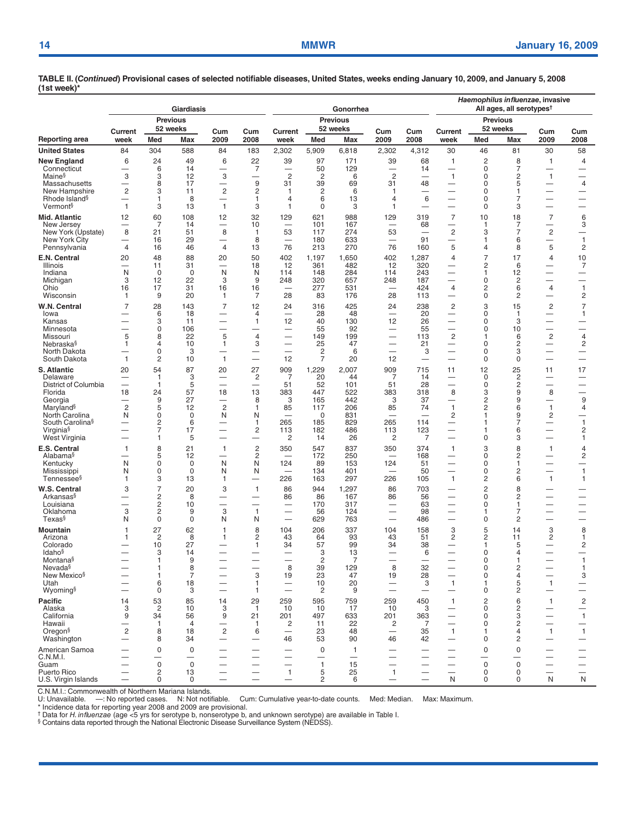| <b>Giardiasis</b>                             |                                            |                      |                             |                                            |                               |                                            |                     | Gonorrhea                   |                                                      |                                 |                                                      |                                         | Haemophilus influenzae, invasive<br>All ages, all serotypes <sup>t</sup> |                                            |                                             |
|-----------------------------------------------|--------------------------------------------|----------------------|-----------------------------|--------------------------------------------|-------------------------------|--------------------------------------------|---------------------|-----------------------------|------------------------------------------------------|---------------------------------|------------------------------------------------------|-----------------------------------------|--------------------------------------------------------------------------|--------------------------------------------|---------------------------------------------|
|                                               |                                            |                      | <b>Previous</b><br>52 weeks |                                            |                               |                                            |                     | <b>Previous</b><br>52 weeks |                                                      |                                 |                                                      |                                         | <b>Previous</b><br>52 weeks                                              |                                            |                                             |
| Reporting area                                | Current<br>week                            | Med                  | Max                         | Cum<br>2009                                | Cum<br>2008                   | Current<br>week                            | Med                 | Max                         | Cum<br>2009                                          | Cum<br>2008                     | Current<br>week                                      | Med                                     | Max                                                                      | Cum<br>2009                                | Cum<br>2008                                 |
| <b>United States</b>                          | 84                                         | 304                  | 588                         | 84                                         | 183                           | 2,302                                      | 5,909               | 6,818                       | 2,302                                                | 4,312                           | 30                                                   | 46                                      | 81                                                                       | 30                                         | 58                                          |
| <b>New England</b>                            | 6                                          | 24                   | 49                          | 6                                          | 22                            | 39                                         | 97                  | 171                         | 39                                                   | 68                              | $\mathbf{1}$                                         | $\overline{2}$                          | 8                                                                        | $\mathbf{1}$                               | 4                                           |
| Connecticut<br>Maine <sup>§</sup>             | 3                                          | 6<br>3               | 14<br>12                    | $\overbrace{\phantom{12333}}$<br>3         | 7<br>—                        | $\overline{\phantom{0}}$<br>$\overline{c}$ | 50<br>2             | 129<br>6                    | $\overline{2}$                                       | 14                              | $\overline{\phantom{0}}$<br>$\overline{1}$           | 0<br>0                                  | $\overline{7}$<br>2                                                      | -<br>$\mathbf{1}$                          | $\qquad \qquad$<br>$\overline{\phantom{0}}$ |
| Massachusetts                                 |                                            | 8                    | 17                          |                                            | 9                             | 31                                         | 39                  | 69                          | 31                                                   | 48                              | $\overline{\phantom{0}}$                             | 0                                       | 5                                                                        |                                            | 4                                           |
| New Hampshire<br>Rhode Island <sup>§</sup>    | $\overline{c}$<br>$\overline{\phantom{0}}$ | 3<br>1               | 11<br>8                     | $\overline{2}$<br>$\overline{\phantom{0}}$ | 2<br>1                        | 1<br>4                                     | $\overline{c}$<br>6 | 6<br>13                     | 1<br>4                                               | 6                               | $\overline{\phantom{0}}$<br>$\overline{\phantom{0}}$ | 0<br>0                                  | 1<br>7                                                                   | -                                          | $\overline{\phantom{0}}$                    |
| Vermont <sup>§</sup>                          | $\mathbf{1}$                               | 3                    | 13                          | $\mathbf{1}$                               | 3                             | 1                                          | $\mathbf 0$         | 3                           | 1                                                    | $\overline{\phantom{0}}$        |                                                      | $\mathbf 0$                             | 3                                                                        |                                            | $\overline{\phantom{0}}$                    |
| <b>Mid. Atlantic</b>                          | 12                                         | 60                   | 108                         | 12                                         | 32                            | 129                                        | 621                 | 988                         | 129                                                  | 319                             | $\overline{7}$                                       | 10                                      | 18                                                                       | $\overline{7}$                             | 6                                           |
| New Jersey<br>New York (Upstate)              | 8                                          | 7<br>21              | 14<br>51                    | $\overbrace{\phantom{12333}}$<br>8         | 10<br>1                       | -<br>53                                    | 101<br>117          | 167<br>274                  | $\overline{\phantom{0}}$<br>53                       | 68                              | $\overline{\phantom{0}}$<br>$\overline{c}$           | 1<br>3                                  | 7<br>7                                                                   | $\overline{\mathbf{c}}$                    | 3<br>$\overline{\phantom{0}}$               |
| New York City                                 | $\overline{\phantom{m}}$                   | 16                   | 29                          | $\overline{\phantom{0}}$                   | 8                             | $\equiv$                                   | 180                 | 633                         | $\overline{\phantom{0}}$                             | 91                              | —                                                    | 1                                       | 6                                                                        |                                            | $\mathbf{1}$                                |
| Pennsylvania<br>E.N. Central                  | $\overline{4}$<br>20                       | 16<br>48             | 46<br>88                    | $\overline{4}$<br>20                       | 13<br>50                      | 76<br>402                                  | 213                 | 270<br>1,650                | 76<br>402                                            | 160                             | 5                                                    | $\overline{4}$<br>$\overline{7}$        | 8<br>17                                                                  | 5<br>$\overline{4}$                        | $\overline{c}$<br>10                        |
| <b>Illinois</b>                               |                                            | 11                   | 31                          | $\overline{\phantom{0}}$                   | 18                            | 12                                         | 1,197<br>361        | 482                         | 12                                                   | 1,287<br>320                    | 4                                                    | $\overline{2}$                          | 6                                                                        |                                            | $\overline{7}$                              |
| Indiana                                       | N                                          | $\mathbf 0$          | $\mathbf 0$                 | N                                          | N                             | 114                                        | 148                 | 284                         | 114                                                  | 243                             | $\overline{\phantom{0}}$                             | 1                                       | 12                                                                       | $\overline{\phantom{0}}$                   |                                             |
| Michigan<br>Ohio                              | 3<br>16                                    | 12<br>17             | 22<br>31                    | 3<br>16                                    | 9<br>16                       | 248<br>-                                   | 320<br>277          | 657<br>531                  | 248<br>$\overline{\phantom{0}}$                      | 187<br>424                      | $\overline{\phantom{0}}$<br>$\overline{4}$           | 0<br>2                                  | 2<br>6                                                                   | $\overline{\phantom{0}}$<br>$\overline{4}$ | $\overline{\phantom{0}}$<br>$\mathbf{1}$    |
| Wisconsin                                     | 1                                          | 9                    | 20                          | 1                                          | 7                             | 28                                         | 83                  | 176                         | 28                                                   | 113                             | $\overline{\phantom{0}}$                             | 0                                       | 2                                                                        |                                            | 2                                           |
| W.N. Central                                  | $\overline{7}$                             | 28                   | 143                         | $\overline{7}$                             | 12                            | 24                                         | 316                 | 425                         | 24                                                   | 238                             | $\overline{c}$                                       | 3                                       | 15                                                                       | $\overline{c}$                             | 7                                           |
| lowa<br>Kansas                                |                                            | 6<br>3               | 18<br>11                    | -                                          | 4<br>1                        | $\overline{\phantom{0}}$<br>12             | 28<br>40            | 48<br>130                   | 12                                                   | 20<br>26                        | —                                                    | 0<br>0                                  | $\mathbf{1}$<br>3                                                        | $\overline{\phantom{0}}$                   | $\mathbf{1}$                                |
| Minnesota                                     |                                            | $\Omega$             | 106                         | $\equiv$                                   |                               |                                            | 55                  | 92                          | $\overline{\phantom{0}}$                             | 55                              | $\overline{\phantom{0}}$                             | $\mathbf 0$                             | 10                                                                       | $\overline{\phantom{0}}$                   |                                             |
| Missouri<br>Nebraska§                         | 5<br>$\mathbf{1}$                          | 8<br>4               | 22<br>10                    | 5<br>$\mathbf{1}$                          | $\overline{4}$<br>3           | $\overline{\phantom{0}}$<br>—              | 149<br>25           | 199<br>47                   | $\overline{\phantom{0}}$<br>$\overline{\phantom{0}}$ | 113<br>21                       | $\overline{2}$<br>$\overline{\phantom{0}}$           | 1<br>0                                  | 6<br>2                                                                   | $\overline{c}$<br>$\overline{\phantom{0}}$ | $\overline{4}$<br>2                         |
| North Dakota                                  |                                            | 0                    | 3                           |                                            |                               | ▃                                          | 2                   | 6                           | ▃                                                    | 3                               |                                                      | 0                                       | 3                                                                        | $\overline{\phantom{0}}$                   |                                             |
| South Dakota                                  | 1                                          | 2                    | 10                          | $\mathbf{1}$                               | $\overline{\phantom{0}}$      | 12                                         | $\overline{7}$      | 20                          | 12                                                   |                                 | $\overline{\phantom{0}}$                             | 0                                       | 0                                                                        |                                            |                                             |
| <b>S. Atlantic</b><br>Delaware                | 20                                         | 54<br>$\mathbf{1}$   | 87<br>3                     | 20                                         | 27<br>$\overline{c}$          | 909<br>7                                   | 1,229<br>20         | 2,007<br>44                 | 909<br>7                                             | 715<br>14                       | 11                                                   | 12<br>0                                 | 25<br>2                                                                  | 11                                         | 17                                          |
| District of Columbia                          | $\overline{\phantom{0}}$                   | $\mathbf{1}$         | 5                           | $\equiv$                                   | $\overline{\phantom{0}}$      | 51                                         | 52                  | 101                         | 51                                                   | 28                              | —                                                    | 0                                       | 2                                                                        | $\overline{\phantom{a}}$                   | $\overline{\phantom{0}}$<br>$\equiv$        |
| Florida<br>Georgia                            | 18<br>$\overline{\phantom{0}}$             | 24<br>9              | 57<br>27                    | 18<br>$\overline{\phantom{0}}$             | 13<br>8                       | 383<br>3                                   | 447<br>165          | 522<br>442                  | 383<br>3                                             | 318<br>37                       | 8<br>—                                               | 3<br>$\overline{c}$                     | 9<br>9                                                                   | 8<br>$\overline{\phantom{0}}$              | 9                                           |
| Maryland <sup>§</sup>                         | $\overline{c}$                             | 5                    | 12                          | $\overline{c}$                             | 1                             | 85                                         | 117                 | 206                         | 85                                                   | 74                              | $\overline{1}$                                       | 2                                       | 6                                                                        | $\mathbf{1}$                               | 4                                           |
| North Carolina<br>South Carolina <sup>§</sup> | N<br>$\overline{\phantom{0}}$              | 0<br>2               | 0<br>6                      | N                                          | N<br>1                        | 265                                        | 0<br>185            | 831<br>829                  | 265                                                  | $\overline{\phantom{m}}$<br>114 | 2<br>$\overline{\phantom{0}}$                        | 1<br>1                                  | 9<br>7                                                                   | 2<br>$\overline{\phantom{0}}$              | $\mathbf{1}$                                |
| Virginia <sup>§</sup>                         | $\overline{\phantom{0}}$                   | $\overline{7}$       | 17                          |                                            | $\overline{\mathbf{c}}$       | 113                                        | 182                 | 486                         | 113                                                  | 123                             | $\overline{\phantom{0}}$                             | 1                                       | 6                                                                        | $\overline{\phantom{0}}$                   | 2                                           |
| <b>West Virginia</b>                          |                                            | 1                    | 5                           |                                            |                               | 2                                          | 14                  | 26                          | 2                                                    | 7                               | $\overline{\phantom{0}}$                             | 0                                       | 3                                                                        |                                            | 1                                           |
| E.S. Central<br>Alabama <sup>§</sup>          | 1                                          | 8<br>5               | 21<br>12                    | 1<br>$\overline{\phantom{0}}$              | $\sqrt{2}$<br>$\overline{c}$  | 350                                        | 547<br>172          | 837<br>250                  | 350<br>$\overline{\phantom{m}}$                      | 374<br>168                      | $\overline{1}$<br>—                                  | 3<br>0                                  | 8<br>2                                                                   | $\mathbf{1}$<br>$\overline{\phantom{0}}$   | 4<br>2                                      |
| Kentucky                                      | N                                          | 0                    | 0                           | N                                          | N                             | 124                                        | 89                  | 153                         | 124                                                  | 51                              |                                                      | 0                                       | 1                                                                        | $\overline{\phantom{0}}$                   |                                             |
| Mississippi<br>Tennessee§                     | N<br>1                                     | 0<br>3               | 0<br>13                     | N<br>1                                     | N<br>$\overline{\phantom{0}}$ | 226                                        | 134<br>163          | 401<br>297                  | 226                                                  | 50<br>105                       | —<br>$\mathbf{1}$                                    | 0<br>2                                  | 2<br>6                                                                   | $\mathbf{1}$                               | $\mathbf{1}$<br>1                           |
| W.S. Central                                  | 3                                          | $\overline{7}$       | 20                          | 3                                          | $\mathbf{1}$                  | 86                                         | 944                 | 1,297                       | 86                                                   | 703                             |                                                      | $\overline{c}$                          | 8                                                                        |                                            |                                             |
| Arkansas§<br>Louisiana                        | $\overline{\phantom{0}}$                   | 2<br>2               | 8<br>10                     | $\equiv$                                   | <u>Line</u>                   | 86                                         | 86<br>170           | 167<br>317                  | 86<br>$\overline{\phantom{m}}$                       | 56<br>63                        | -<br>$\overline{\phantom{0}}$                        | 0<br>0                                  | 2<br>1                                                                   | $\overline{\phantom{0}}$                   |                                             |
| Oklahoma                                      | 3                                          | 2                    | 9                           | 3                                          | $\mathbf{1}$                  |                                            | 56                  | 124                         |                                                      | 98                              | $\overline{\phantom{0}}$                             | 1                                       | 7                                                                        |                                            |                                             |
| Texas§                                        | N                                          | 0                    | 0                           | N                                          | N                             | $\overline{\phantom{0}}$                   | 629                 | 763                         | $\overline{\phantom{0}}$                             | 486                             |                                                      | 0                                       | 2                                                                        | $\overline{\phantom{0}}$                   | $\overline{\phantom{0}}$                    |
| Mountain<br>Arizona                           | 1                                          | 27<br>$\overline{2}$ | 62<br>8                     | 1<br>1                                     | 8<br>2                        | 104<br>43                                  | 206<br>64           | 337<br>93                   | 104<br>43                                            | 158<br>51                       | 3<br>2                                               | 5<br>2                                  | 14<br>11                                                                 | 3<br>2                                     | 8<br>1                                      |
| Colorado                                      |                                            | 10                   | 27                          |                                            | 1                             | 34                                         | 57                  | 99                          | 34                                                   | 38                              | —                                                    | 1                                       | 5                                                                        |                                            | 2                                           |
| Idaho <sup>§</sup><br>Montana§                |                                            | 3<br>1               | 14<br>9                     |                                            |                               |                                            | 3<br>2              | 13<br>7                     |                                                      | 6                               |                                                      | 0<br>0                                  | 4<br>1                                                                   |                                            |                                             |
| Nevada <sup>§</sup>                           |                                            | $\mathbf{1}$         | 8                           |                                            | $\overline{\phantom{0}}$      | 8                                          | 39                  | 129                         | 8                                                    | 32                              | $\overline{\phantom{0}}$                             | $\mathbf 0$                             | $\overline{\mathbf{c}}$                                                  | $\overline{\phantom{0}}$                   | 1                                           |
| New Mexico <sup>§</sup><br>Utah               | $\overline{\phantom{0}}$                   | $\mathbf{1}$<br>6    | $\overline{7}$<br>18        | $\overline{\phantom{0}}$                   | 3<br>1                        | 19<br>-                                    | 23<br>10            | 47<br>20                    | 19                                                   | 28<br>3                         | $\overline{\phantom{0}}$<br>$\mathbf{1}$             | 0<br>1                                  | 4<br>5                                                                   | ▃<br>1                                     | 3                                           |
| Wyoming <sup>§</sup>                          | $\overline{\phantom{0}}$                   | 0                    | 3                           |                                            | 1                             |                                            | 2                   | 9                           |                                                      |                                 | $\overline{\phantom{0}}$                             | 0                                       | $\overline{c}$                                                           |                                            |                                             |
| Pacific                                       | 14                                         | 53                   | 85                          | 14                                         | 29                            | 259                                        | 595                 | 759                         | 259                                                  | 450                             | $\overline{1}$                                       | $\overline{c}$                          | 6                                                                        | $\mathbf{1}$                               | $\sqrt{2}$                                  |
| Alaska<br>California                          | 3<br>9                                     | $\overline{2}$<br>34 | 10<br>56                    | 3<br>9                                     | -1<br>21                      | 10<br>201                                  | 10<br>497           | 17<br>633                   | 10<br>201                                            | 3<br>363                        | —                                                    | $\mathbf 0$<br>0                        | 2<br>3                                                                   |                                            | $\mathbf{1}$                                |
| Hawaii                                        |                                            | $\mathbf{1}$         | $\overline{4}$              | $\overline{\phantom{0}}$                   | $\mathbf{1}$                  | 2                                          | 11                  | 22                          | $\overline{c}$                                       | 7                               | $\overline{\phantom{0}}$                             | $\Omega$                                | 2                                                                        |                                            | $\overline{\phantom{0}}$                    |
| Oregon <sup>§</sup><br>Washington             | $\overline{c}$<br>$\overline{\phantom{0}}$ | 8<br>8               | 18<br>34                    | $\overline{c}$<br>$\overline{\phantom{0}}$ | 6                             | 46                                         | 23<br>53            | 48<br>90                    | 46                                                   | 35<br>42                        | $\mathbf{1}$<br>—                                    | 1<br>0                                  | 4<br>2                                                                   | $\mathbf{1}$                               | $\mathbf{1}$                                |
| American Samoa<br>C.N.M.I.                    |                                            | $\mathbf 0$          | $\mathsf 0$                 | $\overline{\phantom{0}}$                   | $\overline{\phantom{m}}$      |                                            | $\mathbf 0$         | $\mathbf{1}$                |                                                      |                                 | $\overline{\phantom{0}}$                             | $\mathsf 0$<br>$\overline{\phantom{0}}$ | $\mathbf 0$                                                              |                                            |                                             |
| Guam                                          |                                            | $\mathbf 0$          | $\mathbf 0$                 |                                            | $\overline{\phantom{0}}$      | $\overline{\phantom{0}}$                   | $\mathbf{1}$        | 15                          | —                                                    | $\overline{\phantom{0}}$        | $\overline{\phantom{0}}$                             | $\mathbf 0$                             | $\mathbf 0$                                                              |                                            | $\overline{\phantom{0}}$                    |
| Puerto Rico<br>U.S. Virgin Islands            | $\overline{\phantom{0}}$                   | 2<br>0               | 13<br>$\mathbf 0$           | $\overline{\phantom{0}}$<br>$\equiv$       |                               | $\mathbf{1}$<br>$\overline{\phantom{m}}$   | 5<br>2              | 25<br>6                     | $\mathbf{1}$                                         | $\overline{\phantom{0}}$        | $\overline{\phantom{0}}$<br>N                        | 0<br>0                                  | $\mathbf 0$<br>0                                                         | —<br>N                                     | N                                           |

C.N.M.I.: Commonwealth of Northern Mariana Islands.

U: Unavailable. —: No reported cases. N: Not notifiable. Cum: Cumulative year-to-date counts. Med: Median. Max: Maximum.

\* Incidence data for reporting year 2008 and 2009 are provisional.<br><sup>†</sup> Data for *H. influenzae (*age <5 yrs for serotype b, nonserotype b, and unknown serotype) are available in Table I.<br><sup>§</sup> Contains data reported through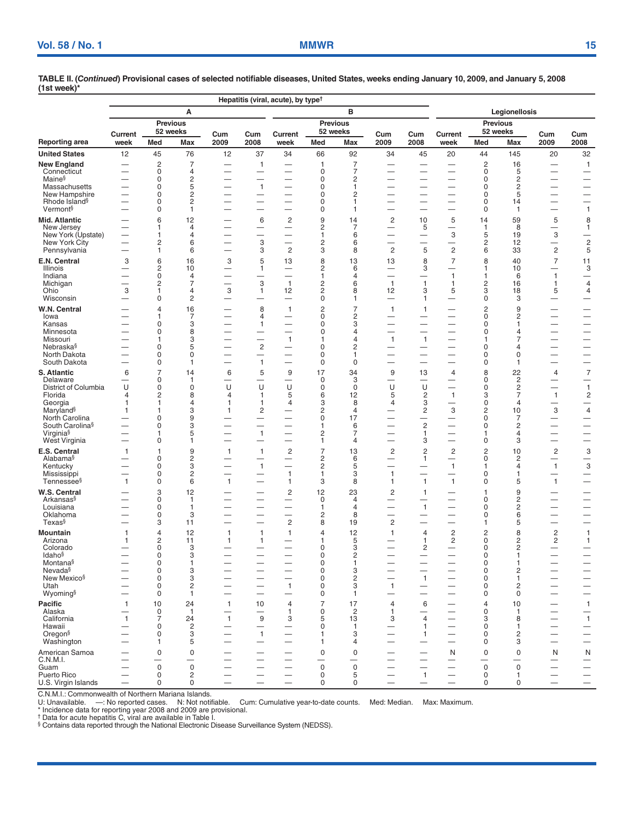|                                                   |                                                      |                            |                                  |                                                      |                                                      | Hepatitis (viral, acute), by type <sup>t</sup>       |                                |                                |                                                             |                                                      |                                                           |                               |                                           |                                                      |                                               |
|---------------------------------------------------|------------------------------------------------------|----------------------------|----------------------------------|------------------------------------------------------|------------------------------------------------------|------------------------------------------------------|--------------------------------|--------------------------------|-------------------------------------------------------------|------------------------------------------------------|-----------------------------------------------------------|-------------------------------|-------------------------------------------|------------------------------------------------------|-----------------------------------------------|
|                                                   |                                                      |                            | Α                                |                                                      |                                                      |                                                      |                                | в                              |                                                             |                                                      |                                                           |                               | Legionellosis                             |                                                      |                                               |
|                                                   |                                                      |                            | <b>Previous</b>                  |                                                      |                                                      |                                                      |                                | <b>Previous</b>                |                                                             |                                                      |                                                           |                               | <b>Previous</b>                           |                                                      |                                               |
| Reporting area                                    | Current<br>week                                      | Med                        | 52 weeks<br>Max                  | Cum<br>2009                                          | Cum<br>2008                                          | Current<br>week                                      | Med                            | 52 weeks<br>Max                | Cum<br>2009                                                 | Cum<br>2008                                          | Current<br>week                                           | Med                           | 52 weeks<br>Max                           | Cum<br>2009                                          | Cum<br>2008                                   |
| <b>United States</b>                              | 12                                                   | 45                         | 76                               | 12                                                   | 37                                                   | 34                                                   | 66                             | 92                             | 34                                                          | 45                                                   | 20                                                        | 44                            | 145                                       | 20                                                   | 32                                            |
| <b>New England</b>                                | $\qquad \qquad -$                                    | $\overline{c}$             | $\overline{7}$                   | $\qquad \qquad -$                                    | 1                                                    | $\overline{\phantom{0}}$                             | $\mathbf{1}$                   | 7                              |                                                             |                                                      | $\overline{\phantom{0}}$                                  | $\sqrt{2}$                    | 16                                        | $\qquad \qquad -$                                    | $\mathbf{1}$                                  |
| Connecticut                                       | $\overline{\phantom{m}}$                             | $\mathbf 0$                | $\overline{4}$                   | $\overline{\phantom{0}}$                             | $\overline{\phantom{0}}$                             | $\overline{\phantom{0}}$                             | $\mathbf 0$                    | 7                              |                                                             | $\overline{\phantom{0}}$                             |                                                           | $\mathsf 0$                   | 5                                         |                                                      | $\overline{\phantom{0}}$                      |
| Maine <sup>§</sup><br>Massachusetts               | —<br>—                                               | 0<br>0                     | $\overline{c}$<br>5              | —<br>-                                               | -<br>$\mathbf{1}$                                    | —<br>-                                               | 0<br>0                         | 2<br>1                         | $\overline{\phantom{0}}$                                    | $\overline{\phantom{0}}$                             | —<br>-                                                    | 0<br>0                        | $\overline{c}$<br>$\overline{c}$          | —<br>-                                               | —<br>—                                        |
| New Hampshire                                     | $\overline{\phantom{0}}$                             | 0                          | 2                                | $\overline{\phantom{0}}$                             | $\overline{\phantom{0}}$                             | $\overline{\phantom{0}}$                             | 0                              | 2                              | $\overline{\phantom{m}}$                                    | $\overline{\phantom{0}}$                             | $\overline{\phantom{0}}$                                  | 0                             | 5                                         |                                                      | $\overline{\phantom{0}}$                      |
| Rhode Island <sup>§</sup><br>Vermont <sup>§</sup> | —                                                    | 0<br>0                     | $\overline{c}$<br>$\mathbf{1}$   | $\overline{\phantom{0}}$                             |                                                      | $\overline{\phantom{0}}$                             | $\mathbf 0$<br>0               | 1<br>1                         | $\overline{\phantom{0}}$                                    | $\overline{\phantom{0}}$<br>$\overline{\phantom{0}}$ | —                                                         | $\mathbf 0$<br>0              | 14<br>1                                   | $\overline{\phantom{0}}$<br>$\overline{\phantom{0}}$ | $\overline{\phantom{0}}$<br>$\mathbf{1}$      |
| <b>Mid. Atlantic</b>                              |                                                      | 6                          | 12                               | —                                                    | 6                                                    | $\overline{\mathbf{c}}$                              | 9                              | 14                             | 2                                                           | 10                                                   | 5                                                         | 14                            | 59                                        | 5                                                    | 8                                             |
| New Jersey<br>New York (Upstate)                  | —<br>$\overline{\phantom{0}}$                        | 1<br>1                     | $\overline{4}$<br>$\overline{4}$ | $\overline{\phantom{0}}$<br>$\overline{\phantom{0}}$ | $\overline{\phantom{0}}$<br>$\overline{\phantom{0}}$ | $\overline{\phantom{0}}$<br>$\overline{\phantom{0}}$ | 2<br>$\mathbf{1}$              | 7<br>6                         | $\overline{\phantom{0}}$                                    | 5                                                    | $\overline{\phantom{0}}$<br>3                             | 1<br>5                        | 8<br>19                                   | 3                                                    | $\mathbf{1}$<br>—                             |
| New York City                                     | $\overline{\phantom{0}}$                             | 2                          | 6                                | —                                                    | 3                                                    | —                                                    | $\overline{c}$                 | 6                              | —                                                           | -                                                    | —                                                         | $\overline{c}$                | 12                                        | $\overline{\phantom{0}}$                             | $\overline{c}$                                |
| Pennsylvania                                      | —                                                    | 1                          | 6                                |                                                      | 3                                                    | $\overline{c}$                                       | 3                              | 8                              | $\overline{c}$                                              | 5                                                    | $\overline{c}$                                            | 6                             | 33                                        | $\overline{c}$                                       | 5                                             |
| E.N. Central<br>Illinois                          | 3<br>$\overline{\phantom{0}}$                        | 6<br>$\overline{c}$        | 16<br>10                         | 3<br>$\overline{\phantom{0}}$                        | 5<br>1                                               | 13<br>—                                              | 8<br>$\overline{c}$            | 13<br>6                        | 13<br>$\overline{\phantom{0}}$                              | 8<br>3                                               | $\overline{7}$<br>$\overline{\phantom{0}}$                | 8<br>1                        | 40<br>10                                  | $\overline{7}$                                       | 11<br>3                                       |
| Indiana                                           | $\overline{\phantom{0}}$                             | $\mathbf 0$                | $\overline{4}$                   | $\overline{\phantom{0}}$                             | $\overline{\phantom{0}}$                             | —                                                    | $\mathbf{1}$                   | 4                              | —                                                           |                                                      | $\mathbf{1}$                                              | $\mathbf{1}$                  | 6                                         | $\mathbf{1}$                                         | —                                             |
| Michigan                                          |                                                      | $\overline{2}$             | $\overline{7}$                   | $\overline{\phantom{0}}$                             | 3                                                    | $\overline{1}$                                       | $\overline{c}$                 | 6                              | $\mathbf{1}$                                                | $\mathbf{1}$                                         | $\mathbf{1}$                                              | $\overline{c}$                | 16                                        | $\mathbf{1}$                                         | $\overline{4}$                                |
| Ohio<br>Wisconsin                                 | 3                                                    | 1<br>0                     | $\overline{4}$<br>$\overline{c}$ | 3                                                    | 1                                                    | 12<br>$\overline{\phantom{0}}$                       | 2<br>0                         | 8<br>1                         | 12<br>$\overline{\phantom{m}}$                              | 3<br>1                                               | 5                                                         | 3<br>0                        | 18<br>3                                   | 5<br>$\overline{\phantom{0}}$                        | 4                                             |
| W.N. Central                                      | -                                                    | 4                          | 16                               | —                                                    | 8                                                    | $\overline{1}$                                       | $\overline{c}$                 | $\overline{7}$                 | $\mathbf{1}$                                                | 1                                                    | -                                                         | $\overline{c}$                | 9                                         | -                                                    | -                                             |
| lowa                                              |                                                      | 1                          | $\overline{7}$                   | -                                                    | 4                                                    | -                                                    | $\mathbf 0$                    | 2                              | -                                                           |                                                      |                                                           | 0                             | $\overline{\mathbf{c}}$                   | —                                                    | -                                             |
| Kansas<br>Minnesota                               | $\overline{\phantom{0}}$<br>$\overline{\phantom{0}}$ | $\Omega$<br>0              | 3<br>8                           | $\overline{\phantom{0}}$<br>$\overline{\phantom{0}}$ | 1<br>—                                               | $\overline{\phantom{0}}$<br>$\overline{\phantom{0}}$ | $\Omega$<br>0                  | 3<br>4                         | $\overline{\phantom{0}}$<br>$\overline{\phantom{0}}$        | $\overline{\phantom{0}}$                             | $\overline{\phantom{0}}$<br>$\overline{\phantom{0}}$      | $\mathbf 0$<br>0              | 1<br>4                                    |                                                      | $\overline{\phantom{0}}$                      |
| Missouri                                          |                                                      | 1                          | 3                                | ÷                                                    | $\overline{\phantom{0}}$                             | $\mathbf{1}$                                         | 1                              | $\overline{4}$                 | $\mathbf{1}$                                                | $\mathbf{1}$                                         | $\overline{\phantom{0}}$                                  | $\mathbf{1}$                  | $\overline{7}$                            | -                                                    | $\overline{\phantom{0}}$                      |
| Nebraska§<br>North Dakota                         | $\overline{\phantom{0}}$                             | 0<br>0                     | 5<br>$\pmb{0}$                   | $\overline{\phantom{0}}$                             | $\overline{c}$<br>$\overline{\phantom{0}}$           | —                                                    | 0<br>$\mathbf 0$               | 2<br>1                         |                                                             | $\overline{\phantom{0}}$                             | —<br>—                                                    | 0<br>0                        | $\overline{4}$<br>$\mathbf 0$             |                                                      | $\overline{\phantom{0}}$                      |
| South Dakota                                      | $\overline{\phantom{0}}$                             | 0                          | $\mathbf{1}$                     | $\overline{\phantom{0}}$                             | $\mathbf{1}$                                         | $\overline{\phantom{0}}$                             | 0                              | 0                              | $\overline{\phantom{0}}$                                    | $\overline{\phantom{0}}$                             | $\overline{\phantom{0}}$                                  | 0                             | 1                                         | $\overline{\phantom{0}}$                             |                                               |
| <b>S. Atlantic</b>                                | 6                                                    | $\overline{7}$             | 14                               | 6                                                    | 5                                                    | 9                                                    | 17                             | 34                             | 9                                                           | 13                                                   | 4                                                         | 8                             | 22                                        | 4                                                    | $\overline{7}$                                |
| Delaware<br>District of Columbia                  | U                                                    | $\Omega$<br>0              | 1<br>$\mathbf 0$                 | U                                                    | $\overline{\phantom{0}}$<br>U                        | U                                                    | $\mathbf 0$<br>0               | 3<br>$\mathbf 0$               | U                                                           | U                                                    | —<br>$\overline{\phantom{0}}$                             | 0<br>$\mathbf 0$              | $\overline{c}$<br>$\overline{\mathbf{c}}$ | $\overline{\phantom{0}}$<br>$\overline{\phantom{0}}$ | —<br>$\mathbf{1}$                             |
| Florida                                           | $\overline{4}$                                       | $\overline{2}$             | 8                                | $\overline{4}$                                       | 1                                                    | 5                                                    | 6                              | 12                             | 5                                                           | $\overline{c}$                                       | $\mathbf{1}$                                              | 3                             | $\overline{7}$                            | $\mathbf{1}$                                         | $\overline{\mathbf{c}}$                       |
| Georgia<br>Maryland <sup>§</sup>                  | $\mathbf{1}$<br>1                                    | 1<br>1                     | $\overline{4}$<br>3              | $\mathbf{1}$<br>$\mathbf{1}$                         | 1<br>2                                               | 4                                                    | 3<br>2                         | 8<br>$\overline{4}$            | $\overline{4}$<br>$\overline{\phantom{0}}$                  | 3<br>$\overline{c}$                                  | —<br>3                                                    | 0<br>$\overline{c}$           | $\overline{4}$<br>10                      | 3                                                    | $\overline{\phantom{0}}$<br>4                 |
| North Carolina                                    |                                                      | 0                          | 9                                | —                                                    | $\overline{\phantom{0}}$                             | —                                                    | 0                              | 17                             |                                                             |                                                      | —                                                         | 0                             | 7                                         | $\overline{\phantom{0}}$                             | $\overline{\phantom{0}}$                      |
| South Carolina <sup>§</sup>                       | $\overline{\phantom{0}}$                             | 0                          | 3                                |                                                      |                                                      | $\overline{\phantom{0}}$                             | 1                              | 6                              | $\overline{\phantom{0}}$                                    | $\overline{2}$                                       | $\overline{\phantom{0}}$                                  | $\mathbf 0$                   | 2                                         | $\overline{\phantom{0}}$                             | $\overline{\phantom{0}}$                      |
| Virginia§<br>West Virginia                        | —                                                    | 1<br>0                     | 5<br>$\mathbf{1}$                | $\overline{\phantom{0}}$<br>—                        | $\mathbf{1}$                                         | $\overline{\phantom{0}}$<br>-                        | $\overline{\mathbf{c}}$<br>1   | 7<br>4                         | $\overline{\phantom{0}}$<br>-                               | 1<br>3                                               | $\overline{\phantom{0}}$<br>-                             | 1<br>0                        | 4<br>3                                    | $\overline{\phantom{0}}$<br>$\overline{\phantom{0}}$ | $\overline{\phantom{0}}$<br>—                 |
| E.S. Central                                      | $\mathbf{1}$                                         | $\mathbf{1}$               | $\boldsymbol{9}$                 | 1                                                    | $\mathbf{1}$                                         | $\sqrt{2}$                                           | $\overline{7}$                 | 13                             | $\sqrt{2}$                                                  | $\overline{c}$                                       | $\overline{c}$                                            | $\overline{c}$                | 10                                        | $\overline{c}$                                       | 3                                             |
| Alabama§                                          |                                                      | 0                          | $\overline{c}$                   | —                                                    |                                                      | $\overline{\phantom{m}}$                             | 2                              | 6                              | $\overline{\phantom{m}}$                                    | 1                                                    | $\overline{\phantom{0}}$                                  | $\mathbf 0$                   | 2<br>$\overline{4}$                       | $\overline{\phantom{0}}$                             | $\overline{\phantom{0}}$                      |
| Kentucky<br>Mississippi                           | -<br>—                                               | 0<br>0                     | 3<br>2                           | $\overbrace{\phantom{12333}}$                        | $\mathbf{1}$<br>—                                    | —<br>$\overline{1}$                                  | $\overline{c}$<br>$\mathbf{1}$ | 5<br>3                         | $\overline{\phantom{0}}$<br>$\mathbf{1}$                    | -                                                    | $\mathbf{1}$<br>—                                         | $\mathbf{1}$<br>0             | 1                                         | $\mathbf{1}$<br>-                                    | 3<br>—                                        |
| Tennessee§                                        | $\mathbf{1}$                                         | 0                          | 6                                | $\mathbf{1}$                                         |                                                      | 1                                                    | 3                              | 8                              | 1                                                           | $\mathbf{1}$                                         | $\mathbf{1}$                                              | 0                             | 5                                         | 1                                                    | $\overline{\phantom{0}}$                      |
| W.S. Central<br>Arkansas§                         | —                                                    | 3                          | 12<br>$\mathbf{1}$               | -                                                    | -                                                    | $\overline{c}$                                       | 12<br>$\mathbf 0$              | 23<br>$\overline{4}$           | $\overline{c}$                                              | 1                                                    | —                                                         | $\mathbf{1}$<br>0             | 9<br>$\overline{c}$                       | -                                                    | —                                             |
| Louisiana                                         | $\overline{\phantom{0}}$                             | 0<br>$\mathbf 0$           | $\mathbf{1}$                     | $\overline{\phantom{0}}$                             | -                                                    | $\overline{\phantom{0}}$                             | $\overline{1}$                 | 4                              | —<br>$\overline{\phantom{0}}$                               | $\mathbf{1}$                                         | $\overline{\phantom{0}}$<br>—                             | $\mathbf 0$                   | $\overline{c}$                            | —<br>—                                               | —                                             |
| Oklahoma                                          | ▃                                                    | 0                          | 3                                | $\overline{\phantom{0}}$                             | $\overline{\phantom{0}}$                             | $\overline{\phantom{0}}$                             | 2                              | 8                              | $\overline{\phantom{0}}$                                    | $\overline{\phantom{0}}$                             | $\overline{\phantom{0}}$                                  | 0                             | 6                                         | $\overline{\phantom{0}}$                             | $\overline{\phantom{0}}$                      |
| Texas§                                            | $\overline{\phantom{0}}$                             | 3                          | 11                               | —                                                    |                                                      | $\overline{c}$                                       | 8                              | 19                             | $\overline{c}$                                              | $\overline{\phantom{0}}$                             | $\overline{\phantom{0}}$                                  | $\mathbf{1}$                  | 5                                         | —                                                    | $\overline{\phantom{0}}$                      |
| Mountain<br>Arizona                               | 1<br>1                                               | 4<br>2                     | 12<br>11                         | $\mathbf{1}$<br>1                                    | 1<br>1                                               | 1                                                    | 4<br>1                         | 12<br>5                        | $\mathbf{1}$                                                | 4<br>1                                               | $\overline{2}$<br>2                                       | $\overline{c}$<br>$\mathbf 0$ | 8<br>2                                    | 2<br>2                                               | 1<br>1                                        |
| Colorado                                          | $\overline{\phantom{0}}$                             | $\Omega$                   | 3                                |                                                      | $\overline{\phantom{0}}$                             | $\overline{\phantom{0}}$                             | $\Omega$                       | 3                              |                                                             | $\overline{c}$                                       | $\overline{\phantom{0}}$                                  | $\mathbf 0$                   | $\overline{c}$                            | $\overline{\phantom{0}}$                             |                                               |
| Idaho <sup>§</sup><br>Montana§                    |                                                      | $\Omega$<br>$\mathbf 0$    | 3<br>$\mathbf{1}$                |                                                      |                                                      |                                                      | $\Omega$<br>$\mathbf 0$        | $\overline{2}$<br>$\mathbf{1}$ |                                                             | $\overline{\phantom{0}}$                             |                                                           | $\Omega$<br>$\mathbf 0$       | 1                                         |                                                      | $\overbrace{\phantom{12333}}$                 |
| Nevada§                                           |                                                      | 0                          | 3                                | $\overline{\phantom{0}}$                             |                                                      |                                                      | 0                              | 3                              |                                                             |                                                      | $\overline{\phantom{0}}$                                  | 0                             | $\overline{\mathbf{c}}$                   | $\overline{\phantom{0}}$                             |                                               |
| New Mexico <sup>§</sup><br>Utah                   | $\overline{\phantom{0}}$<br>$\overline{\phantom{0}}$ | 0<br>0                     | 3<br>$\overline{c}$              | $\overline{\phantom{0}}$                             | $\overline{\phantom{0}}$<br>$\overline{\phantom{0}}$ | $\overline{\phantom{0}}$<br>$\mathbf{1}$             | $\mathbf 0$<br>$\mathbf 0$     | $\frac{2}{3}$                  | $\mathbf{1}$                                                | $\mathbf{1}$<br>$\overline{\phantom{0}}$             | $\overline{\phantom{0}}$<br>$\overline{\phantom{0}}$      | 0<br>0                        | 1<br>2                                    | $\overline{\phantom{0}}$<br>$\overline{\phantom{m}}$ | $\qquad \qquad -$<br>$\overline{\phantom{m}}$ |
| Wyoming§                                          | —                                                    | 0                          | $\mathbf{1}$                     | —                                                    | $\overline{\phantom{0}}$                             | —                                                    | 0                              | $\mathbf{1}$                   | $\overline{\phantom{m}}$                                    |                                                      | —                                                         | 0                             | $\mathbf 0$                               | $\overline{\phantom{0}}$                             | $\qquad \qquad -$                             |
| Pacific                                           | $\mathbf{1}$                                         | 10                         | 24                               | $\mathbf{1}$                                         | 10                                                   | 4                                                    | $\overline{7}$                 | 17                             | $\overline{4}$                                              | 6                                                    |                                                           | $\overline{4}$                | 10                                        | $\overline{\phantom{m}}$                             | $\mathbf{1}$                                  |
| Alaska<br>California                              | $\mathbf{1}$                                         | 0<br>$\overline{7}$        | $\mathbf{1}$<br>24               | -<br>$\mathbf{1}$                                    | 9                                                    | 1<br>3                                               | $\mathbf 0$<br>5               | $\overline{c}$<br>13           | 1<br>3                                                      | $\overline{\phantom{0}}$<br>4                        | $\overline{\phantom{0}}$<br>—                             | $\mathbf 0$<br>3              | 1<br>8                                    | $\overline{\phantom{0}}$<br>—                        | $\qquad \qquad -$<br>$\mathbf{1}$             |
| Hawaii                                            |                                                      | 0                          | $\overline{c}$                   | -                                                    | -                                                    | $\overline{\phantom{0}}$                             | $\mathbf 0$                    | $\mathbf{1}$                   | $\overline{\phantom{0}}$                                    | $\mathbf{1}$                                         | $\overline{\phantom{0}}$                                  | 0                             | 1                                         | $\overline{\phantom{0}}$                             | $\qquad \qquad -$                             |
| Oregon <sup>§</sup><br>Washington                 | $\overline{\phantom{0}}$<br>$\overline{\phantom{0}}$ | 0<br>1                     | 3<br>5                           | —<br>$\overline{\phantom{0}}$                        | $\mathbf{1}$                                         | $\overline{\phantom{0}}$<br>$\overline{\phantom{0}}$ | $\mathbf{1}$<br>$\mathbf{1}$   | 3<br>$\overline{4}$            | $\hspace{0.1mm}-\hspace{0.1mm}$<br>$\overline{\phantom{0}}$ | 1                                                    | $\overbrace{\phantom{13333}}$<br>$\overline{\phantom{0}}$ | $\mathbf 0$<br>0              | $\overline{c}$<br>3                       | —<br>$\overline{\phantom{0}}$                        | $\qquad \qquad -$<br>$\qquad \qquad -$        |
| American Samoa                                    |                                                      | $\pmb{0}$                  | $\mathsf 0$                      |                                                      |                                                      | -                                                    | $\mathbf 0$                    | $\mathsf 0$                    | --                                                          |                                                      | N                                                         | $\mathsf 0$                   | $\mathbf 0$                               | N                                                    | N                                             |
| C.N.M.I.                                          | $\overline{\phantom{0}}$                             |                            |                                  | —                                                    | —                                                    | $\overline{\phantom{0}}$                             | $\overline{\phantom{0}}$       | $\overline{\phantom{a}}$       | $\overline{\phantom{0}}$                                    | -                                                    | $\qquad \qquad -$                                         | $\overline{\phantom{0}}$      |                                           | $\overline{\phantom{0}}$                             | $\overline{\phantom{m}}$                      |
| Guam<br>Puerto Rico                               | $\overline{\phantom{0}}$                             | $\mathbf 0$<br>$\mathbf 0$ | $\mathsf 0$<br>$\overline{c}$    |                                                      | $\overline{\phantom{0}}$                             | —<br>$\overline{\phantom{0}}$                        | $\mathbf 0$<br>$\mathbf 0$     | $\mathsf 0$<br>5               | —<br>$\overline{\phantom{0}}$                               | $\mathbf{1}$                                         | $\overline{\phantom{0}}$<br>$\overline{\phantom{0}}$      | $\mathbf 0$<br>0              | $\mathbf 0$<br>1                          | $\overline{\phantom{0}}$                             | —                                             |
| U.S. Virgin Islands                               | $\overline{\phantom{0}}$                             | 0                          | 0                                |                                                      | ÷,                                                   | $\overline{\phantom{0}}$                             | $\mathbf 0$                    | 0                              |                                                             | $\overline{\phantom{0}}$                             | $\overline{\phantom{0}}$                                  | 0                             | 0                                         |                                                      | —<br>$\overline{\phantom{0}}$                 |

C.N.M.I.: Commonwealth of Northern Mariana Islands.

--: No reported cases. N: Not notifiable. Cum: Cumulative year-to-date counts. Med: Median. Max: Maximum.

\* Incidence data for reporting year 2008 and 2009 are provisional. † Data for acute hepatitis C, viral are available in Table I. § Contains data reported through the National Electronic Disease Surveillance System (NEDSS).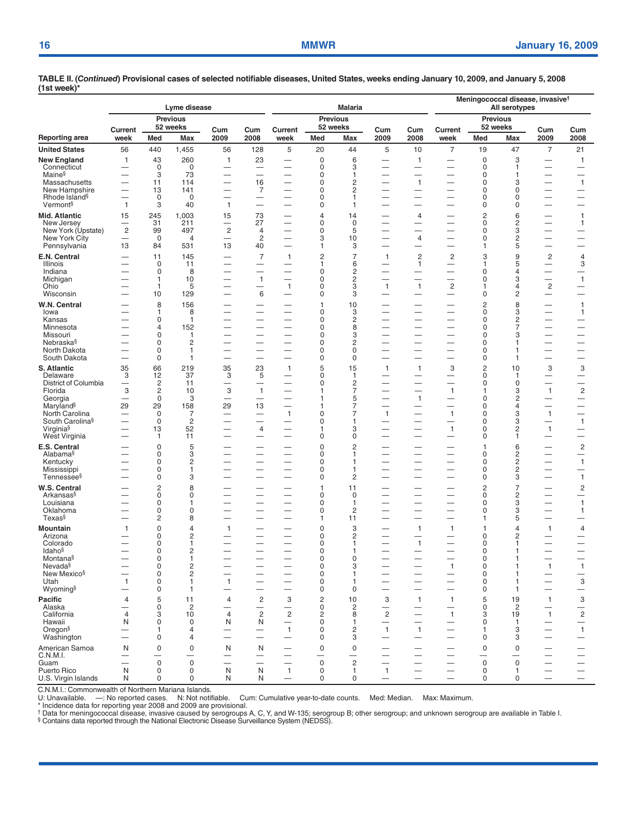| Lyme disease                                         |                                                      |                            |                                  |                                                      |                                                      |                                                      |                                    | <b>Malaria</b>           |                                                      |                                                |                                               |                             | Meningococcal disease, invasive <sup>t</sup><br>All serotvpes |                                                      |                                                       |
|------------------------------------------------------|------------------------------------------------------|----------------------------|----------------------------------|------------------------------------------------------|------------------------------------------------------|------------------------------------------------------|------------------------------------|--------------------------|------------------------------------------------------|------------------------------------------------|-----------------------------------------------|-----------------------------|---------------------------------------------------------------|------------------------------------------------------|-------------------------------------------------------|
|                                                      |                                                      |                            | <b>Previous</b>                  |                                                      |                                                      |                                                      |                                    | <b>Previous</b>          |                                                      |                                                |                                               |                             | <b>Previous</b>                                               |                                                      |                                                       |
| Reporting area                                       | Current<br>week                                      | Med                        | 52 weeks<br>Max                  | Cum<br>2009                                          | Cum<br>2008                                          | Current<br>week                                      | Med                                | 52 weeks<br>Max          | Cum<br>2009                                          | Cum<br>2008                                    | Current<br>week                               | Med                         | 52 weeks<br>Max                                               | Cum<br>2009                                          | Cum<br>2008                                           |
| <b>United States</b>                                 | 56                                                   | 440                        | 1,455                            | 56                                                   | 128                                                  | 5                                                    | 20                                 | 44                       | 5                                                    | 10                                             | $\overline{7}$                                | 19                          | 47                                                            | $\overline{7}$                                       | 21                                                    |
| <b>New England</b>                                   | $\mathbf{1}$                                         | 43                         | 260                              | $\overline{1}$                                       | 23                                                   | $\overline{\phantom{0}}$                             | $\mathbf 0$                        | 6                        | $\overline{\phantom{0}}$                             | $\mathbf{1}$                                   | -                                             | $\mathbf 0$                 | 3                                                             | $\overline{\phantom{0}}$                             | $\mathbf{1}$                                          |
| Connecticut<br>Maine <sup>§</sup>                    | $\overline{\phantom{0}}$                             | 0<br>3                     | 0<br>73                          | $\overline{\phantom{0}}$<br>$\overline{\phantom{0}}$ | $\overline{\phantom{0}}$<br>$\overline{\phantom{0}}$ | —<br>—                                               | 0<br>$\Omega$                      | 3<br>1                   | —<br>$\overline{\phantom{0}}$                        | $\overline{\phantom{0}}$                       |                                               | 0<br>$\mathbf 0$            | 1<br>1                                                        | $\overline{\phantom{0}}$<br>$\overline{\phantom{0}}$ | $\overline{\phantom{0}}$<br>$\overline{\phantom{0}}$  |
| Massachusetts                                        | $\overline{\phantom{0}}$                             | 11                         | 114                              |                                                      | 16                                                   | $\overline{\phantom{0}}$                             | $\mathbf 0$                        | $\overline{c}$           |                                                      | $\mathbf{1}$                                   |                                               | $\mathbf 0$                 | 3                                                             |                                                      | $\mathbf{1}$                                          |
| New Hampshire<br>Rhode Island <sup>§</sup>           | —                                                    | 13<br>0                    | 141<br>$\mathbf 0$               | $\overline{\phantom{0}}$<br>—                        | $\overline{7}$<br>$\overbrace{\phantom{12333}}$      | —                                                    | $\mathbf 0$<br>0                   | $\overline{c}$<br>1      | —                                                    | $\overline{\phantom{0}}$                       | $\overline{\phantom{0}}$                      | $\mathbf 0$<br>0            | $\mathbf 0$<br>0                                              | $\overline{\phantom{0}}$                             | $\overline{\phantom{0}}$                              |
| Vermont <sup>§</sup>                                 | $\mathbf{1}$                                         | 3                          | 40                               | $\mathbf{1}$                                         |                                                      | —                                                    | 0                                  | 1                        | $\overline{\phantom{0}}$                             | —                                              |                                               | 0                           | 0                                                             | $\overline{\phantom{0}}$                             | —                                                     |
| <b>Mid. Atlantic</b>                                 | 15                                                   | 245                        | 1,003                            | 15                                                   | 73                                                   | –                                                    | $\overline{4}$                     | 14                       |                                                      | 4                                              | $\overline{\phantom{0}}$                      | 2                           | 6                                                             |                                                      | $\mathbf{1}$                                          |
| New Jersey<br>New York (Upstate)                     | $\overline{\phantom{0}}$<br>$\overline{c}$           | 31<br>99                   | 211<br>497                       | —<br>$\overline{c}$                                  | 27<br>$\overline{4}$                                 | $\overline{\phantom{0}}$<br>$\overline{\phantom{0}}$ | 0<br>0                             | 0<br>5                   | —                                                    | —<br>$\overline{\phantom{0}}$                  | $\overline{\phantom{0}}$                      | 0<br>$\Omega$               | 2<br>3                                                        | $\overline{\phantom{0}}$<br>$\overline{\phantom{0}}$ | $\mathbf{1}$<br>$\overline{\phantom{0}}$              |
| New York City                                        | $\qquad \qquad -$                                    | $\mathbf 0$                | $\overline{4}$                   | $\overline{\phantom{0}}$                             | $\overline{2}$                                       | $\overline{\phantom{0}}$                             | 3                                  | 10                       |                                                      | $\overline{4}$                                 | $\overline{\phantom{0}}$                      | $\mathbf 0$                 | $\overline{c}$                                                |                                                      | $\overline{\phantom{0}}$                              |
| Pennsylvania                                         | 13                                                   | 84                         | 531                              | 13                                                   | 40                                                   |                                                      | 1.                                 | 3                        |                                                      | —                                              |                                               | 1                           | 5                                                             |                                                      | $\overline{\phantom{0}}$                              |
| E.N. Central<br>Illinois                             | $\overline{\phantom{0}}$                             | 11<br>0                    | 145<br>11                        | $\overline{\phantom{0}}$                             | $\overline{7}$<br>-                                  | $\overline{1}$                                       | $\overline{c}$<br>1                | 7<br>6                   | $\mathbf{1}$                                         | $\overline{c}$<br>1                            | 2                                             | 3<br>1                      | 9<br>5                                                        | $\overline{\mathbf{c}}$                              | $\overline{4}$<br>3                                   |
| Indiana                                              |                                                      | 0                          | 8                                | -                                                    |                                                      | —                                                    | 0                                  | 2                        | —                                                    |                                                |                                               | 0                           | 4                                                             | —                                                    | —                                                     |
| Michigan<br>Ohio                                     | $\overline{\phantom{0}}$                             | 1<br>1                     | 10<br>5                          | $\overline{\phantom{0}}$                             | $\mathbf{1}$<br>$\overline{\phantom{0}}$             | $\overline{\phantom{0}}$<br>$\mathbf{1}$             | 0<br>$\Omega$                      | 2<br>3                   | $\mathbf{1}$                                         | $\mathbf{1}$                                   | $\overline{c}$                                | 0<br>1                      | 3<br>4                                                        | $\overline{\phantom{0}}$<br>$\overline{c}$           | $\mathbf{1}$<br>—                                     |
| Wisconsin                                            | $\overline{\phantom{0}}$                             | 10                         | 129                              |                                                      | 6                                                    | $\overline{\phantom{0}}$                             | $\mathbf 0$                        | 3                        |                                                      | —                                              | $\overline{\phantom{0}}$                      | $\mathbf 0$                 | $\overline{c}$                                                | $\overline{\phantom{0}}$                             | $\overline{\phantom{0}}$                              |
| W.N. Central                                         | -                                                    | 8                          | 156                              | —                                                    | $\overline{\phantom{0}}$                             | -                                                    | 1                                  | 10                       | -                                                    | —                                              | —                                             | $\overline{2}$              | 8                                                             | $\overline{\phantom{0}}$                             | $\mathbf{1}$                                          |
| lowa<br>Kansas                                       | —                                                    | 1<br>0                     | 8<br>1                           | —<br>—                                               | $\overline{\phantom{0}}$<br>-                        | —<br>$\overline{\phantom{0}}$                        | 0<br>0                             | 3<br>2                   | -<br>$\overline{\phantom{0}}$                        | —<br>—                                         | $\overline{\phantom{0}}$                      | 0<br>0                      | 3<br>2                                                        | —<br>$\overline{\phantom{0}}$                        | $\mathbf{1}$<br>—                                     |
| Minnesota                                            |                                                      | $\overline{4}$             | 152                              |                                                      | -                                                    | —                                                    | 0                                  | 8                        |                                                      | -                                              |                                               | 0                           | $\overline{7}$                                                | —                                                    |                                                       |
| Missouri<br>Nebraska§                                | —                                                    | 0<br>$\Omega$              | 1<br>$\overline{c}$              | —                                                    | —<br>$\overline{\phantom{0}}$                        | —<br>—                                               | 0<br>$\Omega$                      | 3<br>2                   | —<br>$\overline{\phantom{0}}$                        | $\overline{\phantom{0}}$<br>$\qquad \qquad -$  | $\overline{\phantom{0}}$                      | 0<br>$\Omega$               | 3<br>-1                                                       | $\overline{\phantom{0}}$<br>$\overline{\phantom{0}}$ | $\overline{\phantom{0}}$<br>$\overline{\phantom{0}}$  |
| North Dakota                                         | $\overline{\phantom{0}}$                             | 0                          | 1                                |                                                      | $\overline{\phantom{0}}$                             | $\overline{\phantom{0}}$                             | $\mathbf 0$                        | 0                        | —                                                    | $\overline{\phantom{0}}$                       |                                               | $\mathbf 0$                 | 1                                                             | $\overline{\phantom{0}}$                             | $\overline{\phantom{0}}$                              |
| South Dakota                                         |                                                      | $\mathbf 0$                | 1                                |                                                      | $\overline{\phantom{0}}$                             |                                                      | 0                                  | 0                        | ▃                                                    | $\overline{\phantom{0}}$                       | $\overline{\phantom{0}}$                      | $\mathbf 0$                 | 1                                                             |                                                      | $\overline{\phantom{0}}$                              |
| <b>S. Atlantic</b><br>Delaware                       | 35<br>3                                              | 66<br>12                   | 219<br>37                        | 35<br>3                                              | 23<br>5                                              | $\overline{1}$                                       | 5<br>0                             | 15<br>1                  | $\mathbf{1}$<br>—                                    | $\mathbf{1}$                                   | 3                                             | $\overline{2}$<br>0         | 10<br>1                                                       | 3                                                    | 3<br>—                                                |
| District of Columbia                                 | —                                                    | 2                          | 11                               |                                                      | -                                                    |                                                      | 0                                  | 2                        |                                                      |                                                |                                               | 0                           | 0                                                             |                                                      | —                                                     |
| Florida                                              | 3                                                    | $\overline{c}$<br>$\Omega$ | 10<br>3                          | 3                                                    | $\mathbf{1}$                                         | —                                                    | 1<br>1                             | 7<br>5                   | —<br>$\overline{\phantom{0}}$                        | $\mathbf{1}$                                   | $\mathbf{1}$                                  | 1<br>$\Omega$               | 3<br>$\overline{c}$                                           | $\mathbf{1}$                                         | $\sqrt{2}$                                            |
| Georgia<br>Maryland <sup>§</sup>                     | 29                                                   | 29                         | 158                              | $\overline{\phantom{0}}$<br>29                       | $\overline{\phantom{0}}$<br>13                       | $\overline{\phantom{0}}$                             | 1                                  | 7                        | ۰                                                    | —                                              | $\overline{\phantom{0}}$<br>—                 | $\mathbf 0$                 | $\overline{4}$                                                | —                                                    | $\overline{\phantom{0}}$<br>$\overline{\phantom{0}}$  |
| North Carolina                                       | $\overline{\phantom{0}}$                             | $\mathbf 0$                | $\overline{7}$                   | $\overline{\phantom{0}}$                             | $\overline{\phantom{0}}$                             | $\mathbf{1}$                                         | 0                                  | $\overline{7}$           | $\mathbf{1}$                                         | $\overline{\phantom{0}}$                       | $\mathbf{1}$                                  | $\mathbf 0$                 | 3                                                             | $\mathbf{1}$                                         | $\overline{\phantom{0}}$                              |
| South Carolina <sup>§</sup><br>Virginia <sup>§</sup> | $\overline{\phantom{0}}$<br>$\overline{\phantom{0}}$ | 0<br>13                    | $\overline{c}$<br>52             | $\overline{\phantom{0}}$<br>$\overline{\phantom{0}}$ | $\overline{\phantom{0}}$<br>4                        | —<br>—                                               | 0<br>1                             | 1<br>3                   | $\overline{\phantom{0}}$<br>$\overline{\phantom{0}}$ |                                                | $\overline{\phantom{0}}$<br>1                 | 0<br>0                      | 3<br>2                                                        | 1                                                    | $\mathbf{1}$<br>$\overline{\phantom{0}}$              |
| West Virginia                                        |                                                      | 1                          | 11                               | $\overline{\phantom{0}}$                             | -                                                    | —                                                    | 0                                  | 0                        | $\overline{\phantom{0}}$                             | $\overline{\phantom{0}}$                       |                                               | 0                           | 1                                                             |                                                      | $\overline{\phantom{0}}$                              |
| E.S. Central                                         | —                                                    | $\mathbf 0$                | 5                                |                                                      |                                                      | —                                                    | 0                                  | 2                        |                                                      |                                                |                                               | $\mathbf{1}$                | 6                                                             | -                                                    | $\overline{c}$                                        |
| Alabama <sup>§</sup><br>Kentucky                     | —                                                    | $\Omega$<br>0              | 3<br>2                           | $\overline{\phantom{0}}$                             | $\overline{\phantom{0}}$<br>-                        | -<br>—                                               | $\Omega$<br>$\mathbf 0$            | 1<br>1                   | —<br>—                                               | $\overline{\phantom{0}}$<br>—                  | —                                             | 0<br>$\mathbf 0$            | 2<br>$\overline{c}$                                           | $\overline{\phantom{0}}$<br>$\overline{\phantom{0}}$ | $\overline{\phantom{0}}$<br>$\mathbf{1}$              |
| Mississippi                                          |                                                      | $\mathbf 0$                | 1                                |                                                      |                                                      |                                                      | $\mathbf 0$                        | 1                        | $\overline{\phantom{0}}$                             | —                                              |                                               | $\mathbf 0$                 | $\overline{c}$                                                |                                                      |                                                       |
| Tennessee <sup>§</sup>                               | $\overline{\phantom{0}}$                             | $\mathsf 0$                | 3                                |                                                      |                                                      | $\overline{\phantom{0}}$                             | 0                                  | 2                        |                                                      |                                                |                                               | $\mathbf 0$                 | 3                                                             |                                                      | $\mathbf{1}$                                          |
| W.S. Central<br>Arkansas§                            | —                                                    | $\overline{c}$<br>0        | 8<br>0                           | —                                                    | -                                                    | —                                                    | $\mathbf{1}$<br>0                  | 11<br>0                  | --                                                   | —<br>-                                         |                                               | $\overline{c}$<br>0         | $\overline{7}$<br>2                                           | -                                                    | $\overline{c}$<br>—                                   |
| Louisiana                                            | —                                                    | 0                          | 1                                | $\overline{\phantom{0}}$                             | $\overline{\phantom{0}}$                             | —                                                    | 0                                  | 1                        | —                                                    | $\overline{\phantom{0}}$                       | $\overline{\phantom{0}}$                      | 0                           | 3                                                             | $\overline{\phantom{0}}$                             | $\mathbf{1}$                                          |
| Oklahoma<br>Texas <sup>§</sup>                       | —                                                    | 0<br>2                     | $\Omega$<br>8                    |                                                      | -<br>$\overline{\phantom{0}}$                        | —                                                    | 0<br>1                             | $\overline{c}$<br>11     | -                                                    |                                                |                                               | 0<br>1                      | 3<br>5                                                        | —                                                    | 1                                                     |
| Mountain                                             | $\mathbf{1}$                                         | 0                          | 4                                | $\mathbf{1}$                                         |                                                      |                                                      | $\mathbf 0$                        | 3                        |                                                      | 1                                              | 1                                             | 1                           | $\overline{4}$                                                | 1                                                    | $\overline{4}$                                        |
| Arizona                                              | –                                                    | 0                          | 2                                | -                                                    | $\overline{\phantom{0}}$                             | $\overline{\phantom{0}}$                             | 0                                  | 2                        | $\overline{\phantom{0}}$                             |                                                |                                               | 0                           | 2                                                             |                                                      | —                                                     |
| Colorado<br>Idaho <sup>§</sup>                       | $\overline{\phantom{0}}$<br>–                        | 0<br>0                     | 1<br>2                           | $\overline{\phantom{0}}$                             | —                                                    | —<br>—                                               | 0<br>0                             | 1<br>1                   | —<br>—                                               | 1                                              |                                               | 0<br>0                      | 1<br>1                                                        | $\overline{\phantom{0}}$<br>—                        | $\overline{\phantom{0}}$<br>—                         |
| Montana <sup>§</sup>                                 |                                                      | 0                          | 1                                |                                                      |                                                      |                                                      | 0                                  | 0                        |                                                      |                                                |                                               | 0                           |                                                               |                                                      | -                                                     |
| Nevada <sup>§</sup><br>New Mexico <sup>§</sup>       |                                                      | 0<br>$\mathbf 0$           | $\overline{c}$<br>$\sqrt{2}$     | $\overline{\phantom{0}}$                             | $\equiv$                                             | —<br>$\overline{\phantom{0}}$                        | 0<br>$\mathsf 0$                   | 3<br>1                   | —<br>$\overline{\phantom{0}}$                        | $\overline{\phantom{m}}$<br>$\qquad \qquad -$  | $\mathbf{1}$<br>$\overline{\phantom{m}}$      | 0<br>$\mathsf 0$            | 1<br>1                                                        | $\mathbf{1}$<br>$\overline{\phantom{0}}$             | $\mathbf{1}$                                          |
| Utah                                                 | $\mathbf{1}$                                         | $\mathbf 0$                | $\mathbf{1}$                     | $\mathbf{1}$                                         | $\overline{\phantom{0}}$                             | $\overline{\phantom{0}}$                             | $\mathbf 0$                        | $\mathbf{1}$             |                                                      | $\overline{\phantom{0}}$                       |                                               | $\mathbf 0$                 | 1                                                             |                                                      | $\overline{\phantom{m}}$<br>$\ensuremath{\mathsf{3}}$ |
| Wyoming§                                             | $\qquad \qquad -$                                    | 0                          | $\mathbf{1}$                     | $\overline{\phantom{0}}$                             |                                                      | $\overline{\phantom{0}}$                             | 0                                  | $\mathbf 0$              | $\overline{\phantom{0}}$                             | $\qquad \qquad -$                              | $\qquad \qquad -$                             | 0                           | 1                                                             | $\overline{\phantom{0}}$                             | $\qquad \qquad -$                                     |
| Pacific<br>Alaska                                    | $\overline{4}$<br>—                                  | 5<br>0                     | 11<br>$\overline{2}$             | 4                                                    | $\sqrt{2}$<br>$\overline{\phantom{0}}$               | 3<br>$\overline{\phantom{0}}$                        | $\overline{c}$<br>0                | 10<br>$\overline{c}$     | 3<br>—                                               | $\mathbf{1}$                                   | $\mathbf{1}$                                  | 5<br>0                      | 19<br>2                                                       | $\mathbf{1}$<br>—                                    | 3<br>$\qquad \qquad -$                                |
| California                                           | $\overline{4}$                                       | 3                          | 10                               | $\overline{4}$                                       | $\sqrt{2}$                                           | $\overline{c}$                                       | $\overline{c}$                     | 8                        | $\overline{c}$                                       | $\qquad \qquad -$                              | $\mathbf{1}$                                  | 3                           | 19                                                            | $\mathbf{1}$                                         | $\sqrt{2}$                                            |
| Hawaii                                               | N                                                    | 0                          | 0                                | N                                                    | N                                                    | $\overline{\phantom{0}}$                             | $\mathbf 0$                        | 1                        | $\overline{\phantom{0}}$                             | $\overline{\phantom{0}}$                       | $\overline{\phantom{0}}$                      | $\mathbf 0$                 | 1                                                             | —                                                    | $\overbrace{\phantom{12333}}$                         |
| Oregon <sup>§</sup><br>Washington                    | $\qquad \qquad -$                                    | 1<br>0                     | $\overline{4}$<br>$\overline{4}$ | $\overline{\phantom{0}}$                             | $\overline{\phantom{0}}$<br>$\overline{\phantom{0}}$ | $\mathbf{1}$<br>-                                    | $\mathbf 0$<br>0                   | $\overline{c}$<br>3      | $\mathbf{1}$<br>—                                    | $\mathbf{1}$<br>$\qquad \qquad \longleftarrow$ | $\overline{\phantom{0}}$                      | $\mathbf{1}$<br>$\mathbf 0$ | 3<br>3                                                        | —<br>—                                               | $\mathbf{1}$                                          |
| American Samoa                                       | N                                                    | $\mathsf{O}\xspace$        | $\mathbf 0$                      | N                                                    | N                                                    |                                                      | $\mathsf{O}\xspace$                | $\mathbf 0$              |                                                      | $\overline{\phantom{0}}$                       |                                               | $\mathsf{O}\xspace$         | $\mathbf 0$                                                   | $\overline{\phantom{0}}$                             | $\overbrace{\phantom{1232211}}$                       |
| C.N.M.I.                                             | $\overline{\phantom{0}}$                             | $\overline{\phantom{0}}$   | $\overline{\phantom{0}}$         |                                                      | $\overline{\phantom{0}}$                             | $\overline{\phantom{0}}$                             | $\overline{\phantom{0}}$           | $\overline{\phantom{0}}$ | $\overline{\phantom{0}}$                             | $\overline{\phantom{0}}$                       | $\overline{\phantom{0}}$                      | $\overline{\phantom{0}}$    |                                                               |                                                      | $\overline{\phantom{0}}$                              |
| Guam<br>Puerto Rico                                  | $\overline{\phantom{0}}$<br>N                        | $\mathsf 0$<br>$\mathsf 0$ | $\mathsf 0$<br>0                 | $\overline{\phantom{0}}$<br>N                        | $\overline{\phantom{0}}$<br>${\sf N}$                | $\overline{\phantom{0}}$<br>$\mathbf{1}$             | $\mathsf{O}\xspace$<br>$\mathbf 0$ | $\overline{c}$<br>1      | $\overline{\phantom{0}}$<br>$\mathbf{1}$             | $\qquad \qquad -$                              | $\overline{\phantom{0}}$<br>$\qquad \qquad -$ | $\mathsf 0$<br>$\mathbf 0$  | $\mathsf 0$<br>1                                              | $\overline{\phantom{0}}$<br>$\overline{\phantom{0}}$ | $\overline{\phantom{0}}$<br>$\overline{\phantom{0}}$  |
| U.S. Virgin Islands                                  | N                                                    | $\mathbf 0$                | 0                                | N                                                    | N                                                    | $\overline{\phantom{0}}$                             | $\mathbf 0$                        | 0                        |                                                      | $\overline{\phantom{0}}$                       | $\qquad \qquad -$                             | 0                           | 0                                                             |                                                      | $\overline{\phantom{0}}$                              |

C.N.M.I.: Commonwealth of Northern Mariana Islands.<br>U: Unavailable. —: No reported cases. N: Not notifiable. Cum: Cumulative year-to-date counts. Med: Median. Max: Maximum.<br>\* Incidence data for reportin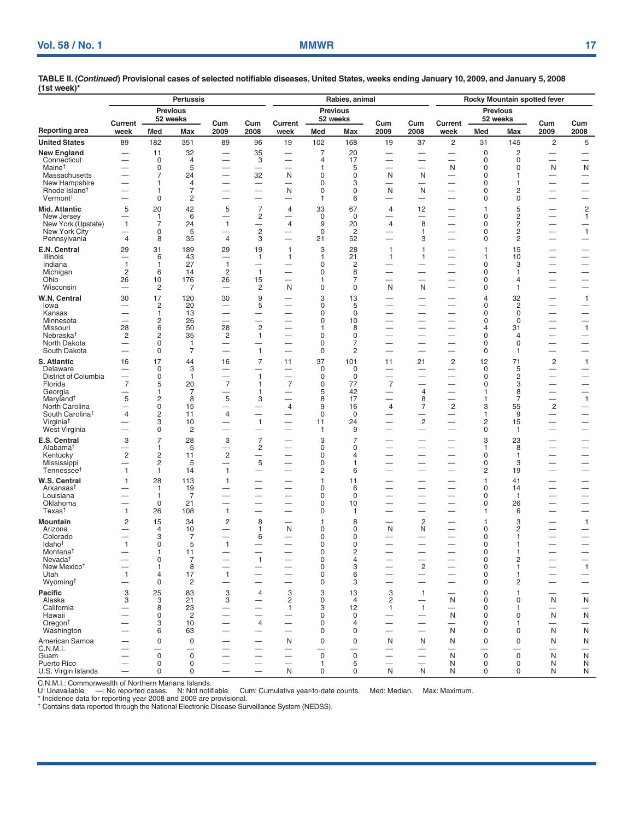|                                                      | <b>Pertussis</b>                                     |                                         |                      |                                            |                                          |                                                      | Rabies, animal                          |                   |                                                      |                                                      |                                                      | Rocky Mountain spotted fever          |                               |                                                           |                                               |
|------------------------------------------------------|------------------------------------------------------|-----------------------------------------|----------------------|--------------------------------------------|------------------------------------------|------------------------------------------------------|-----------------------------------------|-------------------|------------------------------------------------------|------------------------------------------------------|------------------------------------------------------|---------------------------------------|-------------------------------|-----------------------------------------------------------|-----------------------------------------------|
|                                                      | <b>Previous</b><br>52 weeks                          |                                         |                      |                                            |                                          |                                                      | <b>Previous</b><br>52 weeks             |                   |                                                      |                                                      |                                                      |                                       | <b>Previous</b><br>52 weeks   |                                                           |                                               |
| Reporting area                                       | Current<br>week                                      | Med                                     | Max                  | Cum<br>2009                                | Cum<br>2008                              | Current<br>week                                      | Med                                     | Max               | Cum<br>2009                                          | Cum<br>2008                                          | Current<br>week                                      | Med                                   | Max                           | Cum<br>2009                                               | Cum<br>2008                                   |
| <b>United States</b>                                 | 89                                                   | 182                                     | 351                  | 89                                         | 96                                       | 19                                                   | 102                                     | 168               | 19                                                   | 37                                                   | $\overline{c}$                                       | 31                                    | 145                           | $\overline{c}$                                            | 5                                             |
| <b>New England</b>                                   | $\overline{\phantom{0}}$                             | 11                                      | 32                   | —                                          | 35                                       |                                                      | $\overline{7}$                          | 20                | —                                                    |                                                      |                                                      | $\mathbf 0$                           | $\overline{c}$                | $\overline{\phantom{0}}$                                  |                                               |
| Connecticut<br>Maine <sup>†</sup>                    | $\overline{\phantom{0}}$<br>$\overline{\phantom{0}}$ | $\mathbf 0$<br>0                        | $\overline{4}$<br>5  | $\overline{\phantom{0}}$                   | 3<br>$\overline{\phantom{m}}$            | $\overline{\phantom{0}}$                             | 4<br>1                                  | 17<br>5           | $\overline{\phantom{0}}$                             |                                                      | $\overline{\phantom{0}}$<br>N                        | 0<br>0                                | 0<br>0                        | $\overline{\phantom{0}}$<br>N                             | $\overline{\phantom{0}}$<br>N                 |
| Massachusetts                                        | $\overline{\phantom{0}}$                             | 7                                       | 24                   |                                            | 32                                       | N                                                    | $\mathbf 0$                             | 0                 | N                                                    | N                                                    |                                                      | 0                                     |                               | —                                                         | $\overline{\phantom{0}}$                      |
| New Hampshire<br>Rhode Island <sup>†</sup>           | $\overline{\phantom{0}}$<br>-                        | $\mathbf{1}$<br>$\mathbf{1}$            | 4<br>$\overline{7}$  |                                            | $\qquad \qquad -$<br>—                   | N                                                    | 0<br>$\Omega$                           | 3<br>$\Omega$     | N                                                    | $\overline{\phantom{0}}$<br>N                        |                                                      | 0<br>0                                | 1<br>2                        | —<br>—                                                    |                                               |
| Vermont <sup>+</sup>                                 | $\overline{\phantom{0}}$                             | $\mathbf 0$                             | $\overline{c}$       | —                                          | $\overbrace{\phantom{13333}}$            | —                                                    | 1                                       | 6                 | —                                                    | -                                                    | —                                                    | $\pmb{0}$                             | 0                             | $\overline{\phantom{0}}$                                  |                                               |
| Mid. Atlantic                                        | 5                                                    | 20                                      | 42                   | 5                                          | $\overline{7}$                           | $\overline{4}$                                       | 33                                      | 67                | 4                                                    | 12                                                   |                                                      | 1                                     | 5                             |                                                           | $\overline{c}$                                |
| New Jersey<br>New York (Upstate)                     | $\overline{\phantom{0}}$<br>$\mathbf{1}$             | $\mathbf{1}$<br>7                       | 6<br>24              | –<br>1                                     | 2                                        | 4                                                    | 0<br>9                                  | 0<br>20           | 4                                                    | $\overline{\phantom{0}}$<br>8                        | $\overline{\phantom{0}}$<br>$\overline{\phantom{0}}$ | 0<br>0                                | 2<br>2                        | $\overline{\phantom{0}}$<br>$\overline{\phantom{0}}$      | 1<br>$\overline{\phantom{0}}$                 |
| New York City                                        | —                                                    | $\mathbf 0$                             | 5                    |                                            | $\overline{2}$                           | $\overline{\phantom{m}}$                             | $\mathbf 0$                             | $\overline{c}$    |                                                      | 1                                                    |                                                      | 0                                     | 2                             |                                                           | $\mathbf 1$                                   |
| Pennsylvania                                         | 4                                                    | 8                                       | 35                   | 4                                          | 3                                        | $\overline{\phantom{0}}$                             | 21                                      | 52                | $\overline{\phantom{0}}$                             | 3                                                    | $\overline{\phantom{0}}$                             | 0                                     | $\overline{c}$                | $\overline{\phantom{0}}$                                  | $\qquad \qquad -$                             |
| E.N. Central<br>Illinois                             | 29                                                   | 31<br>6                                 | 189<br>43            | 29                                         | 19<br>1                                  | $\mathbf{1}$<br>1                                    | 3<br>1                                  | 28<br>21          | 1<br>-1                                              | 1<br>1                                               | $\overline{\phantom{0}}$                             | 1<br>1                                | 15<br>10                      | —<br>$\overline{\phantom{0}}$                             | $\overline{\phantom{0}}$                      |
| Indiana                                              | $\overline{1}$                                       | $\mathbf{1}$                            | 27                   | 1                                          |                                          |                                                      | $\mathbf 0$                             | $\overline{c}$    |                                                      |                                                      |                                                      | 0                                     | 3                             | -                                                         |                                               |
| Michigan<br>Ohio                                     | $\overline{2}$<br>26                                 | 6<br>10                                 | 14<br>176            | $\overline{2}$<br>26                       | $\mathbf{1}$<br>15                       | $\overline{\phantom{0}}$<br>$\overline{\phantom{0}}$ | 0<br>1                                  | 8<br>7            | $\overline{\phantom{0}}$                             | $\overline{\phantom{0}}$                             | $\overline{\phantom{0}}$                             | $\pmb{0}$<br>0                        | 1<br>4                        | $\overline{\phantom{0}}$<br>$\overline{\phantom{0}}$      | -                                             |
| Wisconsin                                            |                                                      | 2                                       | 7                    | $\overline{\phantom{0}}$                   | 2                                        | N                                                    | 0                                       | 0                 | N                                                    | N                                                    |                                                      | 0                                     | 1                             |                                                           | $\overline{\phantom{0}}$                      |
| W.N. Central                                         | 30                                                   | 17                                      | 120                  | 30                                         | 9                                        |                                                      | 3                                       | 13                | -                                                    |                                                      | -                                                    | $\overline{4}$                        | 32                            | —                                                         | 1                                             |
| lowa<br>Kansas                                       | —                                                    | $\overline{c}$<br>$\mathbf{1}$          | 20<br>13             | $\overline{\phantom{0}}$<br>—              | 5<br>$\overline{\phantom{0}}$            |                                                      | 0<br>$\mathbf 0$                        | 5<br>$\mathbf 0$  | —<br>—                                               | -                                                    | —                                                    | $\mathbf 0$<br>$\mathbf 0$            | $\overline{c}$<br>$\mathbf 0$ | $\overline{\phantom{0}}$<br>$\overline{\phantom{0}}$      | $\qquad \qquad -$<br>$\overline{\phantom{0}}$ |
| Minnesota                                            |                                                      | 2                                       | 26                   |                                            | $\overline{\phantom{0}}$                 |                                                      | 0                                       | 10                |                                                      |                                                      |                                                      | 0                                     | 0                             | $\overline{\phantom{0}}$                                  |                                               |
| Missouri<br>Nebraska <sup>†</sup>                    | 28<br>$\overline{2}$                                 | 6<br>2                                  | 50<br>35             | 28<br>2                                    | $\overline{2}$<br>1                      | $\overline{\phantom{0}}$<br>$\qquad \qquad -$        | 1<br>0                                  | 8<br>0            | $\overline{\phantom{0}}$<br>$\overline{\phantom{0}}$ | $\overline{\phantom{0}}$                             |                                                      | $\overline{4}$<br>0                   | 31<br>4                       | $\overline{\phantom{0}}$<br>$\overline{\phantom{0}}$      | $\mathbf{1}$<br>$\qquad \qquad -$             |
| North Dakota                                         | $\overline{\phantom{0}}$                             | $\mathbf 0$                             | $\mathbf{1}$         |                                            |                                          |                                                      | $\mathbf 0$                             | 7                 | $\overline{\phantom{0}}$                             |                                                      |                                                      | 0                                     | $\Omega$                      | $\overline{\phantom{0}}$                                  | $\overline{\phantom{0}}$                      |
| South Dakota                                         |                                                      | 0                                       | $\overline{7}$       |                                            | $\mathbf{1}$                             | $\overline{\phantom{0}}$                             | 0                                       | $\overline{c}$    |                                                      |                                                      | $\overline{\phantom{0}}$                             | 0                                     | 1                             | $\overline{\phantom{0}}$                                  |                                               |
| S. Atlantic<br>Delaware                              | 16<br>—                                              | 17<br>$\mathbf 0$                       | 44<br>3              | 16<br>$\overline{\phantom{0}}$             | $\overline{7}$<br>-                      | 11<br>—                                              | 37<br>0                                 | 101<br>0          | 11<br>-                                              | 21<br>-                                              | $\overline{c}$<br>$\qquad \qquad -$                  | 12<br>$\mathbf 0$                     | 71<br>5                       | $\overline{c}$<br>$\overline{\phantom{0}}$                | 1                                             |
| District of Columbia                                 |                                                      | 0                                       | $\mathbf{1}$         |                                            | $\mathbf{1}$                             |                                                      | 0                                       | 0                 |                                                      |                                                      |                                                      | 0                                     | 2                             | $\overline{\phantom{0}}$                                  |                                               |
| Florida<br>Georgia                                   | $\overline{7}$<br>$\overline{\phantom{0}}$           | 5<br>1                                  | 20<br>7              | $\overline{7}$<br>—                        | $\mathbf{1}$<br>1                        | $\overline{7}$<br>$\overline{\phantom{0}}$           | 0<br>5                                  | 77<br>42          | 7<br>$\overline{\phantom{0}}$                        | $\overline{4}$                                       | —                                                    | 0<br>1                                | 3<br>8                        | $\overline{\phantom{0}}$<br>$\overline{\phantom{0}}$      | $\overline{\phantom{0}}$                      |
| Maryland <sup>†</sup>                                | 5                                                    | 2                                       | 8                    | 5                                          | 3                                        |                                                      | 8                                       | 17                | $\overline{\phantom{0}}$                             | 8                                                    |                                                      | 1                                     | 7                             | $\overline{\phantom{0}}$                                  | $\mathbf{1}$                                  |
| North Carolina                                       | $\overline{\phantom{0}}$                             | $\mathbf 0$                             | 15                   | $\overline{\phantom{0}}$                   | $\overline{\phantom{0}}$                 | 4                                                    | 9                                       | 16                | 4                                                    | $\overline{7}$                                       | $\overline{c}$                                       | 3                                     | 55                            | $\overline{c}$                                            | $\qquad \qquad -$                             |
| South Carolina <sup>t</sup><br>Virginia <sup>†</sup> | 4<br>—                                               | $\overline{c}$<br>3                     | 11<br>10             | $\overline{4}$<br>$\overline{\phantom{0}}$ | $\overline{\phantom{0}}$<br>$\mathbf{1}$ | $\overline{\phantom{0}}$<br>$\overline{\phantom{0}}$ | $\Omega$<br>11                          | $\mathbf 0$<br>24 | $\overline{\phantom{0}}$<br>$\overline{\phantom{0}}$ | $\overline{\mathbf{c}}$                              | $\overline{\phantom{0}}$<br>$\overline{\phantom{0}}$ | 1<br>2                                | 9<br>15                       | $\overline{\phantom{0}}$<br>$\overline{\phantom{0}}$      | $\overline{\phantom{0}}$                      |
| West Virginia                                        |                                                      | 0                                       | $\overline{c}$       |                                            | $\overline{\phantom{0}}$                 | $\overline{\phantom{0}}$                             | 1                                       | 9                 |                                                      | $\overline{\phantom{0}}$                             |                                                      | $\pmb{0}$                             | -1                            | $\overline{\phantom{0}}$                                  |                                               |
| E.S. Central                                         | 3                                                    | $\overline{7}$                          | 28                   | 3<br>—                                     | $\overline{7}$                           |                                                      | 3                                       | $\overline{7}$    | —                                                    |                                                      | $\overline{\phantom{0}}$                             | 3                                     | 23                            |                                                           |                                               |
| Alabama <sup>t</sup><br>Kentucky                     | -<br>$\sqrt{2}$                                      | $\mathbf{1}$<br>2                       | 5<br>11              | $\overline{\mathbf{c}}$                    | 2<br>$\overline{\phantom{0}}$            | $\qquad \qquad -$                                    | 0<br>$\mathbf 0$                        | 0<br>4            | $\overline{\phantom{0}}$                             | -                                                    |                                                      | 1<br>0                                | 8<br>1                        | $\overbrace{\phantom{12333}}$<br>$\overline{\phantom{0}}$ | $\overline{\phantom{0}}$                      |
| Mississippi                                          | $\overline{\phantom{0}}$                             | $\overline{c}$                          | 5                    |                                            | 5                                        | —                                                    | 0                                       | 1                 | $\overline{\phantom{0}}$                             | $\overline{\phantom{0}}$                             |                                                      | 0                                     | 3                             |                                                           | $\overline{\phantom{0}}$                      |
| Tennessee <sup>t</sup>                               | $\mathbf{1}$                                         | $\mathbf{1}$                            | 14                   | 1                                          | $\overline{\phantom{0}}$                 | $\overline{\phantom{0}}$                             | 2                                       | 6                 | $\overline{\phantom{0}}$                             | $\overline{\phantom{0}}$                             | $\overline{\phantom{0}}$                             | $\overline{c}$                        | 19<br>41                      | $\overline{\phantom{0}}$                                  |                                               |
| W.S. Central<br>Arkansas <sup>t</sup>                | $\mathbf{1}$                                         | 28<br>$\mathbf{1}$                      | 113<br>19            | $\mathbf{1}$                               | $\overline{\phantom{0}}$                 | —                                                    | 1<br>0                                  | 11<br>6           |                                                      |                                                      |                                                      | 1<br>0                                | 14                            | —<br>—                                                    | -                                             |
| Louisiana                                            |                                                      | $\mathbf{1}$                            | $\overline{7}$       |                                            | —                                        | $\overline{\phantom{0}}$                             | 0                                       | 0                 | -                                                    |                                                      | -                                                    | 0                                     | 1                             | —                                                         |                                               |
| Oklahoma<br>Texas <sup>t</sup>                       | -<br>$\mathbf{1}$                                    | 0<br>26                                 | 21<br>108            | —<br>$\mathbf{1}$                          | —<br>—                                   | —<br>—                                               | 0<br>0                                  | 10<br>1           | -<br>$\overline{\phantom{0}}$                        | -                                                    |                                                      | 0<br>1                                | 26<br>6                       | —<br>—                                                    | -<br>-                                        |
| Mountain                                             | $\overline{c}$                                       | 15                                      | 34                   | $\overline{\mathbf{c}}$                    | 8                                        | -                                                    | 1                                       | 8                 | $\overline{\phantom{0}}$                             | 2                                                    | —                                                    | 1                                     | 3                             | —                                                         | 1                                             |
| Arizona<br>Colorado                                  | —                                                    | 4<br>3                                  | 10<br>$\overline{7}$ |                                            | 1                                        | N<br>-                                               | 0<br>0                                  | 0<br>0            | N                                                    | N                                                    | $\overline{\phantom{0}}$                             | 0<br>$\mathbf 0$                      | 2<br>1                        | $\overline{\phantom{0}}$                                  | $\overline{\phantom{0}}$                      |
| Idaho <sup>t</sup>                                   | 1                                                    | $\mathbf 0$                             | 5                    | $\mathbf{1}$                               | 6                                        | —                                                    | 0                                       | 0                 |                                                      |                                                      |                                                      | 0                                     |                               | —                                                         | -                                             |
| Montana <sup>t</sup>                                 |                                                      | $\mathbf{1}$                            | 11                   |                                            |                                          | —                                                    | 0                                       | 2                 | $\overline{\phantom{0}}$                             |                                                      |                                                      | $\mathbf 0$                           | 1                             |                                                           |                                               |
| Nevada <sup>†</sup><br>New Mexico <sup>t</sup>       |                                                      | 0<br>$\mathbf{1}$                       | 7<br>8               |                                            | $\mathbf{1}$                             | $\qquad \qquad -$                                    | 0<br>0                                  | 4<br>3            | $\overline{\phantom{0}}$                             | $\overline{c}$                                       |                                                      | 0<br>0                                | 2<br>1                        | $\overbrace{\phantom{13333}}$<br>$\overline{\phantom{m}}$ | $\qquad \qquad -$<br>$\overline{1}$           |
| Utah                                                 | $\mathbf{1}$                                         | 4                                       | 17                   | $\mathbf{1}$                               | $\overline{\phantom{0}}$                 | $\overline{\phantom{0}}$                             | 0                                       | 6                 | $\overline{\phantom{0}}$                             | $\overline{\phantom{0}}$                             | —                                                    | 0                                     | 1                             | $\overline{\phantom{0}}$                                  | $\overline{\phantom{0}}$                      |
| Wyoming <sup>t</sup>                                 | —                                                    | 0                                       | $\overline{c}$       |                                            | —                                        | $\overline{\phantom{0}}$                             | 0<br>3                                  | 3                 |                                                      |                                                      | $\overline{\phantom{0}}$                             | 0<br>$\mathbf 0$                      | 2                             | $\overline{\phantom{0}}$                                  |                                               |
| Pacific<br>Alaska                                    | $\sqrt{3}$<br>3                                      | 25<br>3                                 | 83<br>21             | 3<br>3                                     | 4                                        | 3<br>$\overline{c}$                                  | 0                                       | 13<br>4           | 3<br>$\overline{c}$                                  | $\mathbf{1}$<br>—                                    | N                                                    | 0                                     | 1<br>0                        | —<br>N                                                    | -<br>N                                        |
| California                                           | —                                                    | 8                                       | 23                   |                                            | $\overline{\phantom{0}}$                 | 1                                                    | 3                                       | 12                | 1                                                    | $\mathbf{1}$                                         |                                                      | $\mathbf 0$                           | 1                             | $\overbrace{\phantom{13333}}$                             | $\overbrace{\phantom{12332}}$                 |
| Hawaii<br>$O$ regon <sup>†</sup>                     | $\overline{\phantom{0}}$                             | $\mathbf 0$<br>3                        | $\overline{2}$<br>10 |                                            | $\overline{\phantom{0}}$<br>4            | —<br>—                                               | 0<br>0                                  | 0<br>4            | $\overline{\phantom{0}}$<br>-                        | -                                                    | N                                                    | 0<br>0                                | 0<br>1                        | N<br>—                                                    | ${\sf N}$<br>-                                |
| Washington                                           |                                                      | 6                                       | 63                   |                                            |                                          | $\overline{\phantom{0}}$                             | 0                                       | 0                 | $\overline{\phantom{0}}$                             | $\overline{\phantom{0}}$                             | N                                                    | 0                                     | 0                             | N                                                         | N                                             |
| American Samoa                                       | $\overline{\phantom{0}}$                             | $\mathbf 0$                             | $\mathsf 0$          | —                                          |                                          | N                                                    | $\mathbf 0$                             | $\mathbf 0$       | N                                                    | N                                                    | N                                                    | $\mathbf 0$                           | $\mathbf 0$                   | N                                                         | N                                             |
| C.N.M.I.<br>Guam                                     | $\overline{\phantom{0}}$                             | $\overline{\phantom{0}}$<br>$\mathbf 0$ | $\mathbf 0$          |                                            |                                          | $\qquad \qquad -$<br>$\overline{\phantom{0}}$        | $\overline{\phantom{0}}$<br>$\mathbf 0$ | $\mathbf 0$       | $\overline{\phantom{0}}$<br>$\overline{\phantom{0}}$ | $\overline{\phantom{0}}$<br>$\overline{\phantom{0}}$ | $\overline{\phantom{0}}$<br>N                        | $\overline{\phantom{0}}$<br>$\pmb{0}$ | $\overline{\phantom{0}}$<br>0 | $\overline{\phantom{0}}$<br>N                             | $\overline{\phantom{0}}$<br>N                 |
| Puerto Rico                                          |                                                      | 0                                       | 0                    | —                                          | $\overbrace{\phantom{13333}}$            | $\overbrace{\phantom{12333}}$                        | 1                                       | 5                 | —                                                    | $\overline{\phantom{0}}$                             | N                                                    | 0                                     | 0                             | N                                                         | N                                             |
| U.S. Virgin Islands                                  |                                                      | 0                                       | $\pmb{0}$            |                                            |                                          | N                                                    | 0                                       | 0                 | N                                                    | N                                                    | N                                                    | $\pmb{0}$                             | 0                             | N                                                         | N                                             |

C.N.M.I.: Commonwealth of Northern Mariana Islands.

U: Unavailable. —: No reported cases. N: Not notifiable. Cum: Cumulative year-to-date counts. Med: Median. Max: Maximum.<br>\* Incidence data for reporting year 2008 and 2009 are provisional.<br>† Contains dat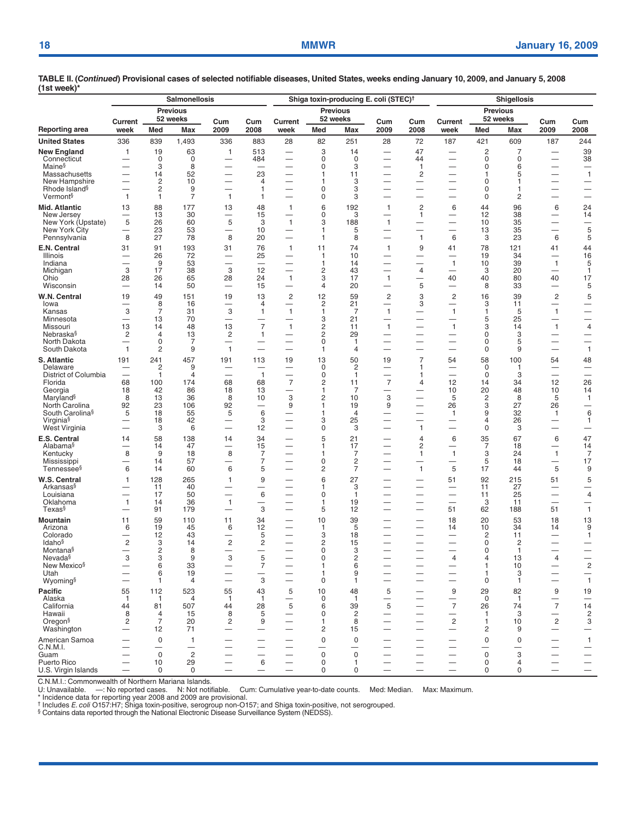|                                                                                                                                                                                           | <b>Salmonellosis</b>                                                                                    |                                                                                 |                                                                       |                                                                                                                                                     |                                                                                                        |                                                                                                                    |                                                                                                          |                                                                                          | Shiga toxin-producing E. coli (STEC) <sup>†</sup>                                                |                                                                                                                         |                                                                                                       |                                                                             | <b>Shigellosis</b>                                        |                                                                                                                               |                                                                                                                                         |
|-------------------------------------------------------------------------------------------------------------------------------------------------------------------------------------------|---------------------------------------------------------------------------------------------------------|---------------------------------------------------------------------------------|-----------------------------------------------------------------------|-----------------------------------------------------------------------------------------------------------------------------------------------------|--------------------------------------------------------------------------------------------------------|--------------------------------------------------------------------------------------------------------------------|----------------------------------------------------------------------------------------------------------|------------------------------------------------------------------------------------------|--------------------------------------------------------------------------------------------------|-------------------------------------------------------------------------------------------------------------------------|-------------------------------------------------------------------------------------------------------|-----------------------------------------------------------------------------|-----------------------------------------------------------|-------------------------------------------------------------------------------------------------------------------------------|-----------------------------------------------------------------------------------------------------------------------------------------|
|                                                                                                                                                                                           | Current                                                                                                 |                                                                                 | <b>Previous</b><br>52 weeks                                           | Cum                                                                                                                                                 |                                                                                                        | Current                                                                                                            | 52 weeks                                                                                                 | <b>Previous</b>                                                                          | Cum                                                                                              |                                                                                                                         | Current                                                                                               |                                                                             | <b>Previous</b><br>52 weeks                               | Cum                                                                                                                           | Cum                                                                                                                                     |
| Reporting area                                                                                                                                                                            | week                                                                                                    | Med                                                                             | Max                                                                   | 2009                                                                                                                                                | Cum<br>2008                                                                                            | week                                                                                                               | Med                                                                                                      | Max                                                                                      | 2009                                                                                             | Cum<br>2008                                                                                                             | week                                                                                                  | Med                                                                         | Max                                                       | 2009                                                                                                                          | 2008                                                                                                                                    |
| <b>United States</b>                                                                                                                                                                      | 336                                                                                                     | 839                                                                             | 1,493                                                                 | 336                                                                                                                                                 | 883                                                                                                    | 28                                                                                                                 | 82                                                                                                       | 251                                                                                      | 28                                                                                               | 72                                                                                                                      | 187                                                                                                   | 421                                                                         | 609                                                       | 187                                                                                                                           | 244                                                                                                                                     |
| <b>New England</b><br>Connecticut<br>Maine <sup>§</sup><br>Massachusetts<br>New Hampshire<br>Rhode Island <sup>§</sup><br>Vermont <sup>§</sup>                                            | $\mathbf{1}$<br>$\overline{\phantom{m}}$<br>$\overline{\phantom{0}}$<br>$\mathbf{1}$                    | 19<br>0<br>3<br>14<br>2<br>2<br>1                                               | 63<br>$\mathbf 0$<br>8<br>52<br>10<br>9<br>7                          | $\overline{1}$<br>—<br>$\overline{\phantom{0}}$<br>—<br>$\overline{\phantom{0}}$<br>$\overline{1}$                                                  | 513<br>484<br>23<br>4<br>1<br>$\mathbf{1}$                                                             | $\overline{\phantom{0}}$<br>$\overline{\phantom{0}}$<br>$\overline{\phantom{0}}$<br>$\overline{\phantom{0}}$       | 3<br>0<br>0<br>1<br>$\mathbf{1}$<br>0<br>0                                                               | 14<br>$\mathbf 0$<br>3<br>11<br>3<br>3<br>3                                              | ▃<br>$\overline{\phantom{0}}$<br>$\overline{\phantom{0}}$                                        | 47<br>44<br>$\mathbf{1}$<br>$\overline{c}$<br>$\qquad \qquad -$<br>$\overline{\phantom{0}}$<br>$\overline{\phantom{0}}$ | $\overline{\phantom{0}}$<br>$\overline{\phantom{0}}$                                                  | $\overline{c}$<br>0<br>0<br>1<br>0<br>0<br>0                                | $\overline{7}$<br>$\mathbf 0$<br>6<br>5<br>1<br>1<br>2    | $\overline{\phantom{0}}$<br>$\overline{\phantom{0}}$<br>—<br>$\overline{\phantom{0}}$<br>$\overline{\phantom{0}}$             | 39<br>38<br>$\overline{\phantom{0}}$<br>$\mathbf{1}$<br>$\qquad \qquad -$<br>$\overline{\phantom{0}}$                                   |
| <b>Mid. Atlantic</b><br>New Jersey<br>New York (Upstate)<br>New York City<br>Pennsylvania                                                                                                 | 13<br>5<br>8                                                                                            | 88<br>13<br>26<br>23<br>27                                                      | 177<br>30<br>60<br>53<br>78                                           | 13<br>$\overline{\phantom{0}}$<br>5<br>8                                                                                                            | 48<br>15<br>3<br>10<br>20                                                                              | $\mathbf{1}$<br>$\mathbf{1}$<br>$\overline{\phantom{0}}$                                                           | 6<br>0<br>3<br>1<br>1                                                                                    | 192<br>3<br>188<br>5<br>8                                                                | 1<br>$\mathbf{1}$<br>$\overline{\phantom{0}}$<br>$\overline{\phantom{0}}$                        | $\overline{c}$<br>1<br>—<br>$\mathbf{1}$                                                                                | 6<br>$\overline{\phantom{0}}$<br>$\overline{\phantom{0}}$<br>6                                        | 44<br>12<br>10<br>13<br>3                                                   | 96<br>38<br>35<br>35<br>23                                | 6<br>$\overline{\phantom{0}}$<br>$\overline{\phantom{0}}$<br>6                                                                | 24<br>14<br>$\overline{\phantom{0}}$<br>5<br>5                                                                                          |
| E.N. Central<br>Illinois<br>Indiana<br>Michigan<br>Ohio<br>Wisconsin                                                                                                                      | 31<br>$\overline{\phantom{0}}$<br>3<br>28<br>$\overline{\phantom{0}}$                                   | 91<br>26<br>9<br>17<br>26<br>14                                                 | 193<br>72<br>53<br>38<br>65<br>50                                     | 31<br>$\overline{\phantom{0}}$<br>$\overline{\phantom{0}}$<br>3<br>28<br>$\overline{\phantom{0}}$                                                   | 76<br>25<br>12<br>24<br>15                                                                             | 1<br>$\overline{\phantom{0}}$<br>$\overline{\phantom{0}}$<br>$\mathbf{1}$<br>$\overline{\phantom{0}}$              | 11<br>1<br>$\mathbf{1}$<br>$\overline{c}$<br>3<br>4                                                      | 74<br>10<br>14<br>43<br>17<br>20                                                         | 1<br>$\overline{\phantom{0}}$<br>$\overline{\phantom{0}}$<br>$\mathbf{1}$<br>—                   | 9<br>$\overline{\phantom{0}}$<br>4<br>—<br>5                                                                            | 41<br>$\mathbf{1}$<br>$\overline{\phantom{0}}$<br>40<br>$\overline{\phantom{0}}$                      | 78<br>19<br>10<br>3<br>40<br>8                                              | 121<br>34<br>39<br>20<br>80<br>33                         | 41<br>$\mathbf{1}$<br>40<br>$\overline{\phantom{0}}$                                                                          | 44<br>16<br>5<br>$\mathbf{1}$<br>17<br>5                                                                                                |
| W.N. Central<br>lowa<br>Kansas<br>Minnesota<br>Missouri<br>Nebraska§<br>North Dakota<br>South Dakota                                                                                      | 19<br>3<br>$\overline{\phantom{0}}$<br>13<br>$\overline{2}$<br>$\overline{\phantom{0}}$<br>$\mathbf{1}$ | 49<br>8<br>$\overline{7}$<br>13<br>14<br>4<br>$\mathbf 0$<br>2                  | 151<br>16<br>31<br>70<br>48<br>13<br>$\overline{7}$<br>9              | 19<br>3<br>$\overline{\phantom{0}}$<br>13<br>$\overline{c}$<br>$\overline{\phantom{0}}$<br>$\mathbf{1}$                                             | 13<br>$\overline{4}$<br>$\mathbf{1}$<br>—<br>$\overline{7}$<br>$\mathbf{1}$<br>—<br>—                  | $\overline{c}$<br>$\overline{\phantom{0}}$<br>$\mathbf{1}$<br>$\mathbf{1}$<br>$\overline{\phantom{0}}$<br>—        | 12<br>2<br>$\mathbf{1}$<br>3<br>$\overline{\mathbf{c}}$<br>$\overline{c}$<br>$\mathbf 0$<br>$\mathbf{1}$ | 59<br>21<br>7<br>21<br>11<br>29<br>$\mathbf{1}$<br>4                                     | $\overline{2}$<br>—<br>1<br>-<br>$\mathbf{1}$<br>—<br>-                                          | 3<br>3<br>$\overline{\phantom{0}}$<br>$\overline{\phantom{0}}$<br>—                                                     | $\overline{c}$<br>—<br>1<br>—<br>$\mathbf{1}$<br>$\overline{\phantom{0}}$<br>$\overline{\phantom{0}}$ | 16<br>3<br>1<br>5<br>3<br>0<br>0<br>$\mathbf 0$                             | 39<br>11<br>5<br>25<br>14<br>3<br>5<br>9                  | $\overline{c}$<br>—<br>$\mathbf{1}$<br>$\mathbf{1}$<br>—<br>$\overline{\phantom{0}}$                                          | 5<br>$\overline{\phantom{0}}$<br>$\overline{4}$<br>—<br>—<br>$\mathbf{1}$                                                               |
| S. Atlantic<br>Delaware<br>District of Columbia<br>Florida<br>Georgia<br>Maryland <sup>§</sup><br>North Carolina<br>South Carolina <sup>§</sup><br>Virginia <sup>§</sup><br>West Virginia | 191<br>$\overline{\phantom{0}}$<br>68<br>18<br>8<br>92<br>5                                             | 241<br>$\overline{c}$<br>$\mathbf{1}$<br>100<br>42<br>13<br>23<br>18<br>18<br>3 | 457<br>9<br>$\overline{4}$<br>174<br>86<br>36<br>106<br>55<br>42<br>6 | 191<br>$\overline{\phantom{0}}$<br>68<br>18<br>8<br>92<br>5<br>—<br>$\overline{\phantom{0}}$                                                        | 113<br>$\mathbf{1}$<br>68<br>13<br>10<br>—<br>6<br>3<br>12                                             | 19<br>$\overline{\phantom{0}}$<br>$\overline{7}$<br>3<br>9<br>$\overline{\phantom{0}}$<br>$\overline{\phantom{0}}$ | 13<br>0<br>0<br>$\overline{\mathbf{c}}$<br>1<br>$\overline{2}$<br>1<br>1<br>3<br>0                       | 50<br>2<br>$\mathbf{1}$<br>11<br>$\overline{7}$<br>10<br>19<br>$\overline{4}$<br>25<br>3 | 19<br>$\overline{\phantom{0}}$<br>$\overline{\phantom{0}}$<br>$\overline{7}$<br>3<br>9<br>—<br>— | $\overline{7}$<br>1<br>1<br>4<br>$\overline{\phantom{0}}$<br>$\mathbf{1}$                                               | 54<br>$\overline{\phantom{0}}$<br>12<br>10<br>5<br>26<br>$\mathbf{1}$<br>—<br>—                       | 58<br>0<br>0<br>14<br>20<br>$\overline{c}$<br>3<br>9<br>$\overline{4}$<br>0 | 100<br>1<br>3<br>34<br>48<br>8<br>27<br>32<br>26<br>3     | 54<br>$\overline{\phantom{0}}$<br>12<br>10<br>5<br>26<br>$\mathbf{1}$<br>$\overline{\phantom{0}}$<br>$\overline{\phantom{0}}$ | 48<br>$\overline{\phantom{m}}$<br>$\overline{\phantom{0}}$<br>26<br>14<br>$\mathbf{1}$<br>$\overline{\phantom{0}}$<br>6<br>$\mathbf{1}$ |
| E.S. Central<br>Alabama <sup>§</sup><br>Kentucky<br>Mississippi<br>Tennessee§                                                                                                             | 14<br>8<br>6                                                                                            | 58<br>14<br>9<br>14<br>14                                                       | 138<br>47<br>18<br>57<br>60                                           | 14<br>-<br>8<br>6                                                                                                                                   | 34<br>15<br>7<br>$\overline{7}$<br>5                                                                   | —<br>—<br>$\overline{\phantom{0}}$                                                                                 | 5<br>1<br>1<br>0<br>2                                                                                    | 21<br>17<br>7<br>$\overline{c}$<br>$\overline{7}$                                        | $\overline{\phantom{0}}$<br><u>—</u><br>$\overline{\phantom{0}}$<br>$\overline{\phantom{0}}$     | $\overline{4}$<br>$\overline{c}$<br>1<br>$\mathbf{1}$                                                                   | 6<br>$\overline{\phantom{0}}$<br>$\mathbf{1}$<br>5                                                    | 35<br>$\overline{7}$<br>3<br>5<br>17                                        | 67<br>18<br>24<br>18<br>44                                | 6<br>$\overline{\phantom{0}}$<br>$\mathbf{1}$<br>$\overline{\phantom{0}}$<br>5                                                | 47<br>14<br>$\overline{7}$<br>17<br>9                                                                                                   |
| W.S. Central<br>Arkansas§<br>Louisiana<br>Oklahoma<br>Texas§                                                                                                                              | $\mathbf{1}$<br>$\mathbf{1}$                                                                            | 128<br>11<br>17<br>14<br>91                                                     | 265<br>40<br>50<br>36<br>179                                          | $\mathbf{1}$<br>-<br>$\mathbf{1}$<br>—                                                                                                              | 9<br>-<br>6<br>$\overline{\phantom{0}}$<br>3                                                           | —<br>$\overline{\phantom{0}}$<br>$\overline{\phantom{0}}$                                                          | 6<br>1<br>0<br>$\mathbf{1}$<br>5                                                                         | 27<br>3<br>$\mathbf{1}$<br>19<br>12                                                      | $\overline{\phantom{0}}$<br>$\overline{\phantom{0}}$                                             | $\overbrace{\phantom{12333}}$<br>$\overline{\phantom{0}}$<br>$\overline{\phantom{0}}$                                   | 51<br>$\overline{\phantom{0}}$<br>51                                                                  | 92<br>11<br>11<br>3<br>62                                                   | 215<br>27<br>25<br>11<br>188                              | 51<br>-<br>$\overline{\phantom{0}}$<br>$\overline{\phantom{0}}$<br>51                                                         | 5<br>-<br>$\overline{4}$<br>$\overline{\phantom{0}}$<br>$\mathbf{1}$                                                                    |
| <b>Mountain</b><br>Arizona<br>Colorado<br>Idaho <sup>§</sup><br>Montana§<br>Nevada <sup>§</sup><br>New Mexico <sup>§</sup><br>Utah<br>Wyoming§                                            | 11<br>6<br>$\overline{c}$<br>3                                                                          | 59<br>19<br>12<br>3<br>2<br>3<br>6<br>6<br>1                                    | 110<br>45<br>43<br>14<br>8<br>9<br>33<br>19<br>$\overline{4}$         | 11<br>6<br>$\overline{\phantom{0}}$<br>$\overline{c}$<br>—<br>3<br>$\overline{\phantom{0}}$<br>$\overline{\phantom{0}}$<br>$\overline{\phantom{0}}$ | 34<br>12<br>5<br>2<br>$\overline{\phantom{0}}$<br>5<br>$\overline{7}$<br>$\overline{\phantom{0}}$<br>3 | $\overline{\phantom{0}}$<br>$\overline{\phantom{0}}$<br>$\overline{\phantom{0}}$                                   | 10<br>-1<br>3<br>2<br>0<br>0<br>$\mathbf{1}$<br>1<br>0                                                   | 39<br>5<br>18<br>15<br>3<br>2<br>6<br>9<br>$\mathbf{1}$                                  | <u>—</u><br>—<br>—<br>$\overline{\phantom{0}}$                                                   | $\overline{\phantom{0}}$<br>$\overline{\phantom{0}}$                                                                    | 18<br>14<br>—<br>$\overline{\phantom{0}}$<br>4<br>$\overline{\phantom{0}}$                            | 20<br>10<br>2<br>0<br>0<br>4<br>1<br>1<br>0                                 | 53<br>34<br>11<br>2<br>1<br>13<br>10<br>3<br>$\mathbf{1}$ | 18<br>14<br>4<br>$\overline{\phantom{0}}$<br>$\overline{\phantom{0}}$<br>$\overline{\phantom{0}}$                             | 13<br>9<br>$\mathbf{1}$<br>-<br>—<br>$\sqrt{2}$<br>$\mathbf 1$                                                                          |
| Pacific<br>Alaska<br>California<br>Hawaii<br>Oregon <sup>§</sup><br>Washington                                                                                                            | 55<br>$\mathbf{1}$<br>44<br>8<br>$\overline{c}$<br>$\overline{\phantom{0}}$                             | 112<br>$\mathbf{1}$<br>81<br>4<br>$\overline{7}$<br>12                          | 523<br>4<br>507<br>15<br>20<br>71                                     | 55<br>$\overline{1}$<br>44<br>8<br>$\overline{c}$                                                                                                   | 43<br>$\overline{1}$<br>28<br>5<br>9                                                                   | 5<br>5<br>—                                                                                                        | 10<br>0<br>6<br>0<br>1<br>2                                                                              | 48<br>$\mathbf{1}$<br>39<br>$\overline{2}$<br>8<br>15                                    | 5<br>—<br>5<br>—<br>$\overline{\phantom{0}}$                                                     | $\overline{\phantom{0}}$<br>$\overline{\phantom{0}}$                                                                    | 9<br>$\overline{\phantom{0}}$<br>$\overline{7}$<br>—<br>$\overline{c}$<br>$\overline{\phantom{0}}$    | 29<br>0<br>26<br>1<br>1<br>2                                                | 82<br>$\overline{1}$<br>74<br>3<br>10<br>9                | 9<br>$\overline{\phantom{0}}$<br>$\overline{\mathcal{I}}$<br>$\overline{\phantom{0}}$<br>$\overline{c}$<br>$\qquad \qquad$    | 19<br>$\overbrace{\phantom{1232211}}$<br>14<br>$\sqrt{2}$<br>3<br>$\overline{\phantom{0}}$                                              |
| American Samoa<br>C.N.M.I.<br>Guam<br>Puerto Rico<br>U.S. Virgin Islands                                                                                                                  |                                                                                                         | $\mathbf 0$<br>$\mathbf 0$<br>10<br>0                                           | $\mathbf{1}$<br>—<br>$\sqrt{2}$<br>29<br>$\mathbf 0$                  | $\overline{\phantom{0}}$                                                                                                                            | $\overline{\phantom{0}}$<br>6                                                                          | $\overline{\phantom{0}}$<br>$\qquad \qquad -$<br>$\overline{\phantom{0}}$                                          | $\mathbf 0$<br>$\mathbf 0$<br>0<br>0                                                                     | $\mathbf 0$<br>—<br>$\mathbf 0$<br>1<br>0                                                | —                                                                                                |                                                                                                                         | $\overline{\phantom{0}}$<br>$\overline{\phantom{0}}$                                                  | $\mathbf 0$<br>0<br>0<br>0                                                  | $\mathbf 0$<br>$\overline{\phantom{0}}$<br>3<br>4<br>0    |                                                                                                                               | $\mathbf{1}$<br>$\overline{\phantom{0}}$<br>$\equiv$                                                                                    |

C.N.M.I.: Commonwealth of Northern Mariana Islands.<br>U: Unavailable. —: No reported cases. N: Not notifiable. Cum: Cumulative year-to-date counts. Med: Median. Max: Maximum.<br>\* Incidence data for reportin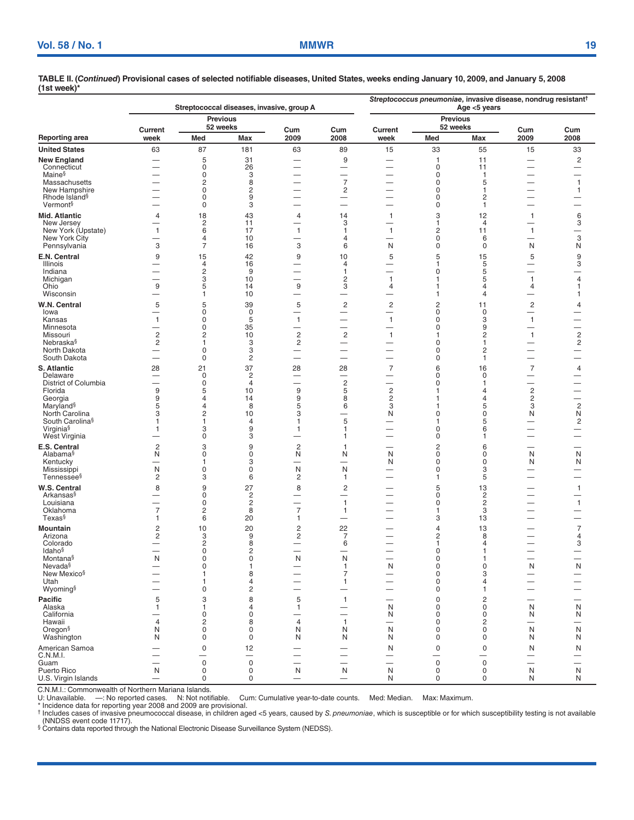| <b>ISL WCCK</b>                                      |                                                      |                                         |                                         | Streptococcal diseases, invasive, group A          |                                                      |                                                      |                                         | Age <5 years                   | Streptococcus pneumoniae, invasive disease, nondrug resistant <sup>†</sup> |                                                      |
|------------------------------------------------------|------------------------------------------------------|-----------------------------------------|-----------------------------------------|----------------------------------------------------|------------------------------------------------------|------------------------------------------------------|-----------------------------------------|--------------------------------|----------------------------------------------------------------------------|------------------------------------------------------|
|                                                      | Current                                              | <b>Previous</b><br>52 weeks             |                                         | Cum                                                | Cum                                                  | Current                                              | <b>Previous</b><br>52 weeks             |                                | Cum                                                                        | Cum                                                  |
| Reporting area                                       | week                                                 | Med                                     | Max                                     | 2009                                               | 2008                                                 | week                                                 | Med                                     | Max                            | 2009                                                                       | 2008                                                 |
| <b>United States</b>                                 | 63                                                   | 87                                      | 181                                     | 63                                                 | 89                                                   | 15                                                   | 33                                      | 55                             | 15                                                                         | 33                                                   |
| <b>New England</b>                                   |                                                      | 5                                       | 31                                      |                                                    | $\boldsymbol{9}$                                     | $\overline{\phantom{0}}$                             | $\mathbf{1}$                            | 11                             | —                                                                          | $\sqrt{2}$                                           |
| Connecticut<br>Maine <sup>§</sup>                    | —                                                    | 0<br>0                                  | 26<br>3                                 |                                                    |                                                      | —<br>—                                               | 0<br>0                                  | 11<br>1                        | —<br>—                                                                     | -                                                    |
| Massachusetts                                        |                                                      | $\overline{c}$                          | 8                                       |                                                    | $\overline{7}$                                       | $\overline{\phantom{0}}$                             | $\mathbf 0$                             | 5                              |                                                                            | 1                                                    |
| New Hampshire                                        | —                                                    | $\mathbf 0$                             | $\overline{c}$                          | $\overline{\phantom{0}}$                           | $\sqrt{2}$                                           | $\overline{\phantom{0}}$                             | $\mathbf 0$                             | 1                              | —                                                                          | 1                                                    |
| Rhode Island <sup>§</sup><br>Vermont <sup>§</sup>    |                                                      | 0<br>$\mathbf 0$                        | 9<br>3                                  |                                                    | $\overline{\phantom{0}}$<br>$\overline{\phantom{0}}$ | —                                                    | $\mathbf 0$<br>$\pmb{0}$                | $\overline{2}$<br>$\mathbf{1}$ | -                                                                          |                                                      |
| Mid. Atlantic                                        | 4                                                    | 18                                      | 43                                      | 4                                                  | 14                                                   | 1                                                    | 3                                       | 12                             | 1                                                                          | 6                                                    |
| New Jersey                                           | —                                                    | 2                                       | 11                                      |                                                    | 3                                                    |                                                      | 1                                       | $\overline{4}$                 | --                                                                         | 3                                                    |
| New York (Upstate)                                   | $\mathbf{1}$                                         | 6                                       | 17                                      | $\mathbf{1}$                                       | 1                                                    | 1                                                    | 2                                       | 11                             | $\mathbf{1}$                                                               | $\overline{\phantom{0}}$                             |
| New York City<br>Pennsylvania                        | $\overline{\phantom{0}}$<br>3                        | 4<br>$\overline{7}$                     | 10<br>16                                | —<br>3                                             | 4<br>6                                               | N                                                    | $\mathbf 0$<br>$\mathbf 0$              | 6<br>$\mathsf 0$               | $\overline{\phantom{0}}$<br>N                                              | 3<br>N                                               |
|                                                      | 9                                                    |                                         |                                         | 9                                                  |                                                      | 5                                                    | 5                                       |                                | 5                                                                          | 9                                                    |
| E.N. Central<br>Illinois                             | $\overline{\phantom{0}}$                             | 15<br>$\overline{4}$                    | 42<br>16                                | —                                                  | 10<br>$\overline{4}$                                 | $\overline{\phantom{0}}$                             | 1                                       | 15<br>5                        | $\overline{\phantom{0}}$                                                   | 3                                                    |
| Indiana                                              | $\overline{\phantom{0}}$                             | $\overline{c}$                          | 9                                       | —                                                  | 1                                                    | $\overline{\phantom{0}}$                             | 0                                       | 5                              | -                                                                          |                                                      |
| Michigan                                             |                                                      | 3                                       | 10                                      |                                                    | 2                                                    | 1                                                    | 1                                       | 5                              | $\mathbf{1}$                                                               | 4                                                    |
| Ohio<br>Wisconsin                                    | 9                                                    | 5<br>1                                  | 14<br>10                                | 9<br>—                                             | 3<br>$\overline{\phantom{0}}$                        | 4                                                    | 1<br>1                                  | 4<br>4                         | 4<br>$\overline{\phantom{a}}$                                              | 1<br>1                                               |
| W.N. Central                                         |                                                      | 5                                       | 39                                      |                                                    |                                                      |                                                      | $\overline{c}$                          |                                |                                                                            |                                                      |
| lowa                                                 | 5                                                    | 0                                       | $\mathbf 0$                             | 5<br>-                                             | $\sqrt{2}$<br>$\overline{\phantom{0}}$               | 2<br>$\overline{\phantom{0}}$                        | $\mathbf 0$                             | 11<br>$\mathbf 0$              | $\mathsf{2}\,$                                                             | 4                                                    |
| Kansas                                               | 1                                                    | $\mathbf 0$                             | 5                                       | $\mathbf{1}$                                       | $\overline{\phantom{0}}$                             | 1                                                    | $\mathbf 0$                             | 3                              | $\mathbf{1}$                                                               | —                                                    |
| Minnesota                                            | -                                                    | 0                                       | 35                                      |                                                    | $\overline{\phantom{0}}$                             |                                                      | 0                                       | 9                              |                                                                            |                                                      |
| Missouri<br>Nebraska§                                | $\overline{c}$<br>$\overline{\mathbf{c}}$            | 2<br>1                                  | 10<br>3                                 | $\overline{\mathbf{c}}$<br>$\overline{\mathbf{c}}$ | $\sqrt{2}$<br>$\overline{\phantom{0}}$               | 1<br>$\overline{\phantom{0}}$                        | 1<br>0                                  | 2<br>1                         | $\overline{1}$<br>—                                                        | $\frac{2}{2}$                                        |
| North Dakota                                         | $\overline{\phantom{0}}$                             | 0                                       | 3                                       | $\overline{\phantom{0}}$                           | $\overline{\phantom{0}}$                             | $\overline{\phantom{0}}$                             | $\mathbf 0$                             | $\overline{\mathbf{c}}$        | —                                                                          | $\overline{\phantom{0}}$                             |
| South Dakota                                         | $\overline{\phantom{0}}$                             | $\mathbf 0$                             | $\overline{c}$                          | —                                                  | $\overline{\phantom{0}}$                             | —                                                    | $\mathbf 0$                             | $\mathbf{1}$                   |                                                                            |                                                      |
| S. Atlantic                                          | 28                                                   | 21                                      | 37                                      | 28                                                 | 28                                                   | $\overline{7}$                                       | 6                                       | 16                             | $\overline{\phantom{a}}$                                                   | 4                                                    |
| Delaware                                             | $\overline{\phantom{0}}$                             | $\mathbf 0$                             | $\overline{2}$                          | —                                                  | -                                                    | $\overline{\phantom{0}}$                             | $\mathbf 0$                             | 0                              | —                                                                          | -                                                    |
| District of Columbia<br>Florida                      | $\overline{\phantom{0}}$<br>9                        | 0<br>5                                  | $\overline{4}$<br>10                    | 9                                                  | $\sqrt{2}$<br>5                                      | —<br>$\overline{c}$                                  | $\mathbf 0$<br>1                        | 1<br>4                         | $\overline{\phantom{0}}$<br>$\overline{c}$                                 |                                                      |
| Georgia                                              | 9                                                    | 4                                       | 14                                      | 9                                                  | 8                                                    | $\overline{c}$                                       | 1                                       | 4                              | $\overline{c}$                                                             | —                                                    |
| Maryland <sup>§</sup>                                | 5                                                    | 4                                       | 8                                       | 5                                                  | 6                                                    | 3                                                    | 1                                       | 5                              | 3                                                                          | $\sqrt{2}$                                           |
| North Carolina                                       | 3                                                    | 2                                       | 10                                      | 3                                                  |                                                      | N                                                    | $\mathbf 0$                             | 0                              | N                                                                          | N                                                    |
| South Carolina <sup>§</sup><br>Virginia <sup>§</sup> | 1<br>1                                               | 1<br>3                                  | 4<br>9                                  | 1<br>1                                             | 5<br>$\mathbf{1}$                                    | $\overline{\phantom{0}}$<br>$\overline{\phantom{0}}$ | 1<br>$\mathbf 0$                        | 5<br>6                         |                                                                            | 2<br>-                                               |
| West Virginia                                        |                                                      | 0                                       | 3                                       |                                                    | $\mathbf{1}$                                         |                                                      | $\mathbf 0$                             | 1                              |                                                                            |                                                      |
| E.S. Central                                         | $\overline{c}$                                       | 3                                       | 9                                       | $\overline{c}$                                     | $\mathbf{1}$                                         | $\overline{\phantom{0}}$                             | $\overline{c}$                          | 6                              | $\overline{\phantom{0}}$                                                   | -                                                    |
| Alabama <sup>§</sup>                                 | N                                                    | 0                                       | 0                                       | N                                                  | Ν                                                    | N                                                    | $\pmb{0}$                               | 0                              | N                                                                          | N                                                    |
| Kentucky                                             | —                                                    | 1                                       | 3                                       | --                                                 | -                                                    | N                                                    | $\mathbf 0$                             | 0                              | N                                                                          | N                                                    |
| Mississippi<br>Tennessee§                            | N<br>$\overline{c}$                                  | 0<br>3                                  | $\mathbf 0$<br>6                        | N<br>2                                             | N<br>1                                               | $\overline{\phantom{0}}$<br>$\overline{\phantom{0}}$ | $\mathbf 0$<br>1                        | 3<br>5                         | $\overline{\phantom{0}}$                                                   |                                                      |
| W.S. Central                                         | 8                                                    | 9                                       | 27                                      | 8                                                  | $\sqrt{2}$                                           |                                                      | 5                                       | 13                             |                                                                            | 1                                                    |
| Arkansas§                                            | $\overline{\phantom{0}}$                             | 0                                       | $\overline{c}$                          | —                                                  | $\overline{\phantom{0}}$                             |                                                      | 0                                       | $\overline{c}$                 | $\overline{\phantom{0}}$                                                   |                                                      |
| Louisiana                                            | $\overline{\phantom{0}}$                             | 0                                       | $\overline{c}$                          | $\overline{\phantom{0}}$                           | $\mathbf{1}$                                         |                                                      | 0                                       | 2                              | —                                                                          | 1                                                    |
| Oklahoma<br>Texas <sup>§</sup>                       | $\overline{7}$                                       | 2                                       | 8                                       | $\overline{7}$                                     | 1                                                    | —                                                    | 1                                       | 3                              |                                                                            |                                                      |
|                                                      | 1                                                    | 6                                       | 20                                      | 1                                                  | —                                                    | —                                                    | 3                                       | 13                             | —                                                                          |                                                      |
| <b>Mountain</b><br>Arizona                           | 2<br>$\overline{\mathbf{c}}$                         | 10<br>3                                 | 20<br>9                                 | $\overline{c}$<br>$\overline{c}$                   | 22<br>$\overline{7}$                                 |                                                      | 4<br>$\overline{\mathbf{c}}$            | 13<br>8                        |                                                                            | $\overline{7}$<br>4                                  |
| Colorado                                             | —                                                    | 2                                       | 8                                       | $\overline{\phantom{0}}$                           | 6                                                    | —                                                    | 1                                       | $\overline{4}$                 |                                                                            | 3                                                    |
| Idaho <sup>§</sup>                                   |                                                      | $\Omega$                                | $\overline{2}$                          |                                                    | -                                                    |                                                      | $\Omega$                                | -1                             |                                                                            |                                                      |
| Montana§<br>Nevada§                                  | N<br>—                                               | $\mathbf 0$<br>0                        | 0<br>1                                  | N<br>-                                             | Ν<br>1                                               | ${\sf N}$                                            | 0<br>0                                  | 1<br>$\mathsf 0$               | $\mathsf{N}$                                                               | N                                                    |
| New Mexico <sup>§</sup>                              |                                                      | $\mathbf{1}$                            | 8                                       | —                                                  | $\overline{7}$                                       | $\overline{\phantom{0}}$                             | $\pmb{0}$                               | 3                              | —                                                                          |                                                      |
| Utah                                                 | $\overline{\phantom{0}}$                             | 1                                       | 4                                       | $\overline{\phantom{0}}$                           | 1                                                    | $\overline{\phantom{0}}$                             | 0                                       | 4                              | $\overline{\phantom{0}}$                                                   |                                                      |
| Wyoming§                                             | $\overline{\phantom{0}}$                             | 0                                       | $\overline{2}$                          | —                                                  | —                                                    | $\overline{\phantom{0}}$                             | $\mathbf 0$                             | 1                              | -                                                                          |                                                      |
| Pacific                                              | 5                                                    | 3                                       | 8                                       | 5                                                  | $\mathbf{1}$                                         | $\overline{\phantom{0}}$                             | 0                                       | $\overline{c}$                 | -                                                                          | $\overline{\phantom{0}}$                             |
| Alaska<br>California                                 | 1                                                    | $\mathbf{1}$<br>$\mathbf 0$             | 4<br>0                                  | 1                                                  | $\qquad \qquad -$<br>—                               | N<br>N                                               | 0<br>$\mathbf 0$                        | 0<br>0                         | N<br>N                                                                     | N<br>N                                               |
| Hawaii                                               | —<br>$\overline{4}$                                  | 2                                       | 8                                       | $\overbrace{\phantom{13333}}$<br>4                 | $\mathbf{1}$                                         | $\overline{\phantom{0}}$                             | 0                                       | 2                              | -                                                                          |                                                      |
| Oregon <sup>§</sup>                                  | N                                                    | 0                                       | $\mathbf 0$                             | N                                                  | N                                                    | N                                                    | 0                                       | 0                              | N                                                                          | N                                                    |
| Washington                                           | N                                                    | 0                                       | $\mathbf 0$                             | N                                                  | N                                                    | N                                                    | $\mathbf 0$                             | 0                              | N                                                                          | N                                                    |
| American Samoa                                       |                                                      | $\mathbf 0$                             | 12                                      |                                                    |                                                      | N                                                    | 0                                       | 0                              | N                                                                          | N                                                    |
| C.N.M.I.<br>Guam                                     | $\overline{\phantom{0}}$<br>$\overline{\phantom{0}}$ | $\overline{\phantom{0}}$<br>$\mathbf 0$ | $\overline{\phantom{0}}$<br>$\mathbf 0$ | $\overline{\phantom{0}}$                           | $\overline{\phantom{0}}$<br>$\overline{\phantom{0}}$ | $\overline{\phantom{0}}$<br>$\overline{\phantom{0}}$ | $\overline{\phantom{0}}$<br>$\mathsf 0$ | $\overline{\phantom{0}}$<br>0  | $\overline{\phantom{0}}$<br>—                                              | $\overline{\phantom{0}}$<br>$\overline{\phantom{0}}$ |
| Puerto Rico                                          | N                                                    | $\mathbf 0$                             | $\mathbf 0$                             | N                                                  | N                                                    | N                                                    | 0                                       | 0                              | N                                                                          | N                                                    |
| U.S. Virgin Islands                                  |                                                      | 0                                       | 0                                       | $\overline{\phantom{0}}$                           |                                                      | N                                                    | 0                                       | 0                              | N                                                                          | N                                                    |

C.N.M.I.: Commonwealth of Northern Mariana Islands.<br>U: Unavailable. —: No reported cases. N: Not notifiable. Cum: Cumulative year-to-date counts. Med: Median. Max: Maximum.<br>\* Incidence data for reportin (NNDSS event code 11717). § Contains data reported through the National Electronic Disease Surveillance System (NEDSS).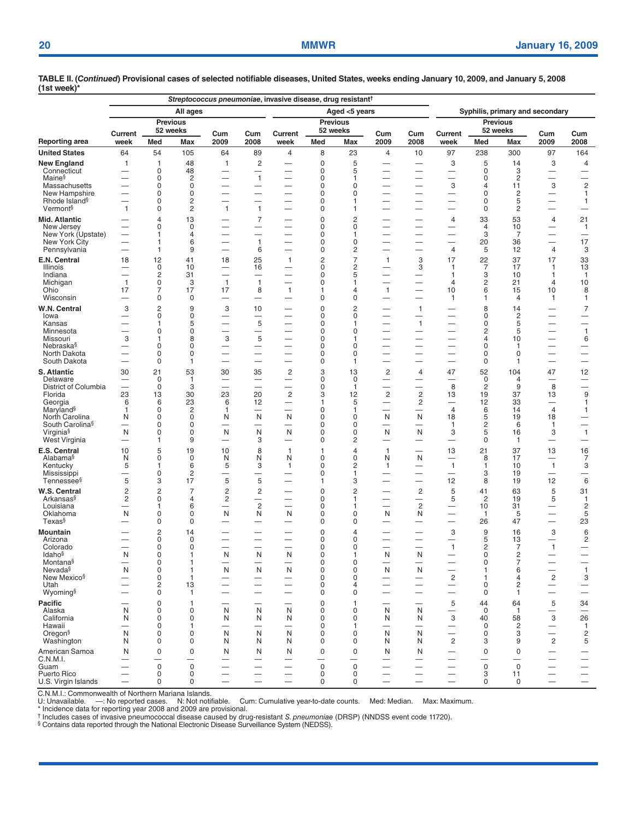|                                                   |                                                      |                               |                                  |                               |                                                      | Streptococcus pneumoniae, invasive disease, drug resistant <sup>†</sup> |                            |                               |                               |                               |                                                      |                            |                                 |                                                      |                                               |
|---------------------------------------------------|------------------------------------------------------|-------------------------------|----------------------------------|-------------------------------|------------------------------------------------------|-------------------------------------------------------------------------|----------------------------|-------------------------------|-------------------------------|-------------------------------|------------------------------------------------------|----------------------------|---------------------------------|------------------------------------------------------|-----------------------------------------------|
|                                                   |                                                      |                               | All ages                         |                               |                                                      |                                                                         |                            | Aged <5 years                 |                               |                               |                                                      |                            | Syphilis, primary and secondary |                                                      |                                               |
|                                                   |                                                      |                               | <b>Previous</b>                  |                               |                                                      |                                                                         |                            | <b>Previous</b>               |                               |                               |                                                      |                            | <b>Previous</b>                 |                                                      |                                               |
|                                                   | Current                                              |                               | 52 weeks                         | Cum                           | Cum                                                  | Current                                                                 |                            | 52 weeks                      | Cum                           | Cum                           | Current                                              |                            | 52 weeks                        | Cum                                                  | Cum                                           |
| Reporting area                                    | week                                                 | Med                           | Max                              | 2009                          | 2008                                                 | week                                                                    | Med                        | Max                           | 2009                          | 2008                          | week                                                 | Med                        | Max                             | 2009                                                 | 2008                                          |
| <b>United States</b>                              | 64                                                   | 54                            | 105                              | 64                            | 89                                                   | 4                                                                       | 8                          | 23                            | $\overline{4}$                | 10                            | 97                                                   | 238                        | 300                             | 97                                                   | 164                                           |
| <b>New England</b>                                | $\mathbf{1}$                                         | $\mathbf{1}$                  | 48                               | 1                             | $\overline{\mathbf{c}}$                              | —                                                                       | $\mathbf 0$                | 5                             |                               |                               | 3                                                    | 5                          | 14                              | 3                                                    | 4                                             |
| Connecticut<br>Maine <sup>§</sup>                 | -                                                    | 0<br>0                        | 48<br>$\overline{c}$             | —                             | —<br>$\mathbf{1}$                                    | —                                                                       | 0<br>0                     | 5<br>1                        | $\overline{\phantom{0}}$      | $\overline{\phantom{0}}$      | -<br>$\overline{\phantom{0}}$                        | 0<br>0                     | 3<br>2                          | —<br>$\overline{\phantom{0}}$                        | $\overline{\phantom{m}}$                      |
| Massachusetts                                     | -                                                    | 0                             | 0                                | —                             | —                                                    | $\overline{\phantom{0}}$                                                | 0                          | $\mathbf 0$                   | —                             | $\overline{\phantom{0}}$      | 3                                                    | 4                          | 11                              | 3                                                    | $\sqrt{2}$                                    |
| New Hampshire                                     | $\overline{\phantom{0}}$                             | $\mathbf 0$                   | $\mathbf 0$                      | —                             | $\overline{\phantom{0}}$                             | $\overline{\phantom{0}}$                                                | $\mathbf 0$                | $\mathbf 0$                   | —                             | $\overline{\phantom{0}}$      | —                                                    | $\mathbf 0$                | $\overline{c}$                  | $\overline{\phantom{0}}$                             | $\mathbf{1}$                                  |
| Rhode Island <sup>§</sup><br>Vermont <sup>§</sup> | $\mathbf{1}$                                         | $\mathbf 0$<br>0              | $\overline{c}$<br>$\overline{c}$ | $\mathbf{1}$                  | $\mathbf{1}$                                         |                                                                         | 0<br>0                     | 1<br>1                        |                               |                               | $\overline{\phantom{0}}$<br>$\overline{\phantom{0}}$ | $\mathbf 0$<br>0           | 5<br>$\overline{c}$             | $\overline{\phantom{0}}$                             | 1                                             |
| Mid. Atlantic                                     |                                                      | 4                             | 13                               |                               | $\overline{7}$                                       | $\overline{\phantom{0}}$                                                | $\mathbf 0$                | $\overline{c}$                |                               |                               | 4                                                    | 33                         | 53                              | 4                                                    | 21                                            |
| New Jersey                                        |                                                      | 0                             | 0                                | —                             | —                                                    | -                                                                       | 0                          | 0                             |                               |                               | -                                                    | $\overline{4}$             | 10                              | -                                                    | $\mathbf{1}$                                  |
| New York (Upstate)                                | $\overline{\phantom{0}}$                             | 1                             | 4                                |                               | $\overline{\phantom{0}}$                             |                                                                         | 0                          | 1                             | $\overline{\phantom{0}}$      | $\overline{\phantom{0}}$      |                                                      | 3                          | 7                               |                                                      | $\overline{\phantom{m}}$                      |
| New York City<br>Pennsylvania                     | $\overline{\phantom{a}}$<br>$\overline{\phantom{0}}$ | -1<br>1                       | 6<br>9                           |                               | $\mathbf{1}$<br>6                                    | $\overline{\phantom{0}}$<br>$\overline{\phantom{0}}$                    | 0<br>0                     | $\mathbf 0$<br>$\overline{c}$ |                               | $\overline{\phantom{0}}$      | $\overline{4}$                                       | 20<br>5                    | 36<br>12                        | $\overline{\phantom{0}}$<br>$\overline{4}$           | 17<br>3                                       |
| E.N. Central                                      | 18                                                   | 12                            | 41                               | 18                            | 25                                                   | 1                                                                       | $\overline{c}$             | $\overline{7}$                | $\mathbf{1}$                  | 3                             | 17                                                   | 22                         | 37                              | 17                                                   | 33                                            |
| Illinois                                          | $\overline{\phantom{0}}$                             | 0                             | 10                               | $\overline{\phantom{0}}$      | 16                                                   |                                                                         | 0                          | $\overline{c}$                | —                             | 3                             | $\mathbf{1}$                                         | 7                          | 17                              | $\mathbf{1}$                                         | 13                                            |
| Indiana                                           | $\overline{\phantom{0}}$                             | 2                             | 31                               |                               | —                                                    | $\overline{\phantom{0}}$                                                | 0                          | 5                             | $\overline{\phantom{0}}$      |                               | 1                                                    | 3                          | 10                              | $\mathbf{1}$                                         | $\mathbf{1}$                                  |
| Michigan<br>Ohio                                  | $\mathbf{1}$<br>17                                   | 0<br>7                        | 3<br>17                          | $\mathbf{1}$<br>17            | $\mathbf{1}$<br>8                                    | --<br>$\mathbf{1}$                                                      | 0<br>$\mathbf{1}$          | 1<br>4                        | —<br>1                        | -<br>$\overline{\phantom{0}}$ | 4<br>10                                              | 2<br>6                     | 21<br>15                        | 4<br>10                                              | 10<br>8                                       |
| Wisconsin                                         | —                                                    | 0                             | 0                                | $\overline{\phantom{0}}$      | —                                                    |                                                                         | 0                          | $\mathbf 0$                   |                               |                               | $\mathbf{1}$                                         | 1                          | 4                               | $\mathbf{1}$                                         | $\mathbf{1}$                                  |
| W.N. Central                                      | 3                                                    | $\overline{2}$                | 9                                | 3                             | 10                                                   | -                                                                       | $\mathbf 0$                | $\overline{c}$                |                               | $\mathbf{1}$                  |                                                      | 8                          | 14                              | -                                                    | $\overline{7}$                                |
| lowa                                              | —                                                    | 0                             | 0                                |                               | $\overline{\phantom{0}}$                             | -                                                                       | 0                          | 0                             |                               |                               | —                                                    | 0                          | 2                               |                                                      | $\overline{\phantom{m}}$                      |
| Kansas                                            | $\overline{\phantom{0}}$                             | 1                             | 5                                | $\overline{\phantom{0}}$      | 5                                                    | -                                                                       | 0                          | 1                             |                               | $\mathbf{1}$                  | —                                                    | $\mathbf 0$                | 5                               | -                                                    | $\overline{\phantom{0}}$                      |
| Minnesota<br>Missouri                             | 3                                                    | 0<br>-1                       | 0<br>8                           | 3                             | --<br>5                                              | $\overline{\phantom{0}}$<br>$\overline{\phantom{0}}$                    | 0<br>0                     | 0<br>1                        | $\overline{\phantom{0}}$<br>— |                               | $\overline{\phantom{0}}$<br>$\overline{\phantom{0}}$ | 2<br>$\overline{4}$        | 5<br>10                         | $\overline{\phantom{0}}$                             | $\mathbf{1}$<br>6                             |
| Nebraska§                                         | $\overline{\phantom{0}}$                             | 0                             | 0                                | -                             | —                                                    | —                                                                       | 0                          | $\mathbf 0$                   | $\overline{\phantom{0}}$      | $\overline{\phantom{0}}$      | —                                                    | 0                          | 1                               | —                                                    | $\qquad \qquad -$                             |
| North Dakota                                      |                                                      | 0<br>$\mathbf 0$              | $\mathbf 0$                      | —                             | -                                                    | -                                                                       | 0                          | $\mathbf 0$                   |                               | —                             | —                                                    | $\mathbf 0$                | $\Omega$                        | -                                                    |                                               |
| South Dakota                                      | $\overline{\phantom{0}}$                             |                               | $\mathbf{1}$                     |                               | -                                                    |                                                                         | $\mathbf 0$                | 1                             |                               |                               | —                                                    | 0                          | 1                               | —                                                    |                                               |
| <b>S. Atlantic</b><br>Delaware                    | 30<br>-                                              | 21<br>0                       | 53<br>1                          | 30<br>-                       | 35<br>—                                              | 2<br>—                                                                  | 3<br>0                     | 13<br>$\mathbf 0$             | $\overline{c}$<br>—           | $\overline{4}$<br>-           | 47<br>-                                              | 52<br>0                    | 104<br>4                        | 47<br>-                                              | 12<br>$\overline{\phantom{m}}$                |
| District of Columbia                              |                                                      | 0                             | 3                                | $\overline{\phantom{0}}$      | $\overline{\phantom{0}}$                             | $\overline{\phantom{a}}$                                                | 0                          | 1                             | —                             | -                             | 8                                                    | 2                          | 9                               | 8                                                    | $\overline{\phantom{0}}$                      |
| Florida                                           | 23                                                   | 13                            | 30                               | 23                            | 20                                                   | $\overline{c}$                                                          | 3                          | 12                            | $\overline{c}$                | $\overline{c}$                | 13                                                   | 19                         | 37                              | 13                                                   | $9\,$                                         |
| Georgia<br>Maryland <sup>§</sup>                  | 6<br>$\mathbf{1}$                                    | 6<br>$\Omega$                 | 23<br>$\overline{c}$             | 6<br>1                        | 12<br>—                                              | -                                                                       | 1<br>0                     | 5<br>1                        | $\overline{\phantom{0}}$<br>— | 2                             | $\overline{4}$                                       | 12<br>6                    | 33<br>14                        | $\overline{4}$                                       | 1<br>$\mathbf{1}$                             |
| North Carolina                                    | N                                                    | $\mathbf 0$                   | $\mathbf 0$                      | N                             | N                                                    | N                                                                       | $\mathbf 0$                | $\mathbf 0$                   | N                             | N                             | 18                                                   | 5                          | 19                              | 18                                                   | $\overline{\phantom{0}}$                      |
| South Carolina <sup>§</sup>                       |                                                      | 0                             | $\mathbf 0$                      |                               |                                                      |                                                                         | 0                          | $\mathbf 0$                   | —                             |                               | $\mathbf{1}$                                         | $\overline{c}$             | 6                               | $\mathbf{1}$                                         |                                               |
| Virginia§<br>West Virginia                        | N<br>$\overline{\phantom{0}}$                        | 0<br>$\mathbf{1}$             | 0<br>9                           | N<br>$\overline{\phantom{0}}$ | N<br>3                                               | N<br>$\overline{\phantom{0}}$                                           | 0<br>0                     | 0<br>$\overline{c}$           | N<br>$\overline{\phantom{0}}$ | N                             | 3<br>—                                               | 5<br>0                     | 16<br>1                         | 3<br>$\overline{\phantom{0}}$                        | $\mathbf{1}$<br>$\overline{\phantom{m}}$      |
| E.S. Central                                      | 10                                                   | 5                             | 19                               | 10                            | 8                                                    | $\mathbf{1}$                                                            | 1                          | $\overline{4}$                | $\mathbf{1}$                  | $\overline{\phantom{0}}$      | 13                                                   | 21                         | 37                              | 13                                                   | 16                                            |
| Alabama <sup>§</sup>                              | N                                                    | 0                             | 0                                | N                             | N                                                    | N                                                                       | 0                          | 0                             | N                             | N                             | —                                                    | 8                          | 17                              | $\overline{\phantom{0}}$                             | 7                                             |
| Kentucky                                          | 5                                                    | -1                            | 6                                | 5                             | 3                                                    | 1                                                                       | 0                          | $\overline{c}$                | 1                             | $\overline{\phantom{0}}$      | $\mathbf{1}$                                         | 1                          | 10                              | $\mathbf{1}$                                         | 3                                             |
| Mississippi<br>Tennessee§                         | $\overline{\phantom{0}}$<br>5                        | $\mathbf 0$<br>3              | $\overline{2}$<br>17             | $\overline{\phantom{0}}$<br>5 | -<br>5                                               | -                                                                       | 0<br>1                     | 1<br>3                        |                               | $\overline{\phantom{0}}$<br>— | —<br>12                                              | 3<br>8                     | 19<br>19                        | —<br>12                                              | —<br>6                                        |
| W.S. Central                                      | $\overline{c}$                                       | $\overline{2}$                | $\overline{7}$                   | $\overline{2}$                | $\overline{c}$                                       | -                                                                       | $\mathbf 0$                | $\overline{c}$                |                               | $\overline{\mathbf{c}}$       | 5                                                    | 41                         | 63                              | 5                                                    | 31                                            |
| Arkansas§                                         | 2                                                    | 0                             | 4                                | 2                             | $\overline{\phantom{0}}$                             | $\overline{\phantom{0}}$                                                | 0                          | 1                             | $\overline{\phantom{0}}$      |                               | 5                                                    | 2                          | 19                              | 5                                                    | $\mathbf{1}$                                  |
| Louisiana                                         | $\overline{\phantom{0}}$                             | -1                            | 6                                |                               | $\overline{2}$                                       | --                                                                      | 0                          | 1                             | —                             | $\overline{c}$                | -                                                    | 10                         | 31                              | -                                                    | 2                                             |
| Oklahoma<br>Texas§                                | N<br>$\overline{\phantom{0}}$                        | 0<br>0                        | 0<br>$\mathbf 0$                 | N                             | N<br>$\overline{\phantom{0}}$                        | N<br>-                                                                  | 0<br>0                     | 0<br>$\mathbf 0$              | N                             | N                             | —<br>$\overline{\phantom{0}}$                        | 1<br>26                    | 5<br>47                         | —                                                    | 5<br>23                                       |
| Mountain                                          |                                                      | $\overline{c}$                | 14                               |                               |                                                      |                                                                         | $\mathbf 0$                | 4                             |                               |                               | 3                                                    | 9                          | 16                              | 3                                                    | 6                                             |
| Arizona                                           |                                                      | 0                             | 0                                |                               |                                                      |                                                                         | 0                          | 0                             |                               |                               |                                                      | 5                          | 13                              |                                                      | 2                                             |
| Colorado                                          | $\overline{\phantom{0}}$                             | 0                             | $\mathbf 0$                      | $\overline{\phantom{0}}$      | $\overline{\phantom{0}}$                             | —                                                                       | 0                          | $\mathbf 0$                   |                               |                               | $\mathbf{1}$                                         | $\overline{c}$             | 7                               | $\mathbf{1}$                                         | $\overline{\phantom{m}}$                      |
| Idaho <sup>§</sup><br>Montana§                    | N                                                    | 0<br>0                        | 1<br>1                           | N                             | N                                                    | N                                                                       | 0<br>0                     | 1<br>0                        | N                             | N                             | -                                                    | 0<br>0                     | 2<br>7                          | -<br>-                                               | $\overline{\phantom{0}}$                      |
| Nevada§                                           | $\mathsf{N}$                                         | 0                             | 1                                | N                             | ${\sf N}$                                            | $\mathsf{N}$                                                            | $\mathbf 0$                | $\mathbf 0$                   | N                             | N                             | $\overline{\phantom{0}}$                             | 1                          | 6                               | $\overline{\phantom{0}}$                             | $\mathbf{1}$                                  |
| New Mexico <sup>§</sup>                           | —                                                    | 0                             | $\mathbf{1}$                     | -                             | -                                                    |                                                                         | $\mathbf 0$                | $\mathbf 0$                   |                               | -                             | $\overline{c}$                                       | 1                          | 4                               | $\overline{c}$                                       | 3                                             |
| Utah<br>Wyoming§                                  | $\overline{\phantom{0}}$                             | $\overline{c}$<br>$\mathbf 0$ | 13<br>1                          | $\overline{\phantom{0}}$      | $\overline{\phantom{0}}$<br>$\overline{\phantom{0}}$ | $\overline{\phantom{0}}$<br>$\overline{\phantom{0}}$                    | $\mathbf 0$<br>$\mathbf 0$ | 4<br>$\mathbf 0$              | $\overline{\phantom{0}}$      | $\overline{\phantom{0}}$      | —<br>$\overline{\phantom{0}}$                        | $\mathbf 0$<br>$\mathbf 0$ | $\overline{c}$<br>1             | —<br>—                                               | $\overline{\phantom{m}}$<br>$\qquad \qquad -$ |
| Pacific                                           |                                                      | $\mathbf 0$                   | $\mathbf{1}$                     |                               |                                                      |                                                                         | $\mathbf 0$                | 1                             |                               |                               | 5                                                    | 44                         | 64                              | 5                                                    | 34                                            |
| Alaska                                            | $\mathsf{N}$                                         | 0                             | 0                                | N                             | N                                                    | N                                                                       | 0                          | 0                             | N                             | N                             | $\overline{\phantom{0}}$                             | 0                          | $\mathbf{1}$                    | —                                                    | $\overline{\phantom{m}}$                      |
| California                                        | N                                                    | 0                             | $\mathbf 0$                      | N                             | N                                                    | N                                                                       | 0                          | $\mathbf 0$                   | N                             | N                             | $\ensuremath{\mathsf{3}}$                            | 40                         | 58                              | $\sqrt{3}$                                           | 26                                            |
| Hawaii<br>Oregon <sup>§</sup>                     | N                                                    | 0<br>0                        | 1<br>$\mathbf 0$                 | $\overline{\phantom{0}}$<br>N | $\overline{\phantom{0}}$<br>N                        | N                                                                       | 0<br>$\mathbf 0$           | 1<br>$\mathbf 0$              | N                             | $\overline{\phantom{0}}$<br>N | $\overline{\phantom{0}}$<br>$\overline{\phantom{0}}$ | 0<br>$\mathbf 0$           | $\overline{c}$<br>3             | $\overline{\phantom{0}}$<br>$\overline{\phantom{0}}$ | $\mathbf{1}$<br>$\overline{c}$                |
| Washington                                        | N                                                    | 0                             | $\mathbf 0$                      | N                             | N                                                    | N                                                                       | $\mathbf 0$                | 0                             | N                             | N                             | $\overline{c}$                                       | 3                          | 9                               | $\overline{c}$                                       | 5                                             |
| American Samoa                                    | N                                                    | $\mathbf 0$                   | $\overline{0}$                   | N                             | N                                                    | N                                                                       | $\mathbf 0$                | $\mathbf 0$                   | N                             | N                             |                                                      | $\mathbf 0$                | 0                               | $\overline{\phantom{0}}$                             |                                               |
| C.N.M.I.                                          | $\overline{\phantom{0}}$                             | $\overline{\phantom{0}}$      | $\overline{\phantom{0}}$         | —                             | —                                                    | —                                                                       | $\overline{\phantom{0}}$   | -                             | —                             | $\overline{\phantom{0}}$      | —                                                    | $\overline{\phantom{0}}$   | -                               | —                                                    | $\overline{\phantom{m}}$                      |
| Guam<br>Puerto Rico                               | $\overline{\phantom{0}}$                             | $\mathbf 0$<br>0              | $\mathsf 0$<br>0                 | $\overline{\phantom{0}}$      | —                                                    | $\overline{\phantom{0}}$<br>-                                           | $\mathsf 0$<br>0           | $\mathbf 0$<br>0              | -                             | -<br>-                        | $\overline{\phantom{0}}$<br>-                        | $\mathsf{O}\xspace$<br>3   | $\mathbf 0$<br>11               | —                                                    | $\overline{\phantom{m}}$                      |
| U.S. Virgin Islands                               |                                                      | 0                             | 0                                |                               |                                                      |                                                                         | 0                          | 0                             |                               |                               |                                                      | 0                          | 0                               |                                                      | $\overline{\phantom{0}}$                      |

C.N.M.I.: Commonwealth of Northern Mariana Islands.

U: Unavailable. —: No reported cases. N: Not notifiable. Cum: Cumulative year-to-date counts. Med: Median. Max: Maximum.<br>\* Incidence data for reporting year 2008 and 2009 are provisional.<br>† Includes case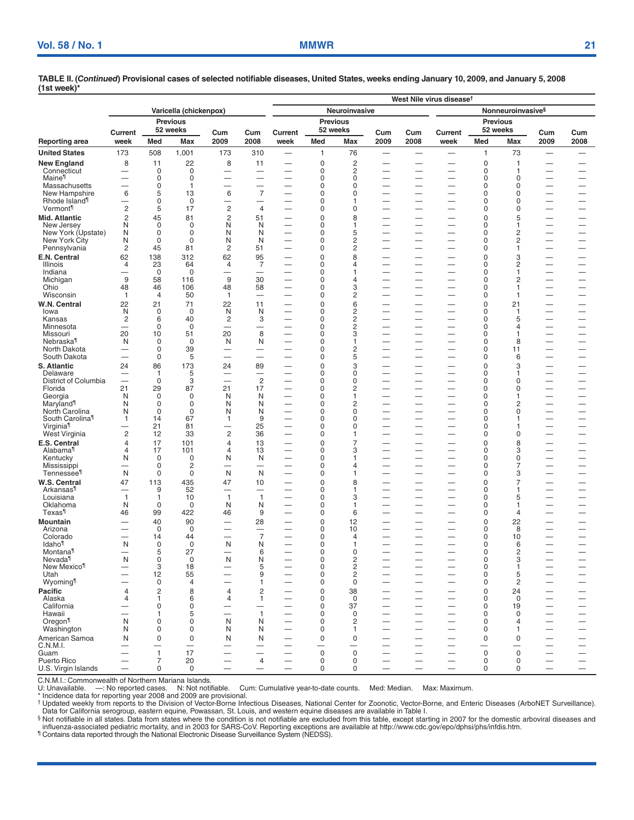| <b>ISL MCCU</b>                              |                                                      | West Nile virus disease <sup>t</sup> |                                         |                                                      |                                            |                                                      |                            |                                  |                                                      |                                                           |                                                      |                     |                     |                                                      |                                                      |
|----------------------------------------------|------------------------------------------------------|--------------------------------------|-----------------------------------------|------------------------------------------------------|--------------------------------------------|------------------------------------------------------|----------------------------|----------------------------------|------------------------------------------------------|-----------------------------------------------------------|------------------------------------------------------|---------------------|---------------------|------------------------------------------------------|------------------------------------------------------|
| Varicella (chickenpox)                       |                                                      |                                      |                                         |                                                      |                                            | Nonneuroinvasive <sup>§</sup><br>Neuroinvasive       |                            |                                  |                                                      |                                                           |                                                      |                     |                     |                                                      |                                                      |
|                                              |                                                      |                                      | <b>Previous</b>                         |                                                      |                                            |                                                      |                            | <b>Previous</b>                  |                                                      |                                                           |                                                      |                     | <b>Previous</b>     |                                                      |                                                      |
| <b>Reporting area</b>                        | Current<br>week                                      | Med                                  | 52 weeks<br>Max                         | Cum<br>2009                                          | Cum<br>2008                                | Current<br>week                                      | Med                        | 52 weeks<br>Max                  | Cum<br>2009                                          | Cum<br>2008                                               | Current<br>week                                      | Med                 | 52 weeks<br>Max     | Cum<br>2009                                          | Cum<br>2008                                          |
| <b>United States</b>                         | 173                                                  | 508                                  | 1,001                                   | 173                                                  | 310                                        |                                                      | $\mathbf{1}$               | 76                               |                                                      |                                                           | $\overline{\phantom{0}}$                             | 1                   | 73                  | $\overline{\phantom{m}}$                             |                                                      |
| <b>New England</b>                           | 8                                                    | 11                                   | 22                                      | 8                                                    | 11                                         |                                                      | $\mathbf 0$                | $\overline{c}$                   |                                                      |                                                           |                                                      | $\mathbf 0$         | 1                   |                                                      |                                                      |
| Connecticut                                  | —                                                    | $\mathbf 0$                          | $\mathbf 0$                             | —                                                    |                                            |                                                      | 0                          | $\overline{c}$                   |                                                      |                                                           | —                                                    | 0                   | 1                   |                                                      | —                                                    |
| Maine <sup>¶</sup><br>Massachusetts          | ▃<br>$\overline{\phantom{0}}$                        | 0<br>0                               | $\mathbf 0$<br>$\mathbf{1}$             | $\overline{\phantom{0}}$<br>$\overline{\phantom{0}}$ |                                            | $\overline{\phantom{0}}$                             | $\mathbf 0$<br>0           | 0<br>$\mathbf 0$                 | $\overline{\phantom{0}}$                             |                                                           | $\overline{\phantom{0}}$                             | 0<br>0              | 0<br>0              | $\overline{\phantom{0}}$<br>$\overline{\phantom{0}}$ | $\overline{\phantom{0}}$<br>$\overline{\phantom{0}}$ |
| New Hampshire                                | 6                                                    | 5                                    | 13                                      | 6                                                    | $\overline{7}$                             | $\overline{\phantom{0}}$                             | 0                          | 0                                |                                                      |                                                           |                                                      | 0                   | 0                   | $\overline{\phantom{0}}$                             | $\overline{\phantom{0}}$                             |
| Rhode Island <sup>1</sup>                    | —                                                    | 0                                    | 0                                       | —                                                    |                                            | -                                                    | $\mathbf 0$                | 1                                |                                                      |                                                           | -                                                    | 0                   | 0                   |                                                      | —                                                    |
| Vermont <sup>1</sup><br><b>Mid. Atlantic</b> | $\overline{c}$<br>$\overline{c}$                     | 5<br>45                              | 17<br>81                                | $\overline{c}$<br>$\overline{c}$                     | 4<br>51                                    |                                                      | 0<br>$\mathbf 0$           | 0<br>8                           | $\overline{\phantom{0}}$                             |                                                           | $\overline{\phantom{0}}$                             | 0<br>$\overline{0}$ | 0<br>5              | $\overline{\phantom{0}}$                             | $\overline{\phantom{0}}$<br>$\overline{\phantom{0}}$ |
| New Jersey                                   | N                                                    | $\mathbf 0$                          | $\mathbf 0$                             | N                                                    | N                                          |                                                      | $\mathbf 0$                | 1                                |                                                      |                                                           | $\overline{\phantom{0}}$                             | $\mathbf 0$         | 1                   |                                                      |                                                      |
| New York (Upstate)                           | N                                                    | $\mathbf 0$                          | $\mathbf 0$                             | N                                                    | N                                          | $\overline{\phantom{0}}$                             | 0                          | 5                                | $\overline{\phantom{0}}$                             |                                                           | $\overline{\phantom{0}}$                             | 0                   | 2                   | $\overline{\phantom{0}}$                             | $\overline{\phantom{0}}$                             |
| New York City<br>Pennsylvania                | N<br>2                                               | $\mathbf 0$<br>45                    | $\mathbf 0$<br>81                       | N<br>2                                               | N<br>51                                    | $\overline{\phantom{0}}$                             | 0<br>0                     | $\overline{c}$<br>$\overline{c}$ |                                                      | $\overbrace{\phantom{12333}}$<br>$\overline{\phantom{0}}$ | —                                                    | 0<br>0              | 2<br>$\mathbf{1}$   | $\overline{\phantom{0}}$                             | $\overbrace{\phantom{12333}}$<br>—                   |
| E.N. Central                                 | 62                                                   | 138                                  | 312                                     | 62                                                   | 95                                         | --                                                   | $\mathbf 0$                | 8                                |                                                      |                                                           | —                                                    | $\mathbf 0$         | 3                   |                                                      |                                                      |
| <b>Illinois</b>                              | 4                                                    | 23                                   | 64                                      | $\overline{4}$                                       | 7                                          | $\overline{\phantom{0}}$                             | 0                          | 4                                | —                                                    | $\overline{\phantom{0}}$                                  | $\overline{\phantom{0}}$                             | 0                   | $\overline{c}$      | -                                                    | $\overline{\phantom{0}}$                             |
| Indiana<br>Michigan                          | 9                                                    | $\mathbf 0$<br>58                    | $\mathbf 0$<br>116                      | -<br>9                                               | 30                                         | $\overline{\phantom{0}}$                             | $\mathbf 0$<br>$\mathbf 0$ | 1<br>4                           |                                                      |                                                           | $\overline{\phantom{0}}$<br>$\overline{\phantom{0}}$ | 0<br>0              | 1<br>2              | $\overline{\phantom{0}}$                             | $\overline{\phantom{0}}$                             |
| Ohio                                         | 48                                                   | 46                                   | 106                                     | 48                                                   | 58                                         |                                                      | 0                          | 3                                | $\overline{\phantom{0}}$                             |                                                           | $\overline{\phantom{0}}$                             | 0                   | 1                   | $\overline{\phantom{0}}$                             | $\overline{\phantom{0}}$                             |
| Wisconsin                                    | $\mathbf{1}$                                         | $\overline{4}$                       | 50                                      | $\overline{1}$                                       |                                            | $\overline{\phantom{0}}$                             | 0                          | $\overline{c}$                   | $\overline{\phantom{0}}$                             | $\overline{\phantom{0}}$                                  |                                                      | 0                   | 1                   | -                                                    | —                                                    |
| W.N. Central<br>lowa                         | 22<br>N                                              | 21<br>$\mathbf 0$                    | 71<br>0                                 | 22<br>N                                              | 11<br>N                                    | $\overline{\phantom{0}}$                             | $\mathbf 0$<br>0           | 6<br>2                           | —                                                    | $\overline{\phantom{0}}$                                  |                                                      | $\mathbf 0$<br>0    | 21<br>$\mathbf{1}$  | —<br>—                                               | -                                                    |
| Kansas                                       | 2                                                    | 6                                    | 40                                      | $\overline{c}$                                       | 3                                          |                                                      | 0                          | $\overline{c}$                   |                                                      | $\overline{\phantom{0}}$                                  | $\overline{\phantom{0}}$                             | 0                   | 5                   |                                                      | $\overline{\phantom{0}}$                             |
| Minnesota                                    | $\overline{\phantom{0}}$                             | $\Omega$                             | $\mathbf 0$                             | $\overline{\phantom{0}}$                             |                                            | $\overline{\phantom{0}}$                             | $\mathbf 0$                | $\overline{c}$                   | $\overline{\phantom{0}}$                             | $\overline{\phantom{0}}$                                  | $\overline{\phantom{0}}$                             | $\mathbf 0$         | 4                   | $\overline{\phantom{0}}$                             |                                                      |
| Missouri<br>Nebraska <sup>11</sup>           | 20<br>N                                              | 10<br>$\mathbf 0$                    | 51<br>$\mathbf 0$                       | 20<br>N                                              | 8<br>N                                     | $\overline{\phantom{0}}$                             | $\mathbf 0$<br>$\mathbf 0$ | 3<br>1                           |                                                      | $\overline{\phantom{0}}$                                  | $\overline{\phantom{0}}$<br>-                        | 0<br>0              | 1<br>8              |                                                      | $\overline{\phantom{0}}$                             |
| North Dakota                                 |                                                      | $\mathbf 0$                          | 39                                      | $\overline{\phantom{0}}$                             |                                            | ▃                                                    | 0                          | 2                                |                                                      |                                                           | $\overline{\phantom{0}}$                             | 0                   | 11                  |                                                      |                                                      |
| South Dakota                                 | $\overline{\phantom{0}}$                             | $\mathbf 0$                          | 5                                       |                                                      |                                            |                                                      | $\mathbf 0$                | 5                                | $\overline{\phantom{0}}$                             |                                                           | $\overline{\phantom{0}}$                             | 0                   | 6                   | $\overline{\phantom{0}}$                             |                                                      |
| <b>S. Atlantic</b><br>Delaware               | 24                                                   | 86<br>$\mathbf{1}$                   | 173<br>5                                | 24<br>$\overline{\phantom{a}}$                       | 89                                         |                                                      | $\mathbf 0$<br>0           | 3<br>0                           | $\overline{\phantom{0}}$<br>$\overline{\phantom{0}}$ |                                                           | $\overline{\phantom{0}}$                             | $\mathbf 0$<br>0    | 3<br>1              | $\overline{\phantom{0}}$                             | $\overline{\phantom{0}}$                             |
| District of Columbia                         | $\overline{\phantom{0}}$                             | $\Omega$                             | 3                                       | $\overline{\phantom{0}}$                             | $\overline{2}$                             | $\overline{\phantom{0}}$                             | $\mathbf 0$                | 0                                | --                                                   |                                                           | —                                                    | $\Omega$            | 0                   | -                                                    |                                                      |
| Florida                                      | 21                                                   | 29                                   | 87                                      | 21                                                   | 17                                         | $\overline{\phantom{0}}$                             | $\mathbf 0$                | $\overline{c}$                   | -                                                    | $\overline{\phantom{0}}$                                  | $\overline{\phantom{0}}$                             | 0                   | $\mathbf 0$         | $\overline{\phantom{0}}$                             | $\overline{\phantom{0}}$                             |
| Georgia<br>Maryland <sup>1</sup>             | N<br>N                                               | $\mathbf 0$<br>$\mathbf 0$           | $\mathbf 0$<br>$\mathbf 0$              | N<br>N                                               | N<br>N                                     | $\overline{\phantom{0}}$<br>$\overline{\phantom{0}}$ | $\mathbf 0$<br>$\mathbf 0$ | 1<br>2                           | $\overline{\phantom{0}}$                             | $\overline{\phantom{0}}$                                  | $\overline{\phantom{0}}$                             | $\mathbf 0$<br>0    | 1<br>2              | $\overline{\phantom{0}}$                             | $\overline{\phantom{0}}$                             |
| North Carolina                               | N                                                    | $\mathbf 0$                          | $\mathbf 0$                             | N                                                    | N                                          |                                                      | 0                          | $\mathbf 0$                      | $\overline{\phantom{0}}$                             | $\overline{\phantom{0}}$                                  | —                                                    | 0                   | 0                   | $\overline{\phantom{0}}$                             | $\overline{\phantom{0}}$                             |
| South Carolina <sup>1</sup>                  | 1<br>$\overline{\phantom{0}}$                        | 14<br>21                             | 67<br>81                                | 1<br>$\overline{\phantom{0}}$                        | 9<br>25                                    | $\overline{\phantom{0}}$<br>$\overline{\phantom{0}}$ | $\mathbf 0$<br>0           | 0<br>0                           |                                                      |                                                           | -                                                    | 0<br>0              | 1<br>1              | $\overline{\phantom{0}}$                             | $\overline{\phantom{0}}$                             |
| Virginia <sup>1</sup><br>West Virginia       | $\overline{c}$                                       | 12                                   | 33                                      | $\overline{c}$                                       | 36                                         | $\overline{\phantom{0}}$                             | $\mathbf 0$                | 1                                |                                                      |                                                           |                                                      | 0                   | 0                   | $\overline{\phantom{0}}$                             |                                                      |
| E.S. Central                                 | $\overline{4}$                                       | 17                                   | 101                                     | $\overline{4}$                                       | 13                                         | $\overline{\phantom{0}}$                             | $\mathbf 0$                | $\overline{7}$                   | –                                                    |                                                           | $\overline{\phantom{0}}$                             | $\mathbf 0$         | 8                   | -                                                    |                                                      |
| Alabama <sup>11</sup>                        | $\overline{4}$                                       | 17                                   | 101                                     | $\overline{4}$                                       | 13                                         |                                                      | $\mathbf 0$                | 3                                | $\overline{\phantom{0}}$                             |                                                           | $\overline{\phantom{0}}$                             | 0                   | 3                   | $\overline{\phantom{0}}$                             | $\overline{\phantom{0}}$                             |
| Kentucky<br>Mississippi                      | N<br>—                                               | $\mathbf 0$<br>$\mathbf 0$           | $\mathbf 0$<br>$\overline{c}$           | N<br>—                                               | N<br>$\overline{\phantom{0}}$              | —<br>-                                               | $\mathbf 0$<br>$\mathbf 0$ | 1<br>4                           | $\overline{\phantom{0}}$                             | $\overline{\phantom{0}}$<br>$\overline{\phantom{0}}$      | $\overline{\phantom{0}}$<br>—                        | 0<br>0              | 0<br>7              | $\overline{\phantom{0}}$                             | $\overline{\phantom{0}}$<br>—                        |
| Tennessee <sup>1</sup>                       | N                                                    | 0                                    | $\mathbf 0$                             | N                                                    | N                                          | ▃                                                    | 0                          | 1                                |                                                      |                                                           | ▃                                                    | 0                   | 3                   | -                                                    | $\overline{\phantom{0}}$                             |
| W.S. Central                                 | 47                                                   | 113                                  | 435                                     | 47                                                   | 10                                         |                                                      | $\mathbf 0$                | 8                                | —                                                    | $\qquad \qquad -$                                         |                                                      | 0                   | 7                   | —                                                    | —                                                    |
| Arkansas <sup>11</sup><br>Louisiana          | —<br>$\mathbf{1}$                                    | 9<br>$\mathbf{1}$                    | 52<br>10                                | $\overline{\phantom{0}}$<br>$\mathbf{1}$             | $\overline{\phantom{0}}$<br>$\overline{1}$ |                                                      | 0<br>$\mathbf 0$           | 1<br>3                           | $\overline{\phantom{0}}$                             |                                                           | $\overline{\phantom{0}}$                             | 0<br>0              | 1<br>5              | $\overline{\phantom{0}}$<br>$\overline{\phantom{0}}$ | $\overline{\phantom{0}}$<br>$\overline{\phantom{0}}$ |
| Oklahoma                                     | N                                                    | $\mathbf 0$                          | $\mathbf 0$                             | N                                                    | N                                          | $\overline{\phantom{0}}$                             | $\mathbf 0$                | 1                                |                                                      |                                                           | $\overline{\phantom{0}}$                             | 0                   | 1                   |                                                      |                                                      |
| Texas <sup>1</sup>                           | 46                                                   | 99                                   | 422                                     | 46                                                   | 9                                          | —                                                    | $\mathbf 0$                | 6                                | —                                                    | $\overline{\phantom{0}}$                                  | —                                                    | 0                   | 4                   |                                                      |                                                      |
| <b>Mountain</b><br>Arizona                   | $\overline{\phantom{0}}$                             | 40<br>0                              | 90<br>0                                 | $\overline{\phantom{a}}$                             | 28<br>—                                    | —                                                    | $\mathbf 0$<br>0           | 12<br>10                         |                                                      |                                                           | -                                                    | 0<br>0              | 22<br>8             |                                                      |                                                      |
| Colorado                                     | —                                                    | 14                                   | 44                                      | $\overline{\phantom{0}}$                             | $\overline{7}$                             | —                                                    | $\mathbf 0$                | $\overline{4}$                   |                                                      |                                                           | —                                                    | 0                   | 10                  |                                                      | $\overline{\phantom{0}}$                             |
| ldaho¶<br>Montana <sup>11</sup>              | N                                                    | $\mathbf 0$<br>5                     | $\mathbf 0$<br>27                       | N                                                    | N<br>6                                     |                                                      | $\mathbf 0$<br>$\Omega$    | 1<br>$\Omega$                    | $\overline{\phantom{0}}$                             |                                                           | $\overline{\phantom{0}}$                             | 0<br>$\Omega$       | 6<br>2              | $\overline{\phantom{0}}$                             | $\overline{\phantom{0}}$                             |
| Nevada <sup>1</sup>                          | $\overline{\phantom{0}}$<br>N                        | $\mathbf 0$                          | $\mathbf 0$                             | $\overline{\phantom{0}}$<br>N                        | N                                          |                                                      | $\mathsf 0$                | 2                                |                                                      |                                                           | $\overline{\phantom{0}}$                             | $\mathsf 0$         | 3                   |                                                      |                                                      |
| New Mexico <sup>11</sup>                     | —                                                    | 3                                    | 18                                      | —                                                    | 5                                          |                                                      | $\mathbf 0$                | $\overline{c}$                   |                                                      |                                                           | —                                                    | $\mathbf 0$         | 1                   |                                                      |                                                      |
| Utah<br>Wyoming <sup>1</sup>                 | $\overline{\phantom{0}}$<br>$\overline{\phantom{0}}$ | 12<br>0                              | 55<br>$\overline{4}$                    | $\overline{\phantom{0}}$<br>$\overline{\phantom{0}}$ | 9<br>1                                     | $\overline{\phantom{0}}$                             | $\mathbf 0$<br>0           | $\overline{c}$<br>0              | $\overline{\phantom{0}}$                             | $\overline{\phantom{0}}$                                  | $\overline{\phantom{0}}$<br>—                        | 0<br>0              | 5<br>$\overline{2}$ | —                                                    | $\overline{\phantom{0}}$                             |
| Pacific                                      | $\overline{4}$                                       | $\overline{c}$                       | 8                                       | $\overline{4}$                                       | $\overline{c}$                             | $\overline{\phantom{0}}$                             | $\mathbf 0$                | 38                               |                                                      | $\overline{\phantom{0}}$                                  | $\overline{\phantom{0}}$                             | 0                   | 24                  |                                                      | $\overbrace{\phantom{12333}}$                        |
| Alaska                                       | 4                                                    | $\mathbf{1}$                         | 6                                       | $\overline{4}$                                       | 1                                          | —                                                    | 0                          | $\mathbf 0$                      |                                                      | -                                                         | —                                                    | 0                   | 0                   |                                                      |                                                      |
| California                                   | $\overline{\phantom{0}}$<br>$\overline{\phantom{0}}$ | $\mathbf 0$                          | 0<br>5                                  | $\overline{\phantom{0}}$<br>$\overline{\phantom{0}}$ | $\mathbf{1}$                               | —                                                    | $\mathbf 0$<br>$\Omega$    | 37<br>0                          | -                                                    | $\overline{\phantom{0}}$                                  | $\qquad \qquad -$                                    | 0<br>$\Omega$       | 19<br>$\mathbf 0$   |                                                      | $\overline{\phantom{0}}$<br>$\overline{\phantom{0}}$ |
| Hawaii<br>Oregon <sup>1</sup>                | N                                                    | 1<br>0                               | $\mathbf 0$                             | N                                                    | N                                          | $\overline{\phantom{0}}$<br>$\overline{\phantom{0}}$ | $\mathbf 0$                | $\overline{c}$                   | $\overline{\phantom{0}}$                             | $\qquad \qquad -$                                         | $\overline{\phantom{0}}$                             | $\mathbf 0$         | 4                   | $\overline{\phantom{0}}$                             |                                                      |
| Washington                                   | N                                                    | 0                                    | $\mathbf 0$                             | N                                                    | N                                          |                                                      | $\mathbf 0$                | 1                                |                                                      |                                                           | $\overline{\phantom{0}}$                             | $\mathbf 0$         | 1                   |                                                      | $\overline{\phantom{0}}$                             |
| American Samoa                               | N                                                    | $\mathbf 0$                          | $\mathbf 0$<br>$\overline{\phantom{0}}$ | N                                                    | N                                          |                                                      | $\mathbf 0$                | $\mathbf 0$                      |                                                      | $\qquad \qquad -$                                         |                                                      | $\mathbf 0$         | $\mathbf 0$         |                                                      |                                                      |
| C.N.M.I.<br>Guam                             | —<br>—                                               | $\mathbf{1}$                         | 17                                      | —<br>—                                               | $\overline{\phantom{0}}$                   | $\overline{\phantom{0}}$<br>—                        | $\mathbf 0$                | $\mathbf 0$                      |                                                      | $\overline{\phantom{0}}$                                  | $\overline{\phantom{0}}$<br>$\overline{\phantom{0}}$ | $\mathsf 0$         | —<br>$\mathbf 0$    | -<br>—                                               | $\overline{\phantom{0}}$                             |
| Puerto Rico                                  |                                                      | $\overline{7}$                       | 20                                      |                                                      | 4                                          | $\overline{\phantom{0}}$                             | $\mathbf 0$                | 0                                |                                                      | $\overline{\phantom{0}}$                                  | $\overline{\phantom{0}}$                             | $\mathbf 0$         | 0                   |                                                      | $\equiv$                                             |
| U.S. Virgin Islands                          | $\overline{\phantom{0}}$                             | $\mathbf 0$                          | $\mathbf 0$                             |                                                      |                                            | $\overline{\phantom{0}}$                             | $\mathbf 0$                | $\mathbf 0$                      |                                                      |                                                           | $\overline{\phantom{0}}$                             | 0                   | $\mathbf 0$         |                                                      |                                                      |

C.N.M.I.: Commonwealth of Northern Mariana Islands.

U: Unavailable. —: No reported cases. N: Not notifiable. Cum: Cumulative year-to-date counts. Med: Median. Max: Maximum.<br>\* Incidence data for reporting year 2008 and 2009 are provisional.<br>† Updated weekly f

§ Not notifiable in all states. Data from states where the condition is not notifiable are excluded from this table, except starting in 2007 for the domestic arboviral diseases and influenza-associated pediatric mortality, and in 2003 for SARS-CoV. Reporting exceptions are available at<http://www.cdc.gov/epo/dphsi/phs/infdis.htm>.

¶ Contains data reported through the National Electronic Disease Surveillance System (NEDSS).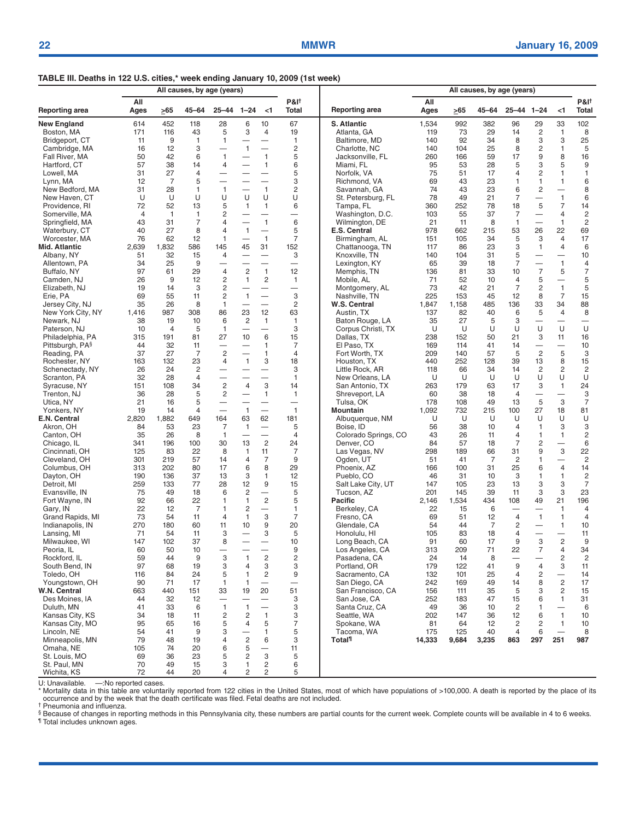## **TABLE III. Deaths in 122 U.S. cities,\* week ending January 10, 2009 (1st week)**

|                                 | All causes, by age (years) |                |                      |                                  |                          |                                        |                                     |                                 | All causes, by age (years) |           |                      |                      |                          |                                            |                                      |
|---------------------------------|----------------------------|----------------|----------------------|----------------------------------|--------------------------|----------------------------------------|-------------------------------------|---------------------------------|----------------------------|-----------|----------------------|----------------------|--------------------------|--------------------------------------------|--------------------------------------|
| Reporting area                  | All<br>Ages                | >65            | 45-64                | $25 - 44$ 1-24                   |                          | $<$ 1                                  | <b>P&amp;I<sup>+</sup></b><br>Total | <b>Reporting area</b>           | All<br>Ages                | >65       | 45-64                | $25 - 44$ 1-24       |                          | $<$ 1                                      | <b>P&amp;I</b> <sup>t</sup><br>Total |
| New England                     | 614                        | 452            | 118                  | 28                               | 6                        | 10                                     | 67                                  | S. Atlantic                     | 1,534                      | 992       | 382                  | 96                   | 29                       | 33                                         | 102                                  |
| Boston, MA                      | 171                        | 116            | 43                   | 5                                | 3                        | 4                                      | 19                                  | Atlanta, GA                     | 119                        | 73        | 29                   | 14                   | $\overline{c}$           | $\mathbf{1}$                               | 8                                    |
| Bridgeport, CT                  | 11                         | 9              | $\mathbf{1}$         | $\mathbf{1}$                     | $\overline{\phantom{0}}$ |                                        | $\mathbf{1}$                        | Baltimore, MD                   | 140                        | 92        | 34                   | 8                    | 3                        | 3                                          | 25                                   |
| Cambridge, MA                   | 16                         | 12             | 3                    | $\overline{\phantom{0}}$         | $\mathbf{1}$             |                                        | $\overline{c}$                      | Charlotte, NC                   | 140                        | 104       | 25                   | 8                    | 2                        | $\mathbf{1}$                               | 5                                    |
| Fall River, MA                  | 50                         | 42             | 6                    | $\mathbf{1}$                     |                          | $\mathbf{1}$                           | 5                                   | Jacksonville, FL                | 260                        | 166       | 59                   | 17                   | 9                        | 8                                          | 16                                   |
| Hartford, CT                    | 57<br>31                   | 38<br>27       | 14<br>$\overline{4}$ | 4                                |                          | $\mathbf{1}$                           | 6<br>5                              | Miami, FL                       | 95<br>75                   | 53<br>51  | 28<br>17             | 5<br>$\overline{4}$  | 3<br>$\overline{c}$      | 5<br>$\mathbf{1}$                          | 9<br>$\mathbf{1}$                    |
| Lowell, MA<br>Lynn, MA          | 12                         | $\overline{7}$ | 5                    | $\overline{\phantom{0}}$         | ▃                        |                                        | 3                                   | Norfolk, VA<br>Richmond, VA     | 69                         | 43        | 23                   | 1                    | 1                        | $\mathbf{1}$                               | 6                                    |
| New Bedford, MA                 | 31                         | 28             | 1                    | $\mathbf{1}$                     |                          | $\mathbf{1}$                           | $\overline{c}$                      | Savannah, GA                    | 74                         | 43        | 23                   | 6                    | $\overline{c}$           |                                            | 8                                    |
| New Haven, CT                   | U                          | U              | U                    | U                                | U                        | U                                      | U                                   | St. Petersburg, FL              | 78                         | 49        | 21                   | $\overline{7}$       | $\overline{\phantom{0}}$ | $\mathbf{1}$                               | 6                                    |
| Providence, RI                  | 72                         | 52             | 13                   | 5                                | 1                        | $\mathbf{1}$                           | 6                                   | Tampa, FL                       | 360                        | 252       | 78                   | 18                   | 5                        | $\overline{7}$                             | 14                                   |
| Somerville, MA                  | 4                          | $\mathbf{1}$   | $\mathbf{1}$         | $\overline{c}$                   |                          |                                        | $\overline{\phantom{0}}$            | Washington, D.C.                | 103                        | 55        | 37                   | 7                    | $\overline{\phantom{0}}$ | $\overline{4}$                             | $\overline{c}$                       |
| Springfield, MA                 | 43                         | 31             | 7                    | $\overline{4}$                   |                          | $\mathbf{1}$                           | 6                                   | Wilmington, DE                  | 21                         | 11        | 8                    | $\mathbf{1}$         |                          | $\mathbf{1}$                               | $\overline{c}$                       |
| Waterbury, CT                   | 40                         | 27             | 8                    | $\overline{4}$                   | $\mathbf{1}$             | $\qquad \qquad -$                      | 5                                   | E.S. Central                    | 978                        | 662       | 215                  | 53                   | 26                       | 22                                         | 69                                   |
| Worcester, MA                   | 76                         | 62             | 12                   | 1                                | $\overline{\phantom{0}}$ | $\overline{1}$                         | $\overline{7}$                      | Birmingham, AL                  | 151                        | 105       | 34                   | 5                    | 3                        | 4                                          | 17                                   |
| Mid. Atlantic                   | 2,639                      | 1,832          | 586                  | 145                              | 45                       | 31                                     | 152                                 | Chattanooga, TN                 | 117                        | 86        | 23                   | 3                    | $\mathbf{1}$             | $\overline{4}$                             | 6                                    |
| Albany, NY                      | 51                         | 32             | 15                   | 4                                | -                        | $\overline{\phantom{0}}$               | 3                                   | Knoxville, TN                   | 140                        | 104       | 31                   | 5                    |                          |                                            | 10                                   |
| Allentown, PA                   | 34                         | 25             | 9                    |                                  |                          |                                        | $\overline{\phantom{0}}$            | Lexington, KY                   | 65                         | 39        | 18                   | $\overline{7}$       |                          | $\mathbf{1}$                               | $\overline{4}$                       |
| Buffalo, NY                     | 97                         | 61             | 29                   | $\overline{4}$                   | $\overline{c}$           | $\mathbf{1}$                           | 12                                  | Memphis, TN                     | 136                        | 81        | 33                   | 10                   | $\overline{7}$           | 5                                          | $\overline{7}$                       |
| Camden, NJ                      | 26                         | 9              | 12                   | 2                                | 1                        | 2                                      | 1                                   | Mobile, AL                      | 71                         | 52        | 10                   | 4                    | 5                        | $\overline{\phantom{0}}$<br>$\overline{1}$ | 5                                    |
| Elizabeth, NJ                   | 19<br>69                   | 14<br>55       | 3<br>11              | $\overline{c}$<br>$\overline{c}$ | $\mathbf{1}$             | $\qquad \qquad -$                      | $\overline{\phantom{0}}$<br>3       | Montgomery, AL<br>Nashville, TN | 73<br>225                  | 42<br>153 | 21<br>45             | $\overline{7}$<br>12 | $\overline{c}$<br>8      | $\overline{7}$                             | 5<br>15                              |
| Erie, PA<br>Jersey City, NJ     | 35                         | 26             | 8                    | 1                                |                          |                                        | $\overline{c}$                      | W.S. Central                    | 1,847                      | 1,158     | 485                  | 136                  | 33                       | 34                                         | 88                                   |
| New York City, NY               | 1,416                      | 987            | 308                  | 86                               | 23                       | 12                                     | 63                                  | Austin, TX                      | 137                        | 82        | 40                   | 6                    | 5                        | $\overline{4}$                             | 8                                    |
| Newark, NJ                      | 38                         | 19             | 10                   | 6                                | $\overline{2}$           | $\mathbf{1}$                           | 1                                   | Baton Rouge, LA                 | 35                         | 27        | 5                    | 3                    | —                        |                                            | $\overline{\phantom{m}}$             |
| Paterson, NJ                    | 10                         | $\overline{4}$ | 5                    | 1                                |                          |                                        | 3                                   | Corpus Christi, TX              | U                          | U         | U                    | U                    | U                        | U                                          | U                                    |
| Philadelphia, PA                | 315                        | 191            | 81                   | 27                               | 10                       | 6                                      | 15                                  | Dallas, TX                      | 238                        | 152       | 50                   | 21                   | 3                        | 11                                         | 16                                   |
| Pittsburgh, PA§                 | 44                         | 32             | 11                   | —                                |                          | 1                                      | $\overline{7}$                      | El Paso. TX                     | 169                        | 114       | 41                   | 14                   |                          |                                            | 10                                   |
| Reading, PA                     | 37                         | 27             | $\overline{7}$       | $\overline{c}$                   |                          | $\mathbf{1}$                           | $\overline{4}$                      | Fort Worth, TX                  | 209                        | 140       | 57                   | 5                    | $\overline{2}$           | 5                                          | 3                                    |
| Rochester, NY                   | 163                        | 132            | 23                   | 4                                | $\mathbf{1}$             | 3                                      | 18                                  | Houston, TX                     | 440                        | 252       | 128                  | 39                   | 13                       | 8                                          | 15                                   |
| Schenectady, NY                 | 26                         | 24             | $\overline{c}$       | $\overline{\phantom{0}}$         |                          |                                        | 3                                   | Little Rock, AR                 | 118                        | 66        | 34                   | 14                   | $\overline{c}$           | $\overline{c}$                             | $\overline{c}$                       |
| Scranton, PA                    | 32                         | 28             | $\overline{4}$       | —                                |                          | $\overline{\phantom{0}}$               | $\mathbf{1}$                        | New Orleans, LA                 | U                          | U         | U                    | U                    | U                        | U                                          | U                                    |
| Syracuse, NY                    | 151                        | 108            | 34                   | $\overline{c}$                   | $\overline{4}$           | 3                                      | 14                                  | San Antonio, TX                 | 263                        | 179       | 63                   | 17                   | 3                        | $\mathbf{1}$                               | 24                                   |
| Trenton, NJ                     | 36                         | 28             | 5                    | $\overline{c}$                   |                          | $\mathbf{1}$                           | 1                                   | Shreveport, LA                  | 60                         | 38        | 18                   | 4                    |                          |                                            | 3                                    |
| Utica, NY                       | 21                         | 16             | 5                    | $\overline{\phantom{0}}$         |                          |                                        |                                     | Tulsa, OK                       | 178                        | 108       | 49                   | 13                   | 5                        | 3                                          | $\overline{7}$                       |
| Yonkers, NY                     | 19                         | 14             | $\overline{4}$       | —<br>164                         | $\mathbf{1}$             |                                        | $\overline{1}$                      | <b>Mountain</b>                 | 1,092<br>U                 | 732<br>U  | 215                  | 100<br>U             | 27<br>U                  | 18<br>U                                    | 81                                   |
| E.N. Central<br>Akron, OH       | 2,820<br>84                | 1,882<br>53    | 649<br>23            | $\overline{7}$                   | 63<br>1                  | 62<br>$\overbrace{\phantom{12322111}}$ | 181<br>5                            | Albuquerque, NM<br>Boise, ID    | 56                         | 38        | U<br>10              | $\overline{4}$       | $\mathbf{1}$             | 3                                          | U<br>3                               |
| Canton, OH                      | 35                         | 26             | 8                    | 1                                |                          |                                        | $\overline{4}$                      | Colorado Springs, CO            | 43                         | 26        | 11                   | 4                    | 1                        | $\mathbf{1}$                               | $\overline{\mathbf{c}}$              |
| Chicago, IL                     | 341                        | 196            | 100                  | 30                               | 13                       | $\overline{c}$                         | 24                                  | Denver, CO                      | 84                         | 57        | 18                   | $\overline{7}$       | $\overline{c}$           |                                            | 6                                    |
| Cincinnati, OH                  | 125                        | 83             | 22                   | 8                                | 1                        | 11                                     | 7                                   | Las Vegas, NV                   | 298                        | 189       | 66                   | 31                   | 9                        | $\ensuremath{\mathsf{3}}$                  | 22                                   |
| Cleveland, OH                   | 301                        | 219            | 57                   | 14                               | 4                        | $\overline{7}$                         | 9                                   | Ogden, UT                       | 51                         | 41        | $\overline{7}$       | $\overline{c}$       | 1                        | $\overline{\phantom{0}}$                   | $\overline{c}$                       |
| Columbus, OH                    | 313                        | 202            | 80                   | 17                               | 6                        | 8                                      | 29                                  | Phoenix, AZ                     | 166                        | 100       | 31                   | 25                   | 6                        | 4                                          | 14                                   |
| Dayton, OH                      | 190                        | 136            | 37                   | 13                               | 3                        | $\mathbf{1}$                           | 12                                  | Pueblo, CO                      | 46                         | 31        | 10                   | 3                    | 1                        | $\mathbf{1}$                               | $\overline{c}$                       |
| Detroit, MI                     | 259                        | 133            | 77                   | 28                               | 12                       | 9                                      | 15                                  | Salt Lake City, UT              | 147                        | 105       | 23                   | 13                   | 3                        | 3                                          | $\overline{7}$                       |
| Evansville, IN                  | 75                         | 49             | 18                   | 6                                | $\overline{c}$           |                                        | 5                                   | Tucson, AZ                      | 201                        | 145       | 39                   | 11                   | 3                        | 3                                          | 23                                   |
| Fort Wayne, IN                  | 92                         | 66             | 22                   | 1                                | 1                        | $\overline{c}$                         | 5                                   | <b>Pacific</b>                  | 2,146                      | 1,534     | 434                  | 108                  | 49                       | 21                                         | 196                                  |
| Gary, IN                        | 22                         | 12             | 7                    | 1                                | 2                        |                                        | 1                                   | Berkeley, CA                    | 22                         | 15        | 6                    |                      |                          | $\mathbf{1}$                               | 4                                    |
| Grand Rapids, MI                | 73                         | 54             | 11                   | 4                                | 1                        | 3                                      | 7                                   | Fresno, CA                      | 69                         | 51        | 12                   | $\overline{4}$       | $\mathbf{1}$             | $\mathbf{1}$                               | 4                                    |
| Indianapolis, IN<br>Lansing, MI | 270<br>71                  | 180<br>54      | 60<br>11             | 11<br>3                          | 10                       | 9<br>3                                 | 20<br>5                             | Glendale, CA                    | 54<br>105                  | 44<br>83  | $\overline{7}$<br>18 | $\overline{c}$<br>4  | $\overline{\phantom{0}}$ | $\mathbf{1}$                               | 10<br>11                             |
| Milwaukee, WI                   | 147                        | 102            | 37                   | 8                                |                          | $\overline{\phantom{0}}$               | 10                                  | Honolulu, HI<br>Long Beach, CA  | 91                         | 60        | 17                   | 9                    | 3                        | $\overline{2}$                             | 9                                    |
| Peoria, IL                      | 60                         | 50             | 10                   |                                  |                          |                                        | 9                                   | Los Angeles, CA                 | 313                        | 209       | 71                   | 22                   | 7                        | 4                                          | 34                                   |
| Rockford, IL                    | 59                         | 44             | 9                    | 3                                | 1                        | $\sqrt{2}$                             | $\mathsf{2}\,$                      | Pasadena, CA                    | 24                         | 14        | 8                    |                      | $\overline{\phantom{0}}$ | $\overline{c}$                             | $\overline{c}$                       |
| South Bend, IN                  | 97                         | 68             | 19                   | 3                                | 4                        | 3                                      | 3                                   | Portland, OR                    | 179                        | 122       | 41                   | 9                    | $\overline{4}$           | 3                                          | 11                                   |
| Toledo, OH                      | 116                        | 84             | 24                   | 5                                | 1                        | $\overline{c}$                         | 9                                   | Sacramento, CA                  | 132                        | 101       | 25                   | 4                    | $\overline{\mathbf{c}}$  | $\overline{\phantom{0}}$                   | 14                                   |
| Youngstown, OH                  | 90                         | 71             | 17                   | $\mathbf{1}$                     | 1                        | $\overline{\phantom{0}}$               |                                     | San Diego, CA                   | 242                        | 169       | 49                   | 14                   | 8                        | $\sqrt{2}$                                 | 17                                   |
| W.N. Central                    | 663                        | 440            | 151                  | 33                               | 19                       | 20                                     | 51                                  | San Francisco, CA               | 156                        | 111       | 35                   | 5                    | 3                        | $\overline{c}$                             | 15                                   |
| Des Moines, IA                  | 44                         | 32             | 12                   | $\overline{\phantom{0}}$         | $\overline{\phantom{0}}$ |                                        | 3                                   | San Jose, CA                    | 252                        | 183       | 47                   | 15                   | 6                        | 1                                          | 31                                   |
| Duluth, MN                      | 41                         | 33             | 6                    | $\mathbf{1}$                     | 1                        | $\overline{\phantom{0}}$               | 3                                   | Santa Cruz, CA                  | 49                         | 36        | 10                   | 2                    | 1                        | $\overline{\phantom{0}}$                   | 6                                    |
| Kansas City, KS                 | 34                         | 18             | 11                   | 2                                | $\overline{c}$           | $\mathbf{1}$                           | 3                                   | Seattle, WA                     | 202                        | 147       | 36                   | 12                   | 6                        | $\mathbf{1}$                               | 10                                   |
| Kansas City, MO                 | 95                         | 65             | 16                   | 5                                | $\overline{4}$           | 5                                      | 7                                   | Spokane, WA                     | 81                         | 64        | 12                   | $\overline{c}$       | $\overline{c}$           | $\mathbf{1}$                               | 10                                   |
| Lincoln, NE                     | 54                         | 41             | 9                    | 3                                | $\overline{\phantom{0}}$ | $\mathbf{1}$                           | 5                                   | Tacoma, WA                      | 175                        | 125       | 40                   | 4                    | 6                        |                                            | 8                                    |
| Minneapolis, MN                 | 79                         | 48             | 19                   | 4                                | $\overline{c}$           | 6                                      | 3                                   | Total <sup>¶</sup>              | 14,333                     | 9,684     | 3,235                | 863                  | 297                      | 251                                        | 987                                  |
| Omaha, NE                       | 105                        | 74             | 20                   | 6                                | 5                        | $\qquad \qquad -$                      | 11                                  |                                 |                            |           |                      |                      |                          |                                            |                                      |
| St. Louis, MO                   | 69                         | 36             | 23                   | 5                                | 2                        | 3                                      | 5                                   |                                 |                            |           |                      |                      |                          |                                            |                                      |
| St. Paul, MN                    | 70                         | 49             | 15                   | 3                                | 1                        | $\overline{c}$                         | 6                                   |                                 |                            |           |                      |                      |                          |                                            |                                      |
| Wichita, KS                     | 72                         | 44             | 20                   | $\overline{4}$                   | $\overline{2}$           | $\overline{c}$                         | 5                                   |                                 |                            |           |                      |                      |                          |                                            |                                      |

U: Unavailable. —:No reported cases.<br>\* Mortality data in this table are voluntarily reported from 122 cities in the United States, most of which have populations of >100,000. A death is reported by the place of its<br>occurre

† Pneumonia and influenza.<br>§ Because of changes in reporting methods in this Pennsylvania city, these numbers are partial counts for the current week. Complete counts will be available in 4 to 6 weeks.<br>¶ Total includes unk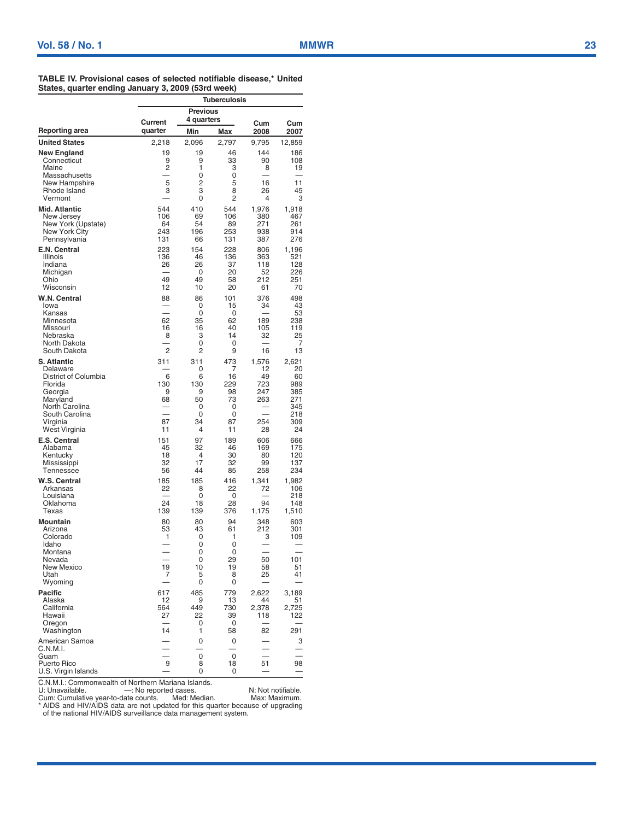#### **TABLE IV. Provisional cases of selected notifiable disease,\* United States, quarter ending January 3, 2009 (53rd week)**

|                                                                                                                                                           |                                        | <b>Tuberculosis</b>                                  |                                                         |                                                     |                                                                   |
|-----------------------------------------------------------------------------------------------------------------------------------------------------------|----------------------------------------|------------------------------------------------------|---------------------------------------------------------|-----------------------------------------------------|-------------------------------------------------------------------|
|                                                                                                                                                           | Current                                | <b>Previous</b><br>4 quarters                        |                                                         | Cum                                                 | Cum                                                               |
| <b>Reporting area</b>                                                                                                                                     | quarter                                | Min                                                  | Max                                                     | 2008                                                | 2007                                                              |
| <b>United States</b>                                                                                                                                      | 2,218                                  | 2,096                                                | 2,797                                                   | 9,795                                               | 12,859                                                            |
| <b>New England</b><br>Connecticut<br>Maine<br>Massachusetts<br>New Hampshire<br>Rhode Island                                                              | 19<br>9<br>2<br>5<br>3                 | 19<br>9<br>1<br>0<br>2<br>3                          | 46<br>33<br>3<br>0<br>5<br>8                            | 144<br>90<br>8<br>16<br>26                          | 186<br>108<br>19<br>11<br>45                                      |
| Vermont                                                                                                                                                   |                                        | 0                                                    | 2                                                       | 4                                                   | 3                                                                 |
| <b>Mid. Atlantic</b><br>New Jersey<br>New York (Upstate)<br>New York City<br>Pennsylvania                                                                 | 544<br>106<br>64<br>243<br>131         | 410<br>69<br>54<br>196<br>66                         | 544<br>106<br>89<br>253<br>131                          | 1,976<br>380<br>271<br>938<br>387                   | 1,918<br>467<br>261<br>914<br>276                                 |
| E.N. Central<br>Illinois<br>Indiana<br>Michigan<br>Ohio<br>Wisconsin                                                                                      | 223<br>136<br>26<br>49<br>12           | 154<br>46<br>26<br>0<br>49<br>10                     | 228<br>136<br>37<br>20<br>58<br>20                      | 806<br>363<br>118<br>52<br>212<br>61                | 1,196<br>521<br>128<br>226<br>251<br>70                           |
| W.N. Central                                                                                                                                              | 88                                     | 86                                                   | 101                                                     | 376                                                 | 498                                                               |
| lowa<br>Kansas<br>Minnesota<br>Missouri<br>Nebraska<br>North Dakota<br>South Dakota                                                                       | 62<br>16<br>8<br>2                     | 0<br>0<br>35<br>16<br>3<br>0<br>2                    | 15<br>0<br>62<br>40<br>14<br>0<br>9                     | 34<br>189<br>105<br>32<br>16                        | 43<br>53<br>238<br>119<br>25<br>7<br>13                           |
| <b>S. Atlantic</b><br>Delaware<br>District of Columbia<br>Florida<br>Georgia<br>Maryland<br>North Carolina<br>South Carolina<br>Virginia<br>West Virginia | 311<br>6<br>130<br>9<br>68<br>87<br>11 | 311<br>0<br>6<br>130<br>9<br>50<br>0<br>0<br>34<br>4 | 473<br>7<br>16<br>229<br>98<br>73<br>0<br>0<br>87<br>11 | 1,576<br>12<br>49<br>723<br>247<br>263<br>254<br>28 | 2,621<br>20<br>60<br>989<br>385<br>271<br>345<br>218<br>309<br>24 |
| E.S. Central<br>Alabama<br>Kentucky<br>Mississippi<br>Tennessee                                                                                           | 151<br>45<br>18<br>32<br>56            | 97<br>32<br>4<br>17<br>44                            | 189<br>46<br>30<br>32<br>85                             | 606<br>169<br>80<br>99<br>258                       | 666<br>175<br>120<br>137<br>234                                   |
| W.S. Central<br>Arkansas<br>Louisiana<br>Oklahoma<br>Texas                                                                                                | 185<br>22<br>24<br>139                 | 185<br>8<br>0<br>18<br>139                           | 416<br>22<br>0<br>28<br>376                             | 1,341<br>72<br>94<br>1,175                          | 1,982<br>106<br>218<br>148<br>1,510                               |
| Mountain<br>Arizona<br>Colorado<br>Idaho<br>Montana<br>Nevada<br><b>New Mexico</b><br>Utah<br>Wyoming                                                     | 80<br>53<br>1<br>19<br>7               | 80<br>43<br>0<br>0<br>0<br>0<br>10<br>5<br>0         | 94<br>61<br>1<br>0<br>0<br>29<br>19<br>8<br>0           | 348<br>212<br>3<br>50<br>58<br>25                   | 603<br>301<br>109<br>101<br>51<br>41                              |
| <b>Pacific</b><br>Alaska<br>California<br>Hawaii<br>Oregon<br>Washington                                                                                  | 617<br>12<br>564<br>27<br>14           | 485<br>9<br>449<br>22<br>0<br>1                      | 779<br>13<br>730<br>39<br>0<br>58                       | 2,622<br>44<br>2,378<br>118<br>82                   | 3.189<br>51<br>2,725<br>122<br>291                                |
| American Samoa<br>C.N.M.I.<br>Guam<br>Puerto Rico<br>U.S. Virgin Islands                                                                                  | 9                                      | 0<br>0<br>8<br>0                                     | 0<br>0<br>18<br>0                                       | 51                                                  | 3<br>98                                                           |

C.N.M.I.: Commonwealth of Northern Mariana Islands. U: Unavailable. —: No reported cases. N: Not notifiable. Cum: Cumulative year-to-date counts. Med: Median. Max: Maximum. \* AIDS and HIV/AIDS data are not updated for this quarter because of upgrading of the national HIV/AIDS surveillance data management system.